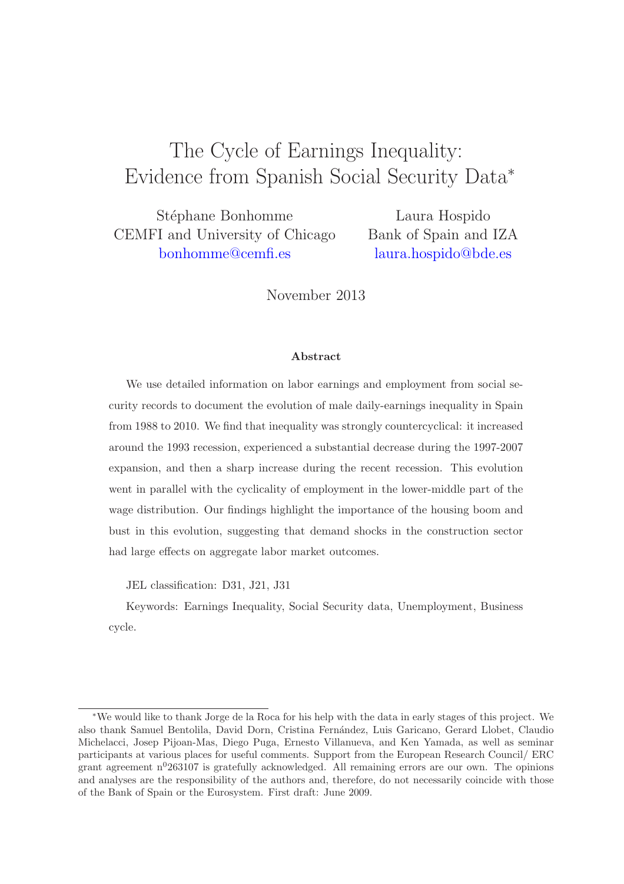# The Cycle of Earnings Inequality: Evidence from Spanish Social Security Data<sup>∗</sup>

Stéphane Bonhomme CEMFI and University of Chicago [bonhomme@cemfi.es](mailto:bonhomme@cemfi.es)

Laura Hospido Bank of Spain and IZA [laura.hospido@bde.es](mailto:laura.hospido@bde.es)

November 2013

#### Abstract

We use detailed information on labor earnings and employment from social security records to document the evolution of male daily-earnings inequality in Spain from 1988 to 2010. We find that inequality was strongly countercyclical: it increased around the 1993 recession, experienced a substantial decrease during the 1997-2007 expansion, and then a sharp increase during the recent recession. This evolution went in parallel with the cyclicality of employment in the lower-middle part of the wage distribution. Our findings highlight the importance of the housing boom and bust in this evolution, suggesting that demand shocks in the construction sector had large effects on aggregate labor market outcomes.

JEL classification: D31, J21, J31

Keywords: Earnings Inequality, Social Security data, Unemployment, Business cycle.

<sup>∗</sup>We would like to thank Jorge de la Roca for his help with the data in early stages of this project. We also thank Samuel Bentolila, David Dorn, Cristina Fern´andez, Luis Garicano, Gerard Llobet, Claudio Michelacci, Josep Pijoan-Mas, Diego Puga, Ernesto Villanueva, and Ken Yamada, as well as seminar participants at various places for useful comments. Support from the European Research Council/ ERC grant agreement  $n^{0}$ 263107 is gratefully acknowledged. All remaining errors are our own. The opinions and analyses are the responsibility of the authors and, therefore, do not necessarily coincide with those of the Bank of Spain or the Eurosystem. First draft: June 2009.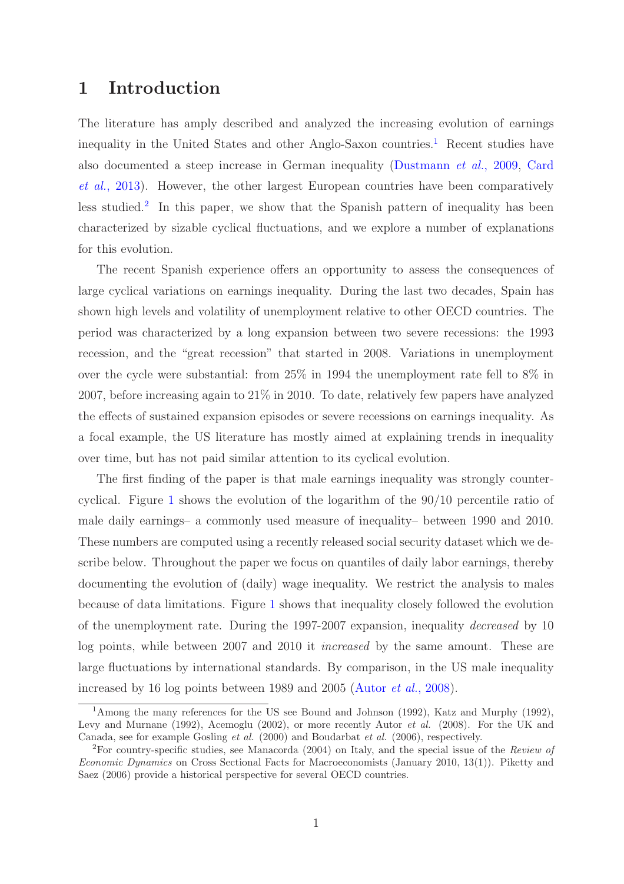## 1 Introduction

The literature has amply described and analyzed the increasing evolution of earnings inequality in the United States and other Anglo-Saxon countries.<sup>[1](#page-1-0)</sup> Recent studies have also documented a steep increase in German inequality [\(Dustmann](#page-61-0) *et al.*, 2009, Card *et al.*, 2013). However, the other largest European countries have been comparatively less studied.<sup>[2](#page-1-1)</sup> In this paper, we show that the Spanish pattern of inequality has been characterized by sizable cyclical fluctuations, and we explore a number of explanations for this evolution.

The recent Spanish experience offers an opportunity to assess the consequences of large cyclical variations on earnings inequality. During the last two decades, Spain has shown high levels and volatility of unemployment relative to other OECD countries. The period was characterized by a long expansion between two severe recessions: the 1993 recession, and the "great recession" that started in 2008. Variations in unemployment over the cycle were substantial: from 25% in 1994 the unemployment rate fell to 8% in 2007, before increasing again to 21% in 2010. To date, relatively few papers have analyzed the effects of sustained expansion episodes or severe recessions on earnings inequality. As a focal example, the US literature has mostly aimed at explaining trends in inequality over time, but has not paid similar attention to its cyclical evolution.

The first finding of the paper is that male earnings inequality was strongly countercyclical. Figure [1](#page-2-0) shows the evolution of the logarithm of the 90/10 percentile ratio of male daily earnings– a commonly used measure of inequality– between 1990 and 2010. These numbers are computed using a recently released social security dataset which we describe below. Throughout the paper we focus on quantiles of daily labor earnings, thereby documenting the evolution of (daily) wage inequality. We restrict the analysis to males because of data limitations. Figure [1](#page-2-0) shows that inequality closely followed the evolution of the unemployment rate. During the 1997-2007 expansion, inequality *decreased* by 10 log points, while between 2007 and 2010 it *increased* by the same amount. These are large fluctuations by international standards. By comparison, in the US male inequality increased by 16 log points between 1989 and 2005 [\(Autor](#page-33-0) *et al.*, 2008).

<span id="page-1-0"></span><sup>&</sup>lt;sup>1</sup>Among the many references for the US see Bound and Johnson (1992), Katz and Murphy (1992), Levy and Murnane (1992), Acemoglu (2002), or more recently Autor *et al.* (2008). For the UK and Canada, see for example Gosling et al. (2000) and Boudarbat et al. (2006), respectively.

<span id="page-1-1"></span><sup>2</sup>For country-specific studies, see Manacorda (2004) on Italy, and the special issue of the Review of Economic Dynamics on Cross Sectional Facts for Macroeconomists (January 2010, 13(1)). Piketty and Saez (2006) provide a historical perspective for several OECD countries.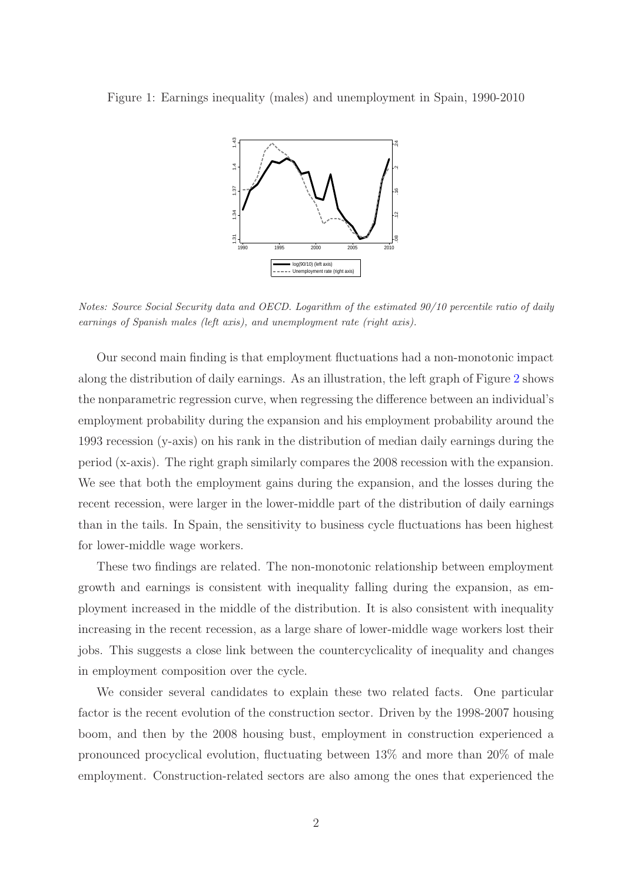

<span id="page-2-0"></span>

Notes: Source Social Security data and OECD. Logarithm of the estimated 90/10 percentile ratio of daily earnings of Spanish males (left axis), and unemployment rate (right axis).

Our second main finding is that employment fluctuations had a non-monotonic impact along the distribution of daily earnings. As an illustration, the left graph of Figure [2](#page-3-0) shows the nonparametric regression curve, when regressing the difference between an individual's employment probability during the expansion and his employment probability around the 1993 recession (y-axis) on his rank in the distribution of median daily earnings during the period (x-axis). The right graph similarly compares the 2008 recession with the expansion. We see that both the employment gains during the expansion, and the losses during the recent recession, were larger in the lower-middle part of the distribution of daily earnings than in the tails. In Spain, the sensitivity to business cycle fluctuations has been highest for lower-middle wage workers.

These two findings are related. The non-monotonic relationship between employment growth and earnings is consistent with inequality falling during the expansion, as employment increased in the middle of the distribution. It is also consistent with inequality increasing in the recent recession, as a large share of lower-middle wage workers lost their jobs. This suggests a close link between the countercyclicality of inequality and changes in employment composition over the cycle.

We consider several candidates to explain these two related facts. One particular factor is the recent evolution of the construction sector. Driven by the 1998-2007 housing boom, and then by the 2008 housing bust, employment in construction experienced a pronounced procyclical evolution, fluctuating between 13% and more than 20% of male employment. Construction-related sectors are also among the ones that experienced the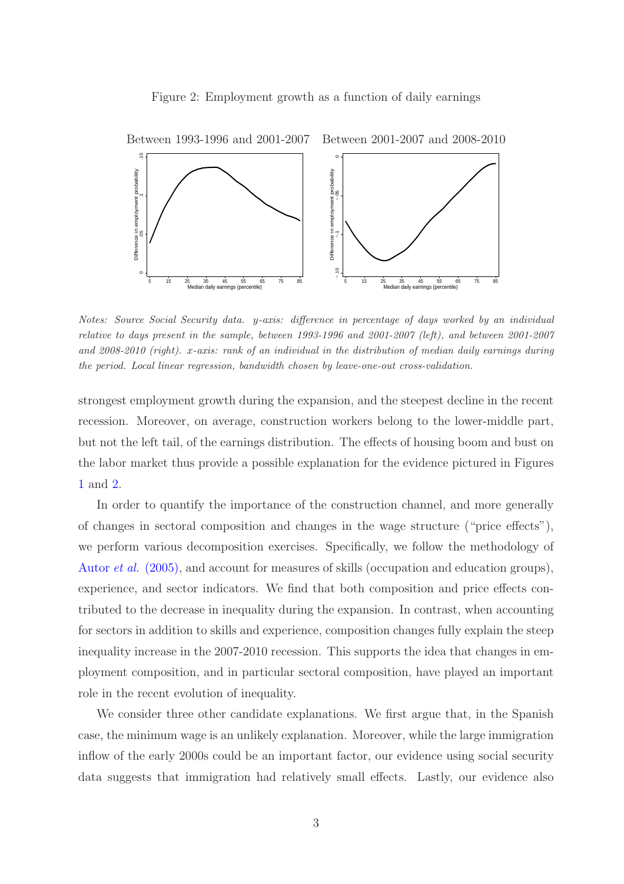#### <span id="page-3-0"></span>Figure 2: Employment growth as a function of daily earnings



Notes: Source Social Security data. y-axis: difference in percentage of days worked by an individual relative to days present in the sample, between 1993-1996 and 2001-2007 (left), and between 2001-2007 and 2008-2010 (right). x-axis: rank of an individual in the distribution of median daily earnings during the period. Local linear regression, bandwidth chosen by leave-one-out cross-validation.

strongest employment growth during the expansion, and the steepest decline in the recent recession. Moreover, on average, construction workers belong to the lower-middle part, but not the left tail, of the earnings distribution. The effects of housing boom and bust on the labor market thus provide a possible explanation for the evidence pictured in Figures [1](#page-2-0) and [2.](#page-3-0)

In order to quantify the importance of the construction channel, and more generally of changes in sectoral composition and changes in the wage structure ("price effects"), we perform various decomposition exercises. Specifically, we follow the methodology of Autor *et al.* [\(2005\),](#page-33-1) and account for measures of skills (occupation and education groups), experience, and sector indicators. We find that both composition and price effects contributed to the decrease in inequality during the expansion. In contrast, when accounting for sectors in addition to skills and experience, composition changes fully explain the steep inequality increase in the 2007-2010 recession. This supports the idea that changes in employment composition, and in particular sectoral composition, have played an important role in the recent evolution of inequality.

We consider three other candidate explanations. We first argue that, in the Spanish case, the minimum wage is an unlikely explanation. Moreover, while the large immigration inflow of the early 2000s could be an important factor, our evidence using social security data suggests that immigration had relatively small effects. Lastly, our evidence also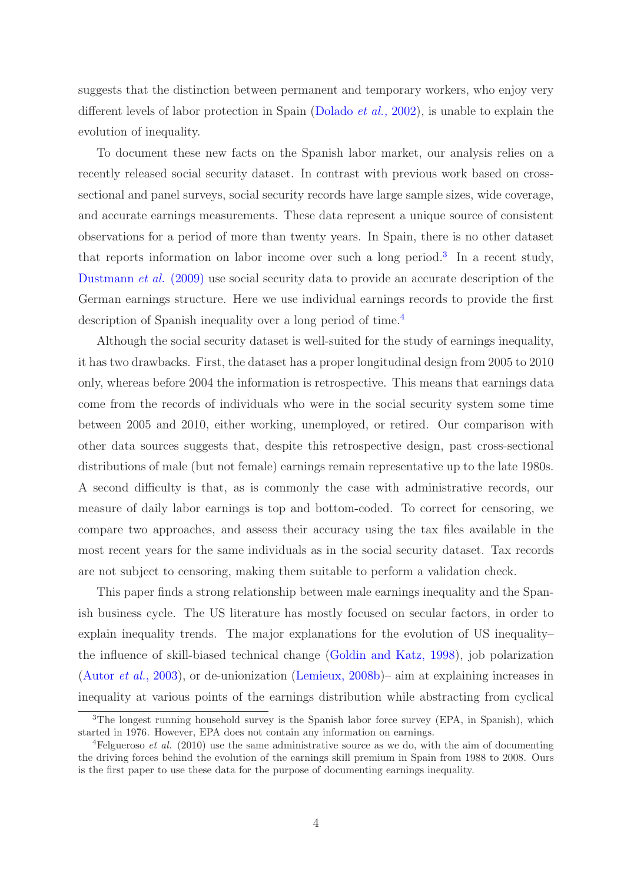suggests that the distinction between permanent and temporary workers, who enjoy very different levels of labor protection in Spain [\(Dolado](#page-34-0) *et al.,* 2002), is unable to explain the evolution of inequality.

To document these new facts on the Spanish labor market, our analysis relies on a recently released social security dataset. In contrast with previous work based on crosssectional and panel surveys, social security records have large sample sizes, wide coverage, and accurate earnings measurements. These data represent a unique source of consistent observations for a period of more than twenty years. In Spain, there is no other dataset that reports information on labor income over such a long period.<sup>[3](#page-4-0)</sup> In a recent study, [Dustmann](#page-61-0) *et al.* (2009) use social security data to provide an accurate description of the German earnings structure. Here we use individual earnings records to provide the first description of Spanish inequality over a long period of time.<sup>[4](#page-4-1)</sup>

Although the social security dataset is well-suited for the study of earnings inequality, it has two drawbacks. First, the dataset has a proper longitudinal design from 2005 to 2010 only, whereas before 2004 the information is retrospective. This means that earnings data come from the records of individuals who were in the social security system some time between 2005 and 2010, either working, unemployed, or retired. Our comparison with other data sources suggests that, despite this retrospective design, past cross-sectional distributions of male (but not female) earnings remain representative up to the late 1980s. A second difficulty is that, as is commonly the case with administrative records, our measure of daily labor earnings is top and bottom-coded. To correct for censoring, we compare two approaches, and assess their accuracy using the tax files available in the most recent years for the same individuals as in the social security dataset. Tax records are not subject to censoring, making them suitable to perform a validation check.

This paper finds a strong relationship between male earnings inequality and the Spanish business cycle. The US literature has mostly focused on secular factors, in order to explain inequality trends. The major explanations for the evolution of US inequality– the influence of skill-biased technical change [\(Goldin and Katz, 1998\)](#page-34-1), job polarization [\(Autor](#page-33-2) *et al.*, 2003), or de-unionization [\(Lemieux, 2008b\)](#page-35-0)– aim at explaining increases in inequality at various points of the earnings distribution while abstracting from cyclical

<span id="page-4-0"></span><sup>&</sup>lt;sup>3</sup>The longest running household survey is the Spanish labor force survey (EPA, in Spanish), which started in 1976. However, EPA does not contain any information on earnings.

<span id="page-4-1"></span><sup>&</sup>lt;sup>4</sup>Felgueroso *et al.* (2010) use the same administrative source as we do, with the aim of documenting the driving forces behind the evolution of the earnings skill premium in Spain from 1988 to 2008. Ours is the first paper to use these data for the purpose of documenting earnings inequality.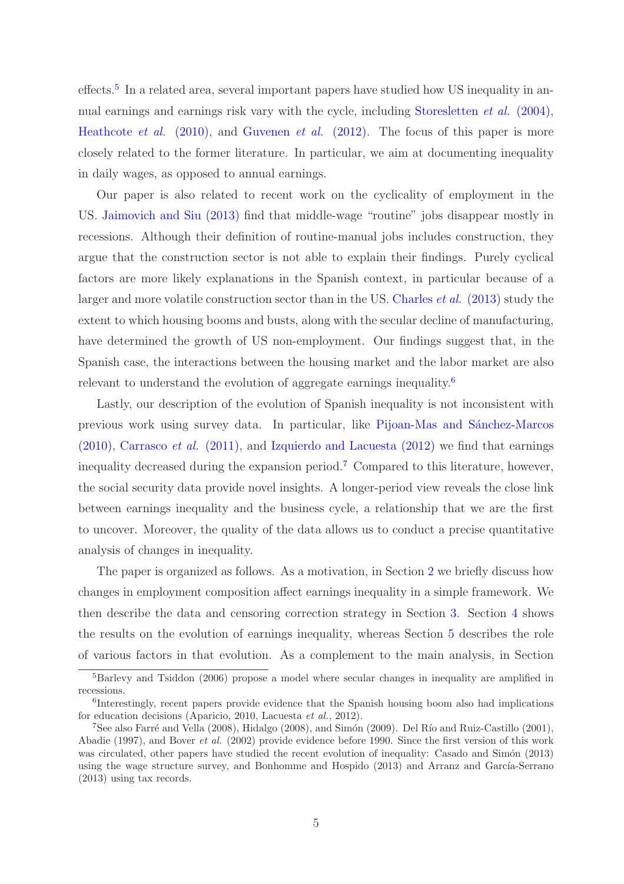effects.<sup>[5](#page-5-0)</sup> In a related area, several important papers have studied how US inequality in annual earnings and earnings risk vary with the cycle, including [Storesletten](#page-35-1) *et al.* (2004), [Heathcote](#page-34-2) *et al.* (2010), and [Guvenen](#page-34-3) *et al.* (2012). The focus of this paper is more closely related to the former literature. In particular, we aim at documenting inequality in daily wages, as opposed to annual earnings.

Our paper is also related to recent work on the cyclicality of employment in the US. [Jaimovich and Siu \(2013\)](#page-35-2) find that middle-wage "routine" jobs disappear mostly in recessions. Although their definition of routine-manual jobs includes construction, they argue that the construction sector is not able to explain their findings. Purely cyclical factors are more likely explanations in the Spanish context, in particular because of a larger and more volatile construction sector than in the US. Charles *et al.* (2013) study the extent to which housing booms and busts, along with the secular decline of manufacturing, have determined the growth of US non-employment. Our findings suggest that, in the Spanish case, the interactions between the housing market and the labor market are also relevant to understand the evolution of aggregate earnings inequality.[6](#page-5-1)

Lastly, our description of the evolution of Spanish inequality is not inconsistent with previous work using survey data. In particular, like Pijoan-Mas and Sánchez-Marcos (2010), [Carrasco](#page-33-3) *et al.* (2011), and [Izquierdo and Lacuesta \(2012\)](#page-35-3) we find that earnings inequality decreased during the expansion period.[7](#page-5-2) Compared to this literature, however, the social security data provide novel insights. A longer-period view reveals the close link between earnings inequality and the business cycle, a relationship that we are the first to uncover. Moreover, the quality of the data allows us to conduct a precise quantitative analysis of changes in inequality.

The paper is organized as follows. As a motivation, in Section [2](#page-6-0) we briefly discuss how changes in employment composition affect earnings inequality in a simple framework. We then describe the data and censoring correction strategy in Section [3.](#page-8-0) Section [4](#page-13-0) shows the results on the evolution of earnings inequality, whereas Section [5](#page-16-0) describes the role of various factors in that evolution. As a complement to the main analysis, in Section

<span id="page-5-0"></span> ${}^{5}$ Barlevy and Tsiddon (2006) propose a model where secular changes in inequality are amplified in recessions.

<span id="page-5-1"></span><sup>6</sup> Interestingly, recent papers provide evidence that the Spanish housing boom also had implications for education decisions (Aparicio, 2010, Lacuesta et al., 2012).

<span id="page-5-2"></span> $7$ See also Farré and Vella (2008), Hidalgo (2008), and Simón (2009). Del Río and Ruiz-Castillo (2001), Abadie (1997), and Bover et al. (2002) provide evidence before 1990. Since the first version of this work was circulated, other papers have studied the recent evolution of inequality: Casado and Simón (2013) using the wage structure survey, and Bonhomme and Hospido  $(2013)$  and Arranz and García-Serrano (2013) using tax records.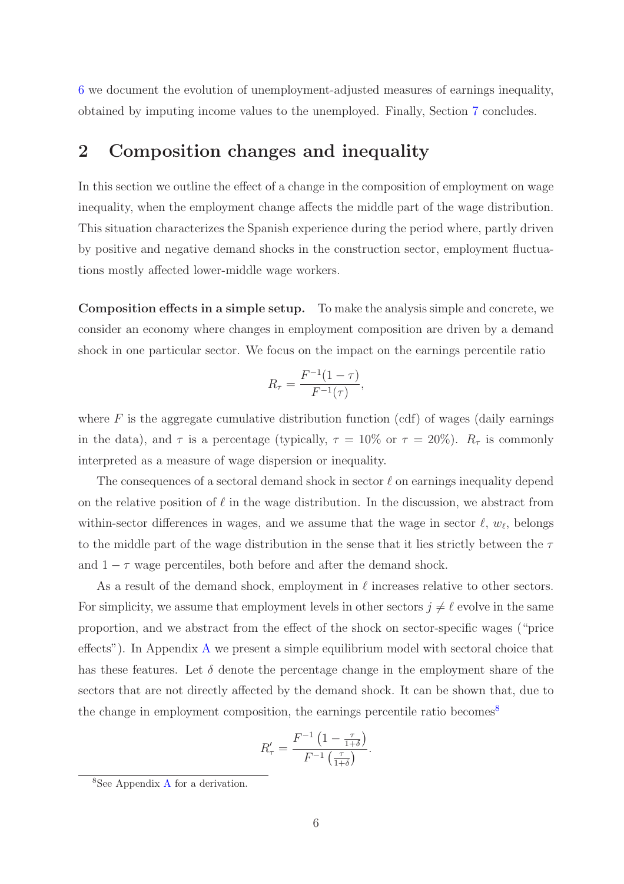[6](#page-29-0) we document the evolution of unemployment-adjusted measures of earnings inequality, obtained by imputing income values to the unemployed. Finally, Section [7](#page-31-0) concludes.

### <span id="page-6-0"></span>2 Composition changes and inequality

In this section we outline the effect of a change in the composition of employment on wage inequality, when the employment change affects the middle part of the wage distribution. This situation characterizes the Spanish experience during the period where, partly driven by positive and negative demand shocks in the construction sector, employment fluctuations mostly affected lower-middle wage workers.

Composition effects in a simple setup. To make the analysis simple and concrete, we consider an economy where changes in employment composition are driven by a demand shock in one particular sector. We focus on the impact on the earnings percentile ratio

$$
R_{\tau} = \frac{F^{-1}(1-\tau)}{F^{-1}(\tau)},
$$

where  $F$  is the aggregate cumulative distribution function (cdf) of wages (daily earnings in the data), and  $\tau$  is a percentage (typically,  $\tau = 10\%$  or  $\tau = 20\%$ ).  $R_{\tau}$  is commonly interpreted as a measure of wage dispersion or inequality.

The consequences of a sectoral demand shock in sector  $\ell$  on earnings inequality depend on the relative position of  $\ell$  in the wage distribution. In the discussion, we abstract from within-sector differences in wages, and we assume that the wage in sector  $\ell, w_{\ell}$ , belongs to the middle part of the wage distribution in the sense that it lies strictly between the  $\tau$ and  $1 - \tau$  wage percentiles, both before and after the demand shock.

As a result of the demand shock, employment in  $\ell$  increases relative to other sectors. For simplicity, we assume that employment levels in other sectors  $j \neq \ell$  evolve in the same proportion, and we abstract from the effect of the shock on sector-specific wages ("price effects"). In Appendix [A](#page-36-0) we present a simple equilibrium model with sectoral choice that has these features. Let  $\delta$  denote the percentage change in the employment share of the sectors that are not directly affected by the demand shock. It can be shown that, due to the change in employment composition, the earnings percentile ratio becomes<sup>[8](#page-6-1)</sup>

$$
R'_{\tau} = \frac{F^{-1}\left(1 - \frac{\tau}{1+\delta}\right)}{F^{-1}\left(\frac{\tau}{1+\delta}\right)}.
$$

<span id="page-6-1"></span><sup>8</sup>See Appendix [A](#page-36-0) for a derivation.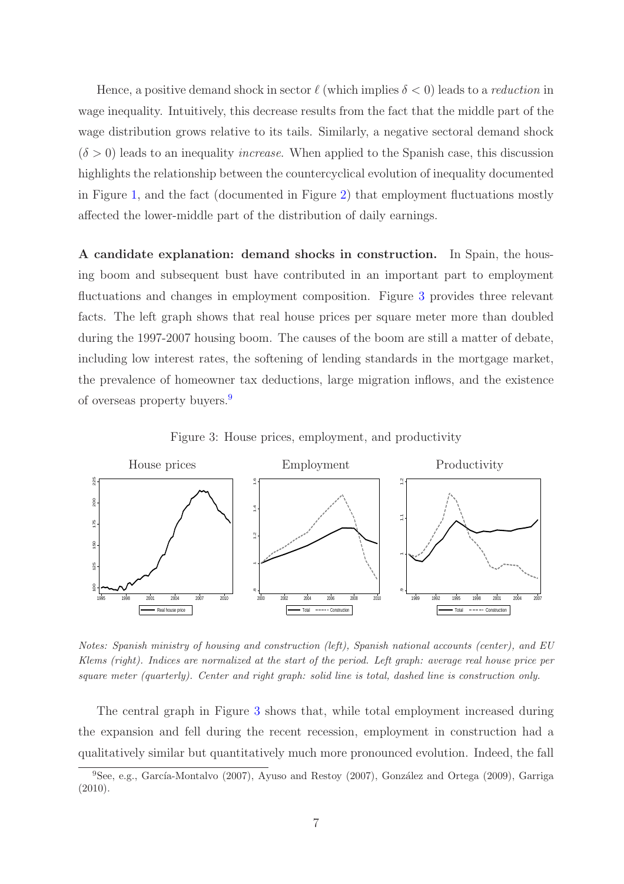Hence, a positive demand shock in sector  $\ell$  (which implies  $\delta < 0$ ) leads to a *reduction* in wage inequality. Intuitively, this decrease results from the fact that the middle part of the wage distribution grows relative to its tails. Similarly, a negative sectoral demand shock  $(\delta > 0)$  leads to an inequality *increase*. When applied to the Spanish case, this discussion highlights the relationship between the countercyclical evolution of inequality documented in Figure [1,](#page-2-0) and the fact (documented in Figure [2\)](#page-3-0) that employment fluctuations mostly affected the lower-middle part of the distribution of daily earnings.

A candidate explanation: demand shocks in construction. In Spain, the housing boom and subsequent bust have contributed in an important part to employment fluctuations and changes in employment composition. Figure [3](#page-7-0) provides three relevant facts. The left graph shows that real house prices per square meter more than doubled during the 1997-2007 housing boom. The causes of the boom are still a matter of debate, including low interest rates, the softening of lending standards in the mortgage market, the prevalence of homeowner tax deductions, large migration inflows, and the existence of overseas property buyers.[9](#page-7-1)



<span id="page-7-0"></span>Figure 3: House prices, employment, and productivity

Notes: Spanish ministry of housing and construction (left), Spanish national accounts (center), and EU Klems (right). Indices are normalized at the start of the period. Left graph: average real house price per square meter (quarterly). Center and right graph: solid line is total, dashed line is construction only.

The central graph in Figure [3](#page-7-0) shows that, while total employment increased during the expansion and fell during the recent recession, employment in construction had a qualitatively similar but quantitatively much more pronounced evolution. Indeed, the fall

<span id="page-7-1"></span> $9$ See, e.g., García-Montalvo (2007), Ayuso and Restoy (2007), González and Ortega (2009), Garriga (2010).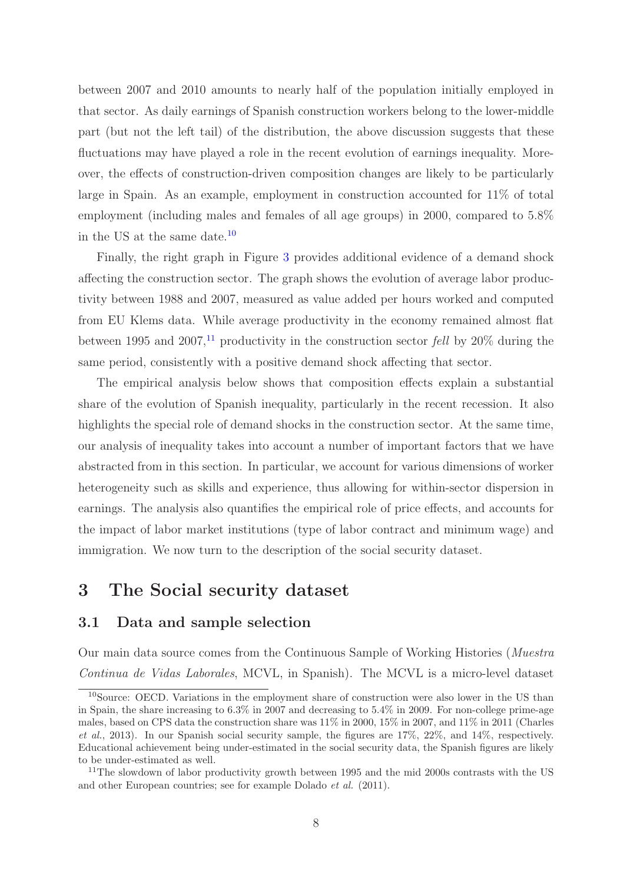between 2007 and 2010 amounts to nearly half of the population initially employed in that sector. As daily earnings of Spanish construction workers belong to the lower-middle part (but not the left tail) of the distribution, the above discussion suggests that these fluctuations may have played a role in the recent evolution of earnings inequality. Moreover, the effects of construction-driven composition changes are likely to be particularly large in Spain. As an example, employment in construction accounted for 11% of total employment (including males and females of all age groups) in 2000, compared to 5.8% in the US at the same date.[10](#page-8-1)

Finally, the right graph in Figure [3](#page-7-0) provides additional evidence of a demand shock affecting the construction sector. The graph shows the evolution of average labor productivity between 1988 and 2007, measured as value added per hours worked and computed from EU Klems data. While average productivity in the economy remained almost flat between 1995 and 2007,<sup>[11](#page-8-2)</sup> productivity in the construction sector *fell* by 20% during the same period, consistently with a positive demand shock affecting that sector.

The empirical analysis below shows that composition effects explain a substantial share of the evolution of Spanish inequality, particularly in the recent recession. It also highlights the special role of demand shocks in the construction sector. At the same time, our analysis of inequality takes into account a number of important factors that we have abstracted from in this section. In particular, we account for various dimensions of worker heterogeneity such as skills and experience, thus allowing for within-sector dispersion in earnings. The analysis also quantifies the empirical role of price effects, and accounts for the impact of labor market institutions (type of labor contract and minimum wage) and immigration. We now turn to the description of the social security dataset.

## <span id="page-8-0"></span>3 The Social security dataset

#### 3.1 Data and sample selection

Our main data source comes from the Continuous Sample of Working Histories (*Muestra Continua de Vidas Laborales*, MCVL, in Spanish). The MCVL is a micro-level dataset

<span id="page-8-1"></span><sup>&</sup>lt;sup>10</sup>Source: OECD. Variations in the employment share of construction were also lower in the US than in Spain, the share increasing to 6.3% in 2007 and decreasing to 5.4% in 2009. For non-college prime-age males, based on CPS data the construction share was 11% in 2000, 15% in 2007, and 11% in 2011 (Charles et al., 2013). In our Spanish social security sample, the figures are  $17\%$ ,  $22\%$ , and  $14\%$ , respectively. Educational achievement being under-estimated in the social security data, the Spanish figures are likely to be under-estimated as well.

<span id="page-8-2"></span><sup>&</sup>lt;sup>11</sup>The slowdown of labor productivity growth between 1995 and the mid 2000s contrasts with the US and other European countries; see for example Dolado et al. (2011).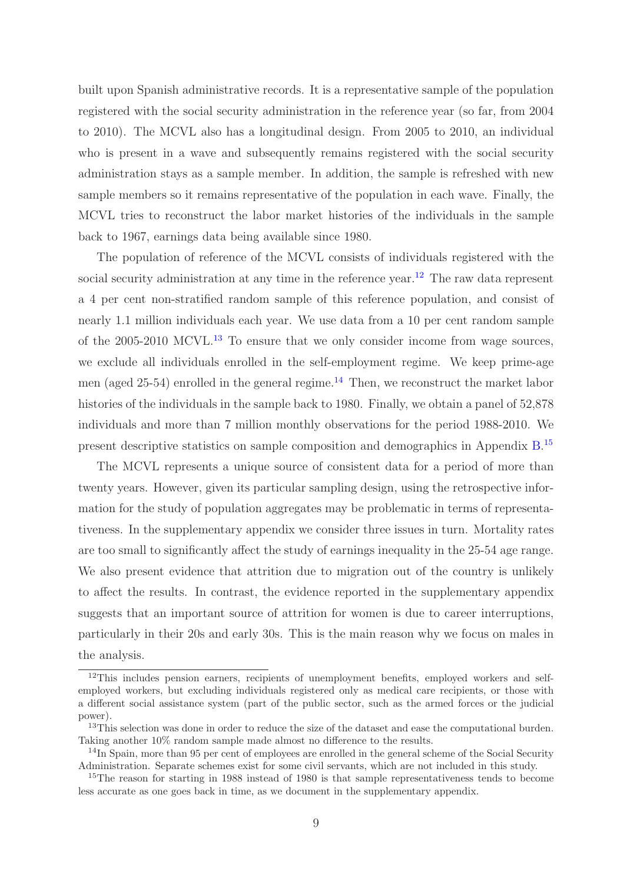built upon Spanish administrative records. It is a representative sample of the population registered with the social security administration in the reference year (so far, from 2004 to 2010). The MCVL also has a longitudinal design. From 2005 to 2010, an individual who is present in a wave and subsequently remains registered with the social security administration stays as a sample member. In addition, the sample is refreshed with new sample members so it remains representative of the population in each wave. Finally, the MCVL tries to reconstruct the labor market histories of the individuals in the sample back to 1967, earnings data being available since 1980.

The population of reference of the MCVL consists of individuals registered with the social security administration at any time in the reference year.<sup>[12](#page-9-0)</sup> The raw data represent a 4 per cent non-stratified random sample of this reference population, and consist of nearly 1.1 million individuals each year. We use data from a 10 per cent random sample of the  $2005-2010$  MCVL.<sup>[13](#page-9-1)</sup> To ensure that we only consider income from wage sources, we exclude all individuals enrolled in the self-employment regime. We keep prime-age men (aged 25-54) enrolled in the general regime.<sup>[14](#page-9-2)</sup> Then, we reconstruct the market labor histories of the individuals in the sample back to 1980. Finally, we obtain a panel of 52,878 individuals and more than 7 million monthly observations for the period 1988-2010. We present descriptive statistics on sample composition and demographics in Appendix [B.](#page-40-0)<sup>[15](#page-9-3)</sup>

The MCVL represents a unique source of consistent data for a period of more than twenty years. However, given its particular sampling design, using the retrospective information for the study of population aggregates may be problematic in terms of representativeness. In the supplementary appendix we consider three issues in turn. Mortality rates are too small to significantly affect the study of earnings inequality in the 25-54 age range. We also present evidence that attrition due to migration out of the country is unlikely to affect the results. In contrast, the evidence reported in the supplementary appendix suggests that an important source of attrition for women is due to career interruptions, particularly in their 20s and early 30s. This is the main reason why we focus on males in the analysis.

<span id="page-9-0"></span><sup>&</sup>lt;sup>12</sup>This includes pension earners, recipients of unemployment benefits, employed workers and selfemployed workers, but excluding individuals registered only as medical care recipients, or those with a different social assistance system (part of the public sector, such as the armed forces or the judicial power).

<span id="page-9-1"></span><sup>&</sup>lt;sup>13</sup>This selection was done in order to reduce the size of the dataset and ease the computational burden. Taking another 10% random sample made almost no difference to the results.

<span id="page-9-2"></span><sup>&</sup>lt;sup>14</sup>In Spain, more than 95 per cent of employees are enrolled in the general scheme of the Social Security Administration. Separate schemes exist for some civil servants, which are not included in this study.

<span id="page-9-3"></span><sup>&</sup>lt;sup>15</sup>The reason for starting in 1988 instead of 1980 is that sample representativeness tends to become less accurate as one goes back in time, as we document in the supplementary appendix.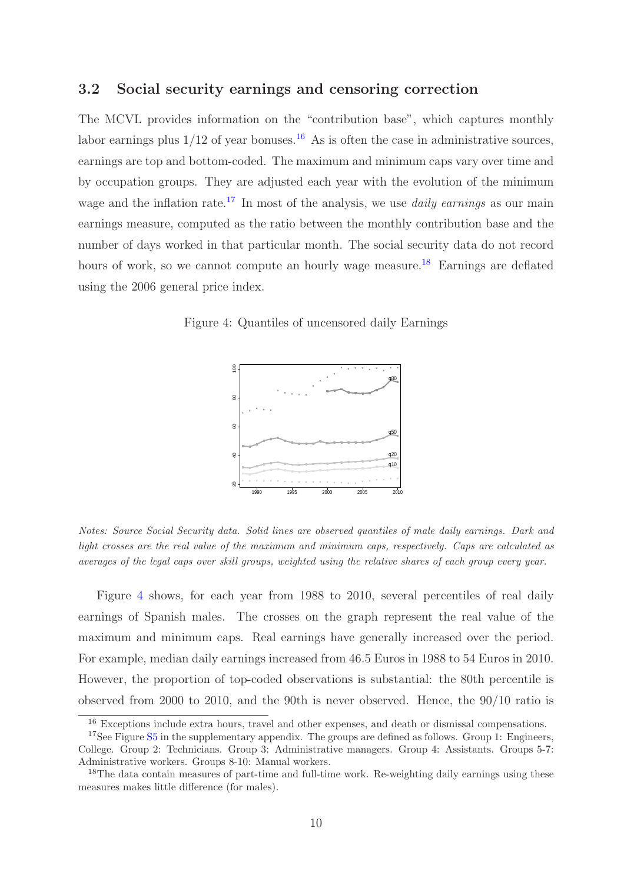#### 3.2 Social security earnings and censoring correction

The MCVL provides information on the "contribution base", which captures monthly labor earnings plus  $1/12$  of year bonuses.<sup>[16](#page-10-0)</sup> As is often the case in administrative sources, earnings are top and bottom-coded. The maximum and minimum caps vary over time and by occupation groups. They are adjusted each year with the evolution of the minimum wage and the inflation rate.<sup>[17](#page-10-1)</sup> In most of the analysis, we use *daily earnings* as our main earnings measure, computed as the ratio between the monthly contribution base and the number of days worked in that particular month. The social security data do not record hours of work, so we cannot compute an hourly wage measure.<sup>[18](#page-10-2)</sup> Earnings are deflated using the 2006 general price index.

Figure 4: Quantiles of uncensored daily Earnings

<span id="page-10-3"></span>

Notes: Source Social Security data. Solid lines are observed quantiles of male daily earnings. Dark and light crosses are the real value of the maximum and minimum caps, respectively. Caps are calculated as averages of the legal caps over skill groups, weighted using the relative shares of each group every year.

Figure [4](#page-10-3) shows, for each year from 1988 to 2010, several percentiles of real daily earnings of Spanish males. The crosses on the graph represent the real value of the maximum and minimum caps. Real earnings have generally increased over the period. For example, median daily earnings increased from 46.5 Euros in 1988 to 54 Euros in 2010. However, the proportion of top-coded observations is substantial: the 80th percentile is observed from 2000 to 2010, and the 90th is never observed. Hence, the 90/10 ratio is

<span id="page-10-0"></span><sup>&</sup>lt;sup>16</sup> Exceptions include extra hours, travel and other expenses, and death or dismissal compensations.

<span id="page-10-1"></span><sup>&</sup>lt;sup>17</sup>See Figure [S5](#page-53-0) in the supplementary appendix. The groups are defined as follows. Group 1: Engineers, College. Group 2: Technicians. Group 3: Administrative managers. Group 4: Assistants. Groups 5-7: Administrative workers. Groups 8-10: Manual workers.

<span id="page-10-2"></span><sup>&</sup>lt;sup>18</sup>The data contain measures of part-time and full-time work. Re-weighting daily earnings using these measures makes little difference (for males).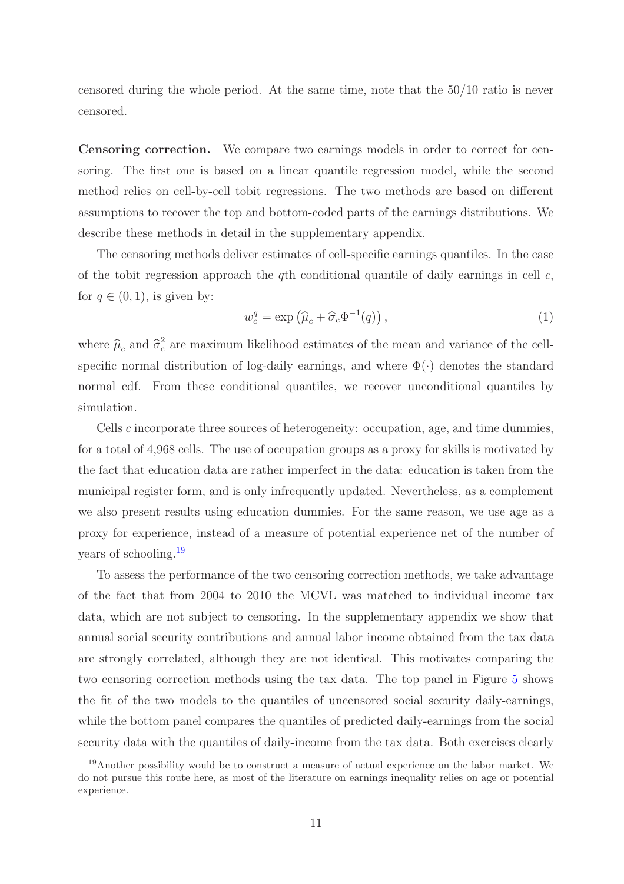censored during the whole period. At the same time, note that the 50/10 ratio is never censored.

Censoring correction. We compare two earnings models in order to correct for censoring. The first one is based on a linear quantile regression model, while the second method relies on cell-by-cell tobit regressions. The two methods are based on different assumptions to recover the top and bottom-coded parts of the earnings distributions. We describe these methods in detail in the supplementary appendix.

The censoring methods deliver estimates of cell-specific earnings quantiles. In the case of the tobit regression approach the qth conditional quantile of daily earnings in cell  $c$ , for  $q \in (0, 1)$ , is given by:

$$
w_c^q = \exp\left(\widehat{\mu}_c + \widehat{\sigma}_c \Phi^{-1}(q)\right),\tag{1}
$$

where  $\hat{\mu}_c$  and  $\hat{\sigma}_c^2$  $\epsilon$  are maximum likelihood estimates of the mean and variance of the cellspecific normal distribution of log-daily earnings, and where  $\Phi(\cdot)$  denotes the standard normal cdf. From these conditional quantiles, we recover unconditional quantiles by simulation.

Cells c incorporate three sources of heterogeneity: occupation, age, and time dummies, for a total of 4,968 cells. The use of occupation groups as a proxy for skills is motivated by the fact that education data are rather imperfect in the data: education is taken from the municipal register form, and is only infrequently updated. Nevertheless, as a complement we also present results using education dummies. For the same reason, we use age as a proxy for experience, instead of a measure of potential experience net of the number of years of schooling.[19](#page-11-0)

To assess the performance of the two censoring correction methods, we take advantage of the fact that from 2004 to 2010 the MCVL was matched to individual income tax data, which are not subject to censoring. In the supplementary appendix we show that annual social security contributions and annual labor income obtained from the tax data are strongly correlated, although they are not identical. This motivates comparing the two censoring correction methods using the tax data. The top panel in Figure [5](#page-12-0) shows the fit of the two models to the quantiles of uncensored social security daily-earnings, while the bottom panel compares the quantiles of predicted daily-earnings from the social security data with the quantiles of daily-income from the tax data. Both exercises clearly

<span id="page-11-0"></span><sup>19</sup>Another possibility would be to construct a measure of actual experience on the labor market. We do not pursue this route here, as most of the literature on earnings inequality relies on age or potential experience.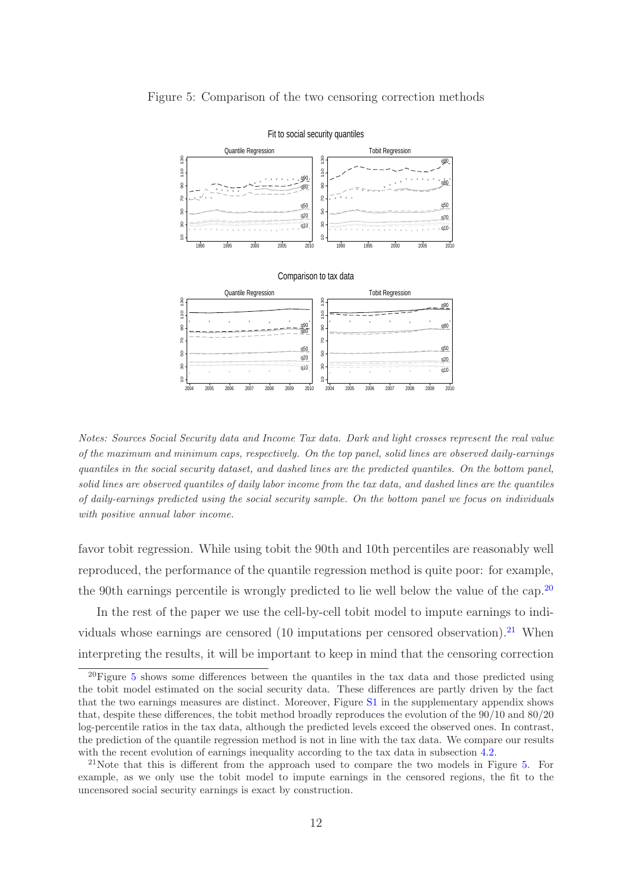<span id="page-12-0"></span>

Figure 5: Comparison of the two censoring correction methods

Notes: Sources Social Security data and Income Tax data. Dark and light crosses represent the real value of the maximum and minimum caps, respectively. On the top panel, solid lines are observed daily-earnings quantiles in the social security dataset, and dashed lines are the predicted quantiles. On the bottom panel, solid lines are observed quantiles of daily labor income from the tax data, and dashed lines are the quantiles of daily-earnings predicted using the social security sample. On the bottom panel we focus on individuals with positive annual labor income.

favor tobit regression. While using tobit the 90th and 10th percentiles are reasonably well reproduced, the performance of the quantile regression method is quite poor: for example, the 90th earnings percentile is wrongly predicted to lie well below the value of the cap.<sup>[20](#page-12-1)</sup>

In the rest of the paper we use the cell-by-cell tobit model to impute earnings to indi-viduals whose earnings are censored (10 imputations per censored observation).<sup>[21](#page-12-2)</sup> When interpreting the results, it will be important to keep in mind that the censoring correction

<span id="page-12-1"></span> $20$ Figure [5](#page-12-0) shows some differences between the quantiles in the tax data and those predicted using the tobit model estimated on the social security data. These differences are partly driven by the fact that the two earnings measures are distinct. Moreover, Figure [S1](#page-51-0) in the supplementary appendix shows that, despite these differences, the tobit method broadly reproduces the evolution of the 90/10 and 80/20 log-percentile ratios in the tax data, although the predicted levels exceed the observed ones. In contrast, the prediction of the quantile regression method is not in line with the tax data. We compare our results with the recent evolution of earnings inequality according to the tax data in subsection [4.2.](#page-15-0)

<span id="page-12-2"></span><sup>&</sup>lt;sup>21</sup>Note that this is different from the approach used to compare the two models in Figure [5.](#page-12-0) For example, as we only use the tobit model to impute earnings in the censored regions, the fit to the uncensored social security earnings is exact by construction.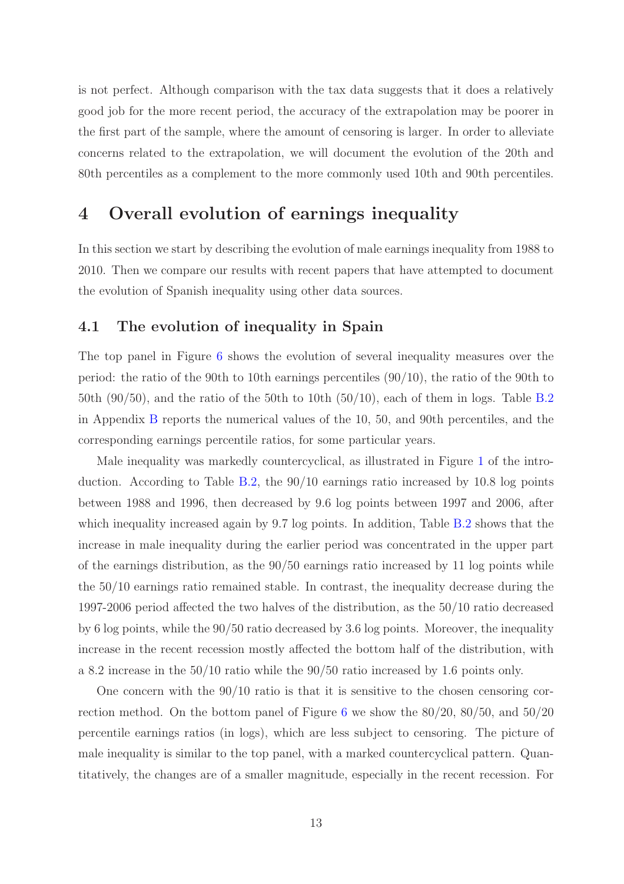is not perfect. Although comparison with the tax data suggests that it does a relatively good job for the more recent period, the accuracy of the extrapolation may be poorer in the first part of the sample, where the amount of censoring is larger. In order to alleviate concerns related to the extrapolation, we will document the evolution of the 20th and 80th percentiles as a complement to the more commonly used 10th and 90th percentiles.

## <span id="page-13-0"></span>4 Overall evolution of earnings inequality

In this section we start by describing the evolution of male earnings inequality from 1988 to 2010. Then we compare our results with recent papers that have attempted to document the evolution of Spanish inequality using other data sources.

#### 4.1 The evolution of inequality in Spain

The top panel in Figure [6](#page-14-0) shows the evolution of several inequality measures over the period: the ratio of the 90th to 10th earnings percentiles (90/10), the ratio of the 90th to 50th  $(90/50)$ , and the ratio of the 50th to 10th  $(50/10)$ , each of them in logs. Table [B.2](#page-41-0) in Appendix [B](#page-40-0) reports the numerical values of the 10, 50, and 90th percentiles, and the corresponding earnings percentile ratios, for some particular years.

Male inequality was markedly countercyclical, as illustrated in Figure [1](#page-2-0) of the introduction. According to Table [B.2,](#page-41-0) the 90/10 earnings ratio increased by 10.8 log points between 1988 and 1996, then decreased by 9.6 log points between 1997 and 2006, after which inequality increased again by 9.7 log points. In addition, Table [B.2](#page-41-0) shows that the increase in male inequality during the earlier period was concentrated in the upper part of the earnings distribution, as the 90/50 earnings ratio increased by 11 log points while the 50/10 earnings ratio remained stable. In contrast, the inequality decrease during the 1997-2006 period affected the two halves of the distribution, as the 50/10 ratio decreased by 6 log points, while the 90/50 ratio decreased by 3.6 log points. Moreover, the inequality increase in the recent recession mostly affected the bottom half of the distribution, with a 8.2 increase in the 50/10 ratio while the 90/50 ratio increased by 1.6 points only.

One concern with the 90/10 ratio is that it is sensitive to the chosen censoring correction method. On the bottom panel of Figure [6](#page-14-0) we show the 80/20, 80/50, and 50/20 percentile earnings ratios (in logs), which are less subject to censoring. The picture of male inequality is similar to the top panel, with a marked countercyclical pattern. Quantitatively, the changes are of a smaller magnitude, especially in the recent recession. For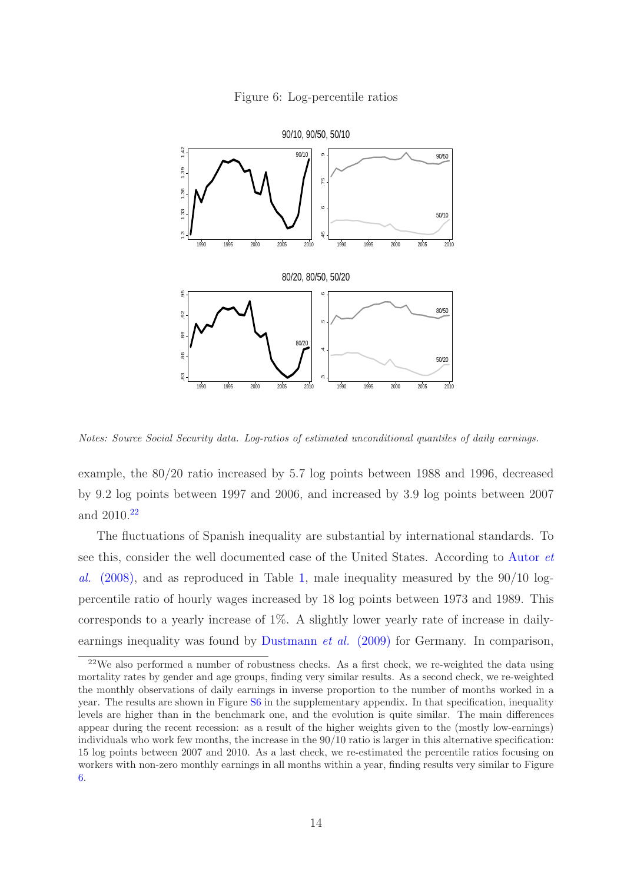<span id="page-14-0"></span>



Notes: Source Social Security data. Log-ratios of estimated unconditional quantiles of daily earnings.

example, the 80/20 ratio increased by 5.7 log points between 1988 and 1996, decreased by 9.2 log points between 1997 and 2006, and increased by 3.9 log points between 2007 and 2010.[22](#page-14-1)

The fluctuations of Spanish inequality are substantial by international standards. To see this, consider the well documented case of the United States. According to Autor *et al.* (2008), and as reproduced in Table [1,](#page-15-1) male inequality measured by the 90/10 logpercentile ratio of hourly wages increased by 18 log points between 1973 and 1989. This corresponds to a yearly increase of 1%. A slightly lower yearly rate of increase in daily-earnings inequality was found by [Dustmann](#page-61-0) *et al.* (2009) for Germany. In comparison,

<span id="page-14-1"></span><sup>22</sup>We also performed a number of robustness checks. As a first check, we re-weighted the data using mortality rates by gender and age groups, finding very similar results. As a second check, we re-weighted the monthly observations of daily earnings in inverse proportion to the number of months worked in a year. The results are shown in Figure [S6](#page-54-0) in the supplementary appendix. In that specification, inequality levels are higher than in the benchmark one, and the evolution is quite similar. The main differences appear during the recent recession: as a result of the higher weights given to the (mostly low-earnings) individuals who work few months, the increase in the 90/10 ratio is larger in this alternative specification: 15 log points between 2007 and 2010. As a last check, we re-estimated the percentile ratios focusing on workers with non-zero monthly earnings in all months within a year, finding results very similar to Figure [6.](#page-14-0)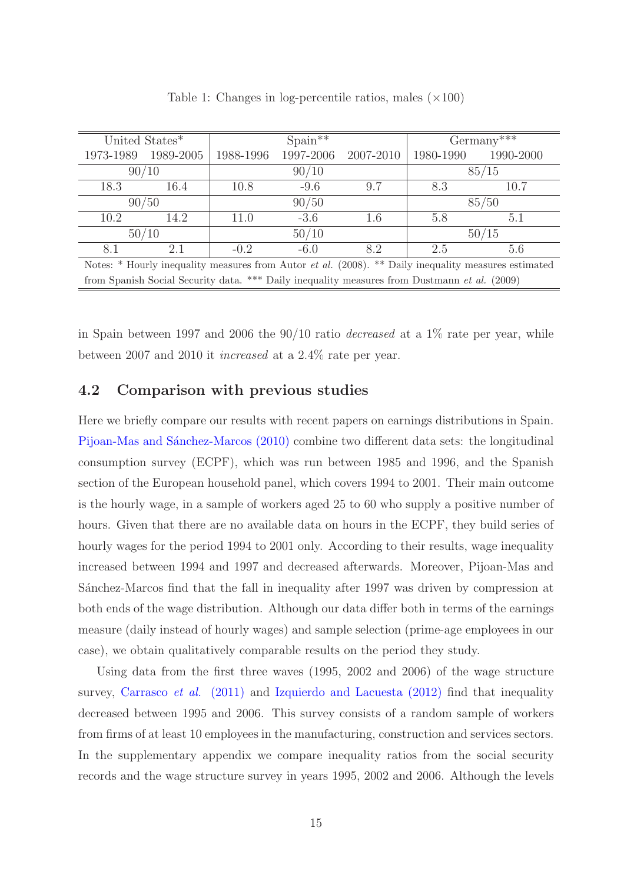|                                                                                                                 | United States* |           | $Spani**$                                        |     |                                                                                              | $Germany***$ |  |  |  |
|-----------------------------------------------------------------------------------------------------------------|----------------|-----------|--------------------------------------------------|-----|----------------------------------------------------------------------------------------------|--------------|--|--|--|
| 1973-1989                                                                                                       | 1989-2005      | 1988-1996 | 1997-2006<br>2007-2010<br>1980-1990<br>1990-2000 |     |                                                                                              |              |  |  |  |
|                                                                                                                 | 90/10          |           | 90/10                                            |     |                                                                                              | 85/15        |  |  |  |
| 18.3                                                                                                            | 16.4           | 10.8      | $-9.6$                                           | 9.7 | 8.3                                                                                          | 10.7         |  |  |  |
|                                                                                                                 | 90/50          | 90/50     |                                                  |     | 85/50                                                                                        |              |  |  |  |
| 10.2                                                                                                            | 14.2           | 11.0      | $-3.6$                                           | 1.6 | 5.8                                                                                          | 5.1          |  |  |  |
| 50/10                                                                                                           |                |           | 50/10                                            |     |                                                                                              | 50/15        |  |  |  |
| 8.1                                                                                                             | 2.1            | $-0.2$    | $-6.0$                                           | 8.2 | 2.5                                                                                          | 5.6          |  |  |  |
| Notes: $*$ Hourly inequality measures from Autor <i>et al.</i> (2008). $**$ Daily inequality measures estimated |                |           |                                                  |     |                                                                                              |              |  |  |  |
|                                                                                                                 |                |           |                                                  |     | from Spanish Social Security data. *** Daily inequality measures from Dustmann et al. (2009) |              |  |  |  |

<span id="page-15-1"></span>Table 1: Changes in log-percentile ratios, males  $(\times 100)$ 

in Spain between 1997 and 2006 the 90/10 ratio *decreased* at a 1% rate per year, while between 2007 and 2010 it *increased* at a 2.4% rate per year.

### <span id="page-15-0"></span>4.2 Comparison with previous studies

Here we briefly compare our results with recent papers on earnings distributions in Spain. Pijoan-Mas and Sánchez-Marcos (2010) combine two different data sets: the longitudinal consumption survey (ECPF), which was run between 1985 and 1996, and the Spanish section of the European household panel, which covers 1994 to 2001. Their main outcome is the hourly wage, in a sample of workers aged 25 to 60 who supply a positive number of hours. Given that there are no available data on hours in the ECPF, they build series of hourly wages for the period 1994 to 2001 only. According to their results, wage inequality increased between 1994 and 1997 and decreased afterwards. Moreover, Pijoan-Mas and Sánchez-Marcos find that the fall in inequality after 1997 was driven by compression at both ends of the wage distribution. Although our data differ both in terms of the earnings measure (daily instead of hourly wages) and sample selection (prime-age employees in our case), we obtain qualitatively comparable results on the period they study.

Using data from the first three waves (1995, 2002 and 2006) of the wage structure survey, [Carrasco](#page-33-3) *et al.* (2011) and [Izquierdo and Lacuesta \(2012\)](#page-35-3) find that inequality decreased between 1995 and 2006. This survey consists of a random sample of workers from firms of at least 10 employees in the manufacturing, construction and services sectors. In the supplementary appendix we compare inequality ratios from the social security records and the wage structure survey in years 1995, 2002 and 2006. Although the levels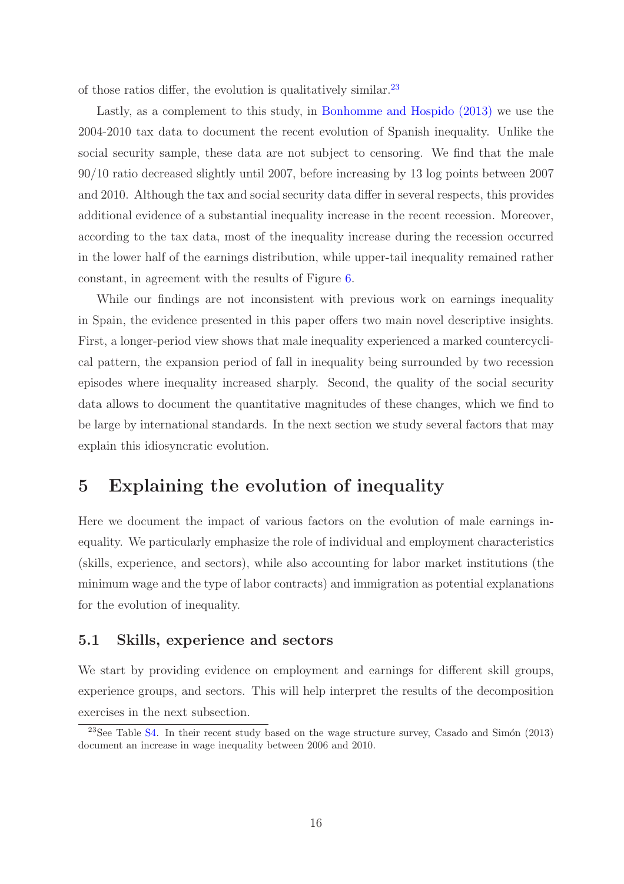of those ratios differ, the evolution is qualitatively similar. $^{23}$  $^{23}$  $^{23}$ 

Lastly, as a complement to this study, in [Bonhomme and Hospido \(2013\)](#page-33-4) we use the 2004-2010 tax data to document the recent evolution of Spanish inequality. Unlike the social security sample, these data are not subject to censoring. We find that the male 90/10 ratio decreased slightly until 2007, before increasing by 13 log points between 2007 and 2010. Although the tax and social security data differ in several respects, this provides additional evidence of a substantial inequality increase in the recent recession. Moreover, according to the tax data, most of the inequality increase during the recession occurred in the lower half of the earnings distribution, while upper-tail inequality remained rather constant, in agreement with the results of Figure [6.](#page-14-0)

While our findings are not inconsistent with previous work on earnings inequality in Spain, the evidence presented in this paper offers two main novel descriptive insights. First, a longer-period view shows that male inequality experienced a marked countercyclical pattern, the expansion period of fall in inequality being surrounded by two recession episodes where inequality increased sharply. Second, the quality of the social security data allows to document the quantitative magnitudes of these changes, which we find to be large by international standards. In the next section we study several factors that may explain this idiosyncratic evolution.

## <span id="page-16-0"></span>5 Explaining the evolution of inequality

Here we document the impact of various factors on the evolution of male earnings inequality. We particularly emphasize the role of individual and employment characteristics (skills, experience, and sectors), while also accounting for labor market institutions (the minimum wage and the type of labor contracts) and immigration as potential explanations for the evolution of inequality.

#### 5.1 Skills, experience and sectors

We start by providing evidence on employment and earnings for different skill groups, experience groups, and sectors. This will help interpret the results of the decomposition exercises in the next subsection.

<span id="page-16-1"></span> $23$ See Table [S4.](#page-49-0) In their recent study based on the wage structure survey, Casado and Simón (2013) document an increase in wage inequality between 2006 and 2010.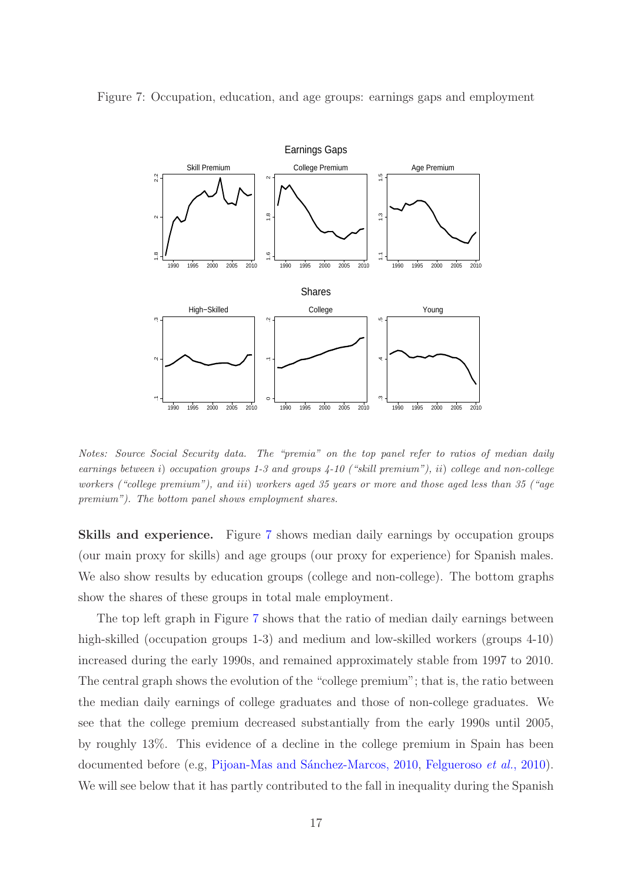<span id="page-17-0"></span>

Figure 7: Occupation, education, and age groups: earnings gaps and employment

Notes: Source Social Security data. The "premia" on the top panel refer to ratios of median daily earnings between i) occupation groups 1-3 and groups 4-10 ("skill premium"), ii) college and non-college workers ("college premium"), and iii) workers aged 35 years or more and those aged less than 35 ("age premium"). The bottom panel shows employment shares.

Skills and experience. Figure [7](#page-17-0) shows median daily earnings by occupation groups (our main proxy for skills) and age groups (our proxy for experience) for Spanish males. We also show results by education groups (college and non-college). The bottom graphs show the shares of these groups in total male employment.

The top left graph in Figure [7](#page-17-0) shows that the ratio of median daily earnings between high-skilled (occupation groups 1-3) and medium and low-skilled workers (groups 4-10) increased during the early 1990s, and remained approximately stable from 1997 to 2010. The central graph shows the evolution of the "college premium"; that is, the ratio between the median daily earnings of college graduates and those of non-college graduates. We see that the college premium decreased substantially from the early 1990s until 2005, by roughly 13%. This evidence of a decline in the college premium in Spain has been documented before (e.g, Pijoan-Mas and Sánchez-Marcos, 2010, [Felgueroso](#page-34-4) *et al.*, 2010). We will see below that it has partly contributed to the fall in inequality during the Spanish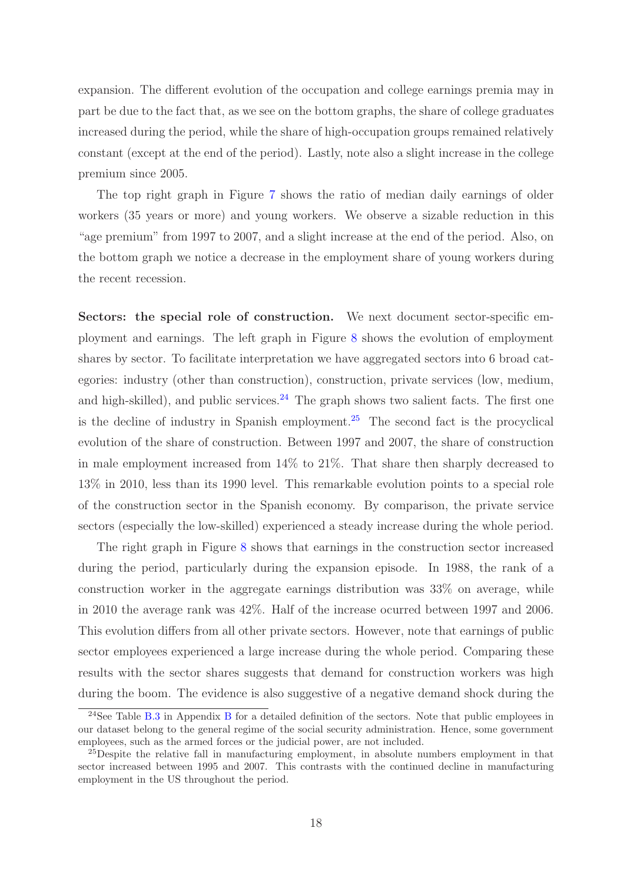expansion. The different evolution of the occupation and college earnings premia may in part be due to the fact that, as we see on the bottom graphs, the share of college graduates increased during the period, while the share of high-occupation groups remained relatively constant (except at the end of the period). Lastly, note also a slight increase in the college premium since 2005.

The top right graph in Figure [7](#page-17-0) shows the ratio of median daily earnings of older workers (35 years or more) and young workers. We observe a sizable reduction in this "age premium" from 1997 to 2007, and a slight increase at the end of the period. Also, on the bottom graph we notice a decrease in the employment share of young workers during the recent recession.

Sectors: the special role of construction. We next document sector-specific employment and earnings. The left graph in Figure [8](#page-19-0) shows the evolution of employment shares by sector. To facilitate interpretation we have aggregated sectors into 6 broad categories: industry (other than construction), construction, private services (low, medium, and high-skilled), and public services.<sup>[24](#page-18-0)</sup> The graph shows two salient facts. The first one is the decline of industry in Spanish employment.<sup>[25](#page-18-1)</sup> The second fact is the procyclical evolution of the share of construction. Between 1997 and 2007, the share of construction in male employment increased from 14% to 21%. That share then sharply decreased to 13% in 2010, less than its 1990 level. This remarkable evolution points to a special role of the construction sector in the Spanish economy. By comparison, the private service sectors (especially the low-skilled) experienced a steady increase during the whole period.

The right graph in Figure [8](#page-19-0) shows that earnings in the construction sector increased during the period, particularly during the expansion episode. In 1988, the rank of a construction worker in the aggregate earnings distribution was 33% on average, while in 2010 the average rank was 42%. Half of the increase ocurred between 1997 and 2006. This evolution differs from all other private sectors. However, note that earnings of public sector employees experienced a large increase during the whole period. Comparing these results with the sector shares suggests that demand for construction workers was high during the boom. The evidence is also suggestive of a negative demand shock during the

<span id="page-18-0"></span><sup>&</sup>lt;sup>24</sup>See Table [B.3](#page-41-1) in Appendix [B](#page-40-0) for a detailed definition of the sectors. Note that public employees in our dataset belong to the general regime of the social security administration. Hence, some government employees, such as the armed forces or the judicial power, are not included.

<span id="page-18-1"></span><sup>&</sup>lt;sup>25</sup>Despite the relative fall in manufacturing employment, in absolute numbers employment in that sector increased between 1995 and 2007. This contrasts with the continued decline in manufacturing employment in the US throughout the period.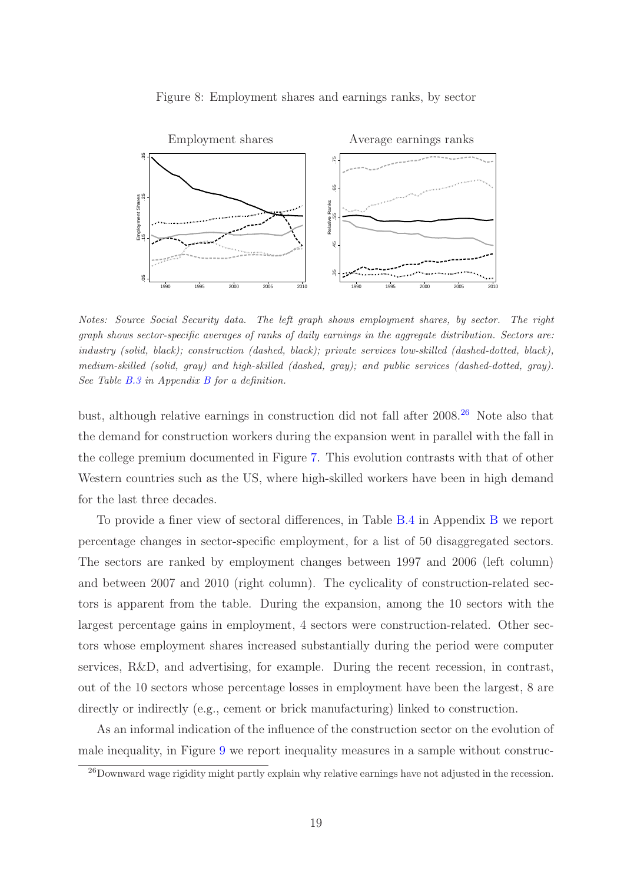

<span id="page-19-0"></span>Figure 8: Employment shares and earnings ranks, by sector

Notes: Source Social Security data. The left graph shows employment shares, by sector. The right graph shows sector-specific averages of ranks of daily earnings in the aggregate distribution. Sectors are: industry (solid, black); construction (dashed, black); private services low-skilled (dashed-dotted, black), medium-skilled (solid, gray) and high-skilled (dashed, gray); and public services (dashed-dotted, gray). See Table [B.3](#page-41-1) in Appendix [B](#page-40-0) for a definition.

bust, although relative earnings in construction did not fall after 2008.[26](#page-19-1) Note also that the demand for construction workers during the expansion went in parallel with the fall in the college premium documented in Figure [7.](#page-17-0) This evolution contrasts with that of other Western countries such as the US, where high-skilled workers have been in high demand for the last three decades.

To provide a finer view of sectoral differences, in Table [B.4](#page-42-0) in Appendix [B](#page-40-0) we report percentage changes in sector-specific employment, for a list of 50 disaggregated sectors. The sectors are ranked by employment changes between 1997 and 2006 (left column) and between 2007 and 2010 (right column). The cyclicality of construction-related sectors is apparent from the table. During the expansion, among the 10 sectors with the largest percentage gains in employment, 4 sectors were construction-related. Other sectors whose employment shares increased substantially during the period were computer services, R&D, and advertising, for example. During the recent recession, in contrast, out of the 10 sectors whose percentage losses in employment have been the largest, 8 are directly or indirectly (e.g., cement or brick manufacturing) linked to construction.

As an informal indication of the influence of the construction sector on the evolution of male inequality, in Figure [9](#page-20-0) we report inequality measures in a sample without construc-

<span id="page-19-1"></span><sup>26</sup>Downward wage rigidity might partly explain why relative earnings have not adjusted in the recession.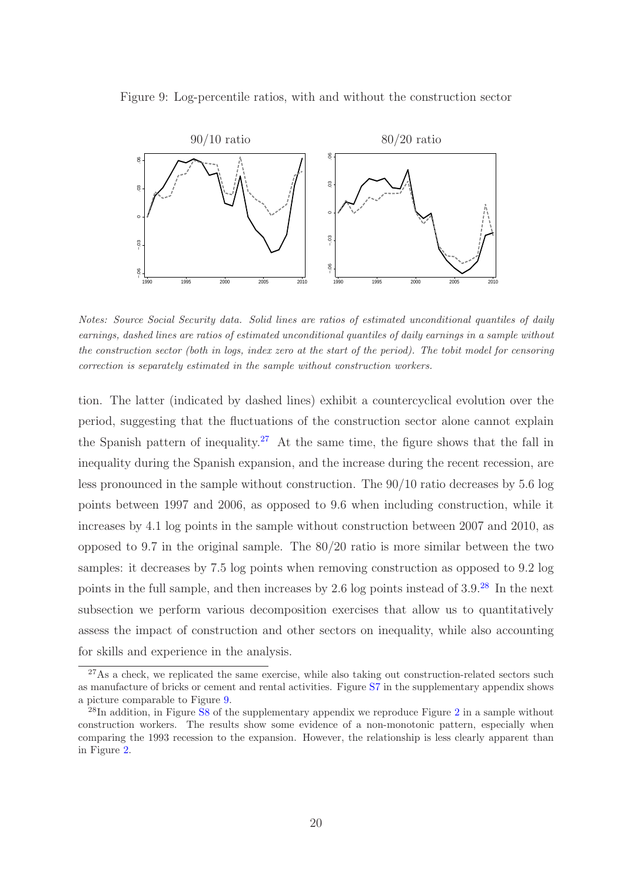

<span id="page-20-0"></span>

Notes: Source Social Security data. Solid lines are ratios of estimated unconditional quantiles of daily earnings, dashed lines are ratios of estimated unconditional quantiles of daily earnings in a sample without the construction sector (both in logs, index zero at the start of the period). The tobit model for censoring correction is separately estimated in the sample without construction workers.

tion. The latter (indicated by dashed lines) exhibit a countercyclical evolution over the period, suggesting that the fluctuations of the construction sector alone cannot explain the Spanish pattern of inequality.<sup>[27](#page-20-1)</sup> At the same time, the figure shows that the fall in inequality during the Spanish expansion, and the increase during the recent recession, are less pronounced in the sample without construction. The 90/10 ratio decreases by 5.6 log points between 1997 and 2006, as opposed to 9.6 when including construction, while it increases by 4.1 log points in the sample without construction between 2007 and 2010, as opposed to 9.7 in the original sample. The 80/20 ratio is more similar between the two samples: it decreases by 7.5 log points when removing construction as opposed to 9.2 log points in the full sample, and then increases by 2.6 log points instead of 3.9.[28](#page-20-2) In the next subsection we perform various decomposition exercises that allow us to quantitatively assess the impact of construction and other sectors on inequality, while also accounting for skills and experience in the analysis.

<span id="page-20-1"></span> $27\text{As a check, we replicated the same exercise, while also taking out construction-related sectors such.}$ as manufacture of bricks or cement and rental activities. Figure [S7](#page-54-1) in the supplementary appendix shows a picture comparable to Figure [9.](#page-20-0)

<span id="page-20-2"></span> $^{28}$  $^{28}$  $^{28}$ In addition, in Figure [S8](#page-55-0) of the supplementary appendix we reproduce Figure 2 in a sample without construction workers. The results show some evidence of a non-monotonic pattern, especially when comparing the 1993 recession to the expansion. However, the relationship is less clearly apparent than in Figure [2.](#page-3-0)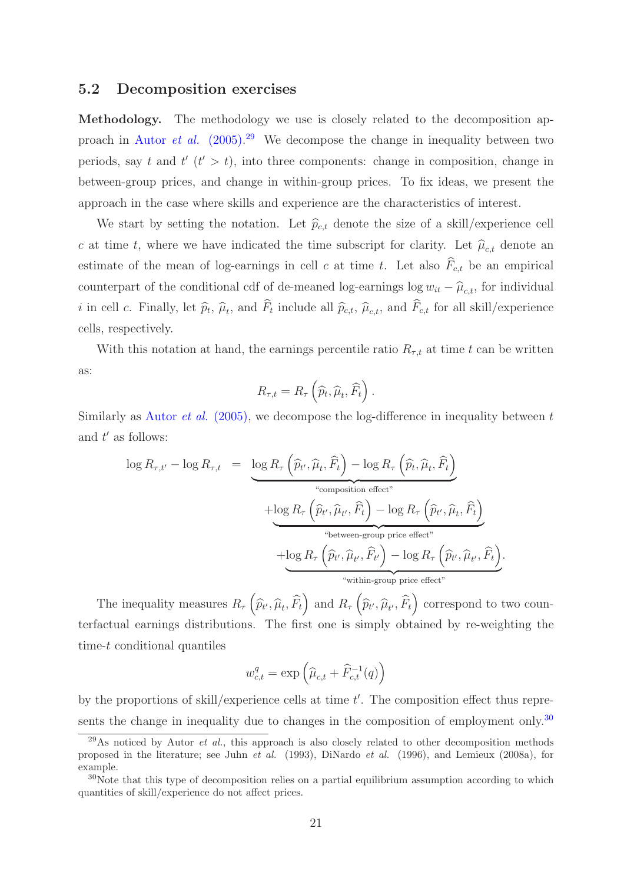#### 5.2 Decomposition exercises

Methodology. The methodology we use is closely related to the decomposition approach in Autor *et al.* [\(2005\).](#page-33-1) [29](#page-21-0) We decompose the change in inequality between two periods, say t and  $t'$  ( $t' > t$ ), into three components: change in composition, change in between-group prices, and change in within-group prices. To fix ideas, we present the approach in the case where skills and experience are the characteristics of interest.

We start by setting the notation. Let  $\hat{p}_{c,t}$  denote the size of a skill/experience cell c at time t, where we have indicated the time subscript for clarity. Let  $\hat{\mu}_{ct}$  denote an estimate of the mean of log-earnings in cell c at time t. Let also  $F_{c,t}$  be an empirical counterpart of the conditional cdf of de-meaned log-earnings log  $w_{it} - \hat{\mu}_{c,t}$ , for individual *i* in cell *c*. Finally, let  $\hat{p}_t$ ,  $\hat{\mu}_t$ , and  $F_t$  include all  $\hat{p}_{c,t}$ ,  $\hat{\mu}_{c,t}$ , and  $F_{c,t}$  for all skill/experience cells, respectively.

With this notation at hand, the earnings percentile ratio  $R_{\tau,t}$  at time t can be written as:

$$
R_{\tau,t} = R_{\tau} \left( \widehat{p}_t, \widehat{\mu}_t, \widehat{F}_t \right).
$$

Similarly as Autor *et al.* [\(2005\),](#page-33-1) we decompose the log-difference in inequality between t and  $t'$  as follows:

$$
\log R_{\tau,t'} - \log R_{\tau,t} = \underbrace{\log R_{\tau} \left( \widehat{p}_{t'}, \widehat{\mu}_t, \widehat{F}_t \right) - \log R_{\tau} \left( \widehat{p}_t, \widehat{\mu}_t, \widehat{F}_t \right)}_{\text{``composition effect''}} + \underbrace{\log R_{\tau} \left( \widehat{p}_{t'}, \widehat{\mu}_t, \widehat{F}_t \right) - \log R_{\tau} \left( \widehat{p}_{t'}, \widehat{\mu}_t, \widehat{F}_t \right)}_{\text{``between-group price effect''}} + \underbrace{\log R_{\tau} \left( \widehat{p}_{t'}, \widehat{\mu}_{t'}, \widehat{F}_t \right) - \log R_{\tau} \left( \widehat{p}_{t'}, \widehat{\mu}_{t'}, \widehat{F}_t \right)}_{\text{``within-group price effect''}}.
$$

The inequality measures  $R_{\tau}(\hat{p}_{t'}, \hat{\mu}_t, \hat{F}_t)$  and  $R_{\tau}(\hat{p}_{t'}, \hat{\mu}_{t'}, \hat{F}_t)$  correspond to two counterfactual earnings distributions. The first one is simply obtained by re-weighting the time-t conditional quantiles

$$
w_{c,t}^q = \exp\left(\widehat{\mu}_{c,t} + \widehat{F}_{c,t}^{-1}(q)\right)
$$

by the proportions of skill/experience cells at time  $t'$ . The composition effect thus repre-sents the change in inequality due to changes in the composition of employment only.<sup>[30](#page-21-1)</sup>

<span id="page-21-0"></span><sup>&</sup>lt;sup>29</sup>As noticed by Autor *et al.*, this approach is also closely related to other decomposition methods proposed in the literature; see Juhn et al. (1993), DiNardo et al. (1996), and Lemieux (2008a), for example.

<span id="page-21-1"></span> $30\text{Note that this type of decomposition relies on a partial equilibrium assumption according to which}$ quantities of skill/experience do not affect prices.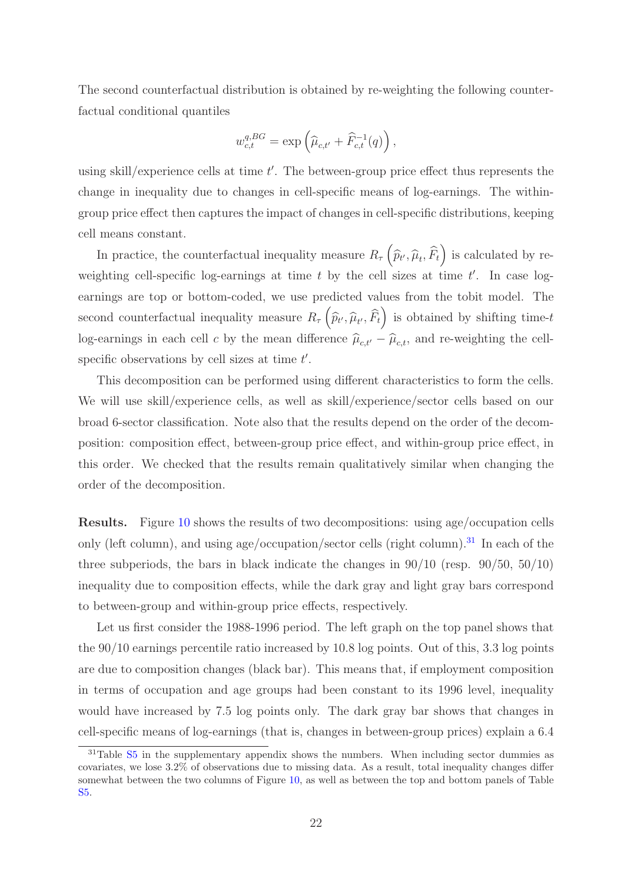The second counterfactual distribution is obtained by re-weighting the following counterfactual conditional quantiles

$$
w_{c,t}^{q, BG} = \exp\left(\widehat{\mu}_{c,t'} + \widehat{F}_{c,t}^{-1}(q)\right),\,
$$

using skill/experience cells at time  $t'$ . The between-group price effect thus represents the change in inequality due to changes in cell-specific means of log-earnings. The withingroup price effect then captures the impact of changes in cell-specific distributions, keeping cell means constant.

In practice, the counterfactual inequality measure  $R_{\tau}(\hat{p}_{t'}, \hat{\mu}_t, \hat{F}_t)$  is calculated by reweighting cell-specific log-earnings at time  $t$  by the cell sizes at time  $t'$ . In case logearnings are top or bottom-coded, we use predicted values from the tobit model. The second counterfactual inequality measure  $R_{\tau}(\hat{p}_{t'}, \hat{\mu}_{t'}, \hat{F}_t)$  is obtained by shifting time-t log-earnings in each cell c by the mean difference  $\hat{\mu}_{c,t'} - \hat{\mu}_{c,t}$ , and re-weighting the cellspecific observations by cell sizes at time  $t'$ .

This decomposition can be performed using different characteristics to form the cells. We will use skill/experience cells, as well as skill/experience/sector cells based on our broad 6-sector classification. Note also that the results depend on the order of the decomposition: composition effect, between-group price effect, and within-group price effect, in this order. We checked that the results remain qualitatively similar when changing the order of the decomposition.

Results. Figure [10](#page-23-0) shows the results of two decompositions: using age/occupation cells only (left column), and using age/occupation/sector cells (right column).<sup>[31](#page-22-0)</sup> In each of the three subperiods, the bars in black indicate the changes in  $90/10$  (resp.  $90/50$ ,  $50/10$ ) inequality due to composition effects, while the dark gray and light gray bars correspond to between-group and within-group price effects, respectively.

Let us first consider the 1988-1996 period. The left graph on the top panel shows that the 90/10 earnings percentile ratio increased by 10.8 log points. Out of this, 3.3 log points are due to composition changes (black bar). This means that, if employment composition in terms of occupation and age groups had been constant to its 1996 level, inequality would have increased by 7.5 log points only. The dark gray bar shows that changes in cell-specific means of log-earnings (that is, changes in between-group prices) explain a 6.4

<span id="page-22-0"></span> $31$ Table  $S5$  in the supplementary appendix shows the numbers. When including sector dummies as covariates, we lose 3.2% of observations due to missing data. As a result, total inequality changes differ somewhat between the two columns of Figure [10,](#page-23-0) as well as between the top and bottom panels of Table [S5.](#page-50-0)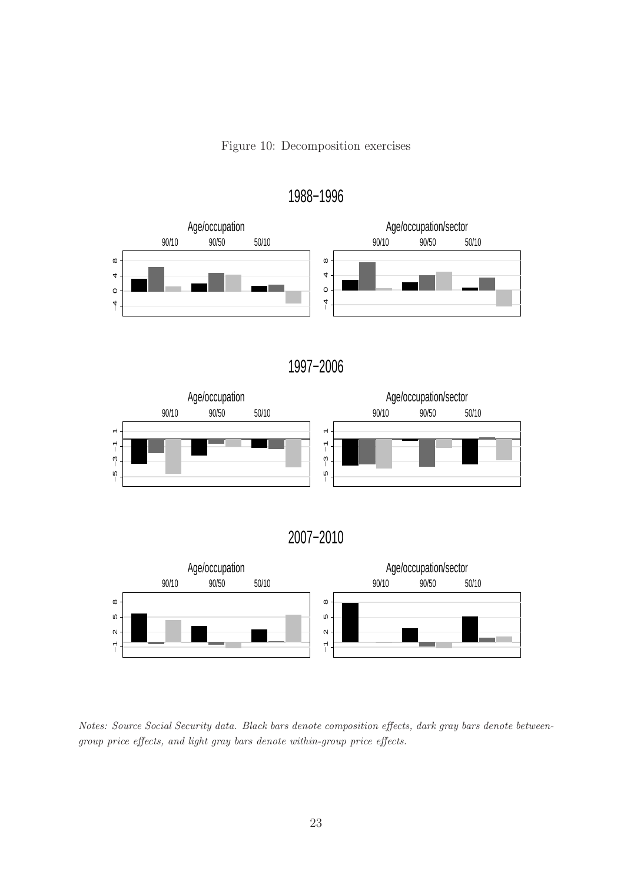Figure 10: Decomposition exercises



<span id="page-23-0"></span>1988−1996

1997−2006



2007−2010



Notes: Source Social Security data. Black bars denote composition effects, dark gray bars denote betweengroup price effects, and light gray bars denote within-group price effects.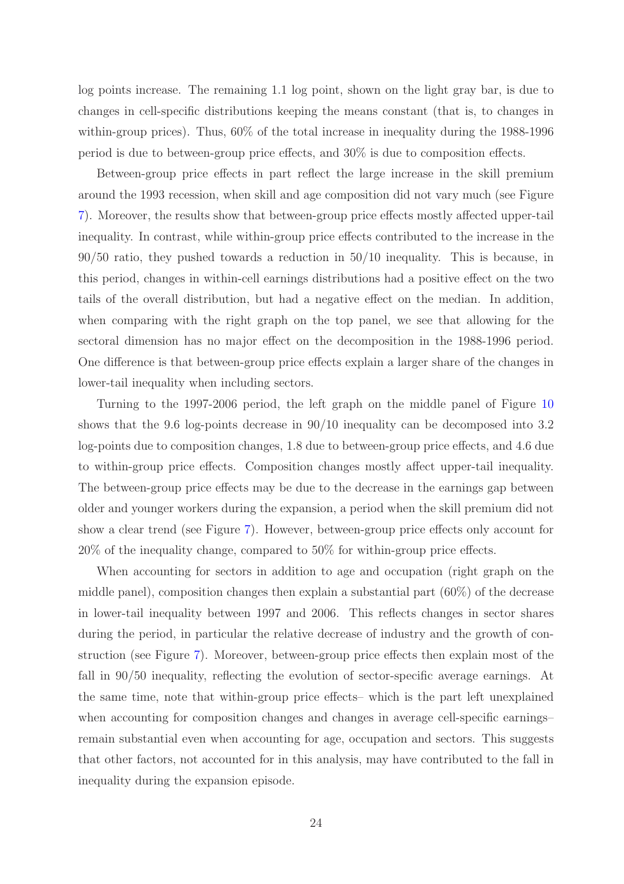log points increase. The remaining 1.1 log point, shown on the light gray bar, is due to changes in cell-specific distributions keeping the means constant (that is, to changes in within-group prices). Thus, 60% of the total increase in inequality during the 1988-1996 period is due to between-group price effects, and 30% is due to composition effects.

Between-group price effects in part reflect the large increase in the skill premium around the 1993 recession, when skill and age composition did not vary much (see Figure [7\)](#page-17-0). Moreover, the results show that between-group price effects mostly affected upper-tail inequality. In contrast, while within-group price effects contributed to the increase in the 90/50 ratio, they pushed towards a reduction in 50/10 inequality. This is because, in this period, changes in within-cell earnings distributions had a positive effect on the two tails of the overall distribution, but had a negative effect on the median. In addition, when comparing with the right graph on the top panel, we see that allowing for the sectoral dimension has no major effect on the decomposition in the 1988-1996 period. One difference is that between-group price effects explain a larger share of the changes in lower-tail inequality when including sectors.

Turning to the 1997-2006 period, the left graph on the middle panel of Figure [10](#page-23-0) shows that the 9.6 log-points decrease in 90/10 inequality can be decomposed into 3.2 log-points due to composition changes, 1.8 due to between-group price effects, and 4.6 due to within-group price effects. Composition changes mostly affect upper-tail inequality. The between-group price effects may be due to the decrease in the earnings gap between older and younger workers during the expansion, a period when the skill premium did not show a clear trend (see Figure [7\)](#page-17-0). However, between-group price effects only account for 20% of the inequality change, compared to 50% for within-group price effects.

When accounting for sectors in addition to age and occupation (right graph on the middle panel), composition changes then explain a substantial part (60%) of the decrease in lower-tail inequality between 1997 and 2006. This reflects changes in sector shares during the period, in particular the relative decrease of industry and the growth of construction (see Figure [7\)](#page-17-0). Moreover, between-group price effects then explain most of the fall in 90/50 inequality, reflecting the evolution of sector-specific average earnings. At the same time, note that within-group price effects– which is the part left unexplained when accounting for composition changes and changes in average cell-specific earnings– remain substantial even when accounting for age, occupation and sectors. This suggests that other factors, not accounted for in this analysis, may have contributed to the fall in inequality during the expansion episode.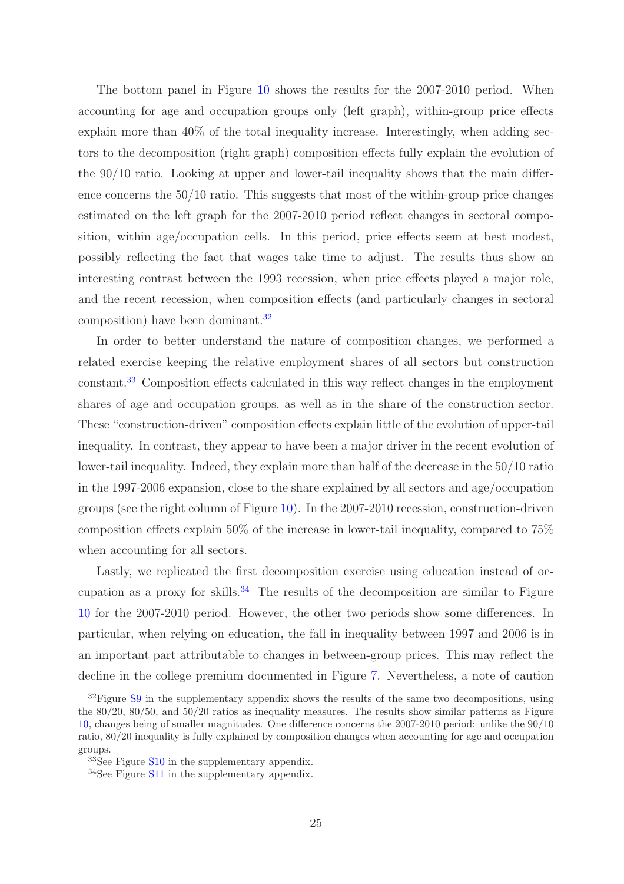The bottom panel in Figure [10](#page-23-0) shows the results for the 2007-2010 period. When accounting for age and occupation groups only (left graph), within-group price effects explain more than  $40\%$  of the total inequality increase. Interestingly, when adding sectors to the decomposition (right graph) composition effects fully explain the evolution of the 90/10 ratio. Looking at upper and lower-tail inequality shows that the main difference concerns the 50/10 ratio. This suggests that most of the within-group price changes estimated on the left graph for the 2007-2010 period reflect changes in sectoral composition, within age/occupation cells. In this period, price effects seem at best modest, possibly reflecting the fact that wages take time to adjust. The results thus show an interesting contrast between the 1993 recession, when price effects played a major role, and the recent recession, when composition effects (and particularly changes in sectoral composition) have been dominant.[32](#page-25-0)

In order to better understand the nature of composition changes, we performed a related exercise keeping the relative employment shares of all sectors but construction constant.[33](#page-25-1) Composition effects calculated in this way reflect changes in the employment shares of age and occupation groups, as well as in the share of the construction sector. These "construction-driven" composition effects explain little of the evolution of upper-tail inequality. In contrast, they appear to have been a major driver in the recent evolution of lower-tail inequality. Indeed, they explain more than half of the decrease in the 50/10 ratio in the 1997-2006 expansion, close to the share explained by all sectors and age/occupation groups (see the right column of Figure [10\)](#page-23-0). In the 2007-2010 recession, construction-driven composition effects explain 50% of the increase in lower-tail inequality, compared to 75% when accounting for all sectors.

Lastly, we replicated the first decomposition exercise using education instead of oc-cupation as a proxy for skills.<sup>[34](#page-25-2)</sup> The results of the decomposition are similar to Figure [10](#page-23-0) for the 2007-2010 period. However, the other two periods show some differences. In particular, when relying on education, the fall in inequality between 1997 and 2006 is in an important part attributable to changes in between-group prices. This may reflect the decline in the college premium documented in Figure [7.](#page-17-0) Nevertheless, a note of caution

<span id="page-25-0"></span> $32$ Figure [S9](#page-55-1) in the supplementary appendix shows the results of the same two decompositions, using the 80/20, 80/50, and 50/20 ratios as inequality measures. The results show similar patterns as Figure [10,](#page-23-0) changes being of smaller magnitudes. One difference concerns the 2007-2010 period: unlike the 90/10 ratio, 80/20 inequality is fully explained by composition changes when accounting for age and occupation groups.

<sup>33</sup>See Figure [S10](#page-56-0) in the supplementary appendix.

<span id="page-25-2"></span><span id="page-25-1"></span><sup>34</sup>See Figure [S11](#page-56-1) in the supplementary appendix.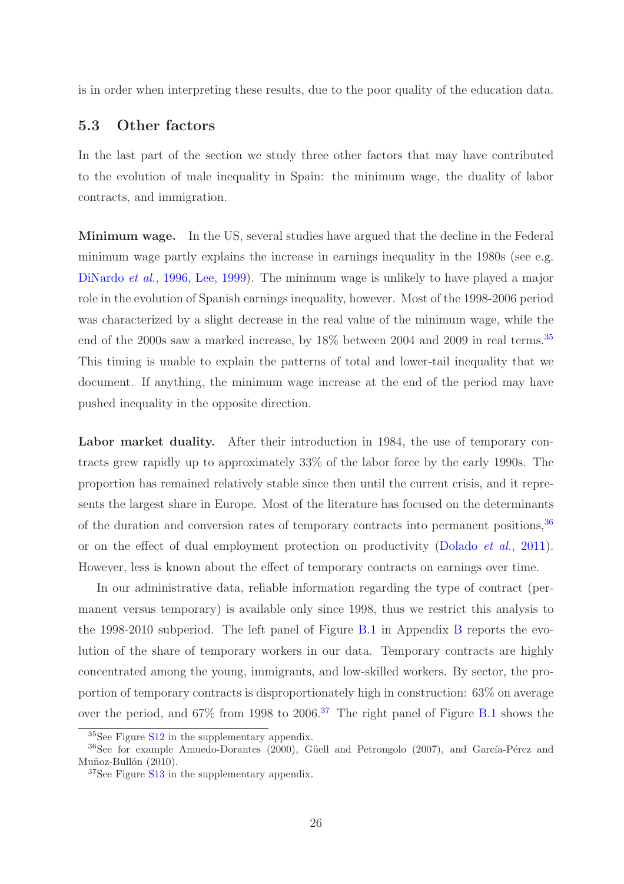is in order when interpreting these results, due to the poor quality of the education data.

### 5.3 Other factors

In the last part of the section we study three other factors that may have contributed to the evolution of male inequality in Spain: the minimum wage, the duality of labor contracts, and immigration.

Minimum wage. In the US, several studies have argued that the decline in the Federal minimum wage partly explains the increase in earnings inequality in the 1980s (see e.g. [DiNardo](#page-34-5) *et al.*, 1996, [Lee, 1999\)](#page-35-5). The minimum wage is unlikely to have played a major role in the evolution of Spanish earnings inequality, however. Most of the 1998-2006 period was characterized by a slight decrease in the real value of the minimum wage, while the end of the 2000s saw a marked increase, by  $18\%$  between 2004 and 2009 in real terms.<sup>[35](#page-26-0)</sup> This timing is unable to explain the patterns of total and lower-tail inequality that we document. If anything, the minimum wage increase at the end of the period may have pushed inequality in the opposite direction.

Labor market duality. After their introduction in 1984, the use of temporary contracts grew rapidly up to approximately 33% of the labor force by the early 1990s. The proportion has remained relatively stable since then until the current crisis, and it represents the largest share in Europe. Most of the literature has focused on the determinants of the duration and conversion rates of temporary contracts into permanent positions,  $36$ or on the effect of dual employment protection on productivity [\(Dolado](#page-34-6) *et al.*, 2011). However, less is known about the effect of temporary contracts on earnings over time.

In our administrative data, reliable information regarding the type of contract (permanent versus temporary) is available only since 1998, thus we restrict this analysis to the 1998-2010 subperiod. The left panel of Figure [B.1](#page-43-0) in Appendix [B](#page-40-0) reports the evolution of the share of temporary workers in our data. Temporary contracts are highly concentrated among the young, immigrants, and low-skilled workers. By sector, the proportion of temporary contracts is disproportionately high in construction: 63% on average over the period, and  $67\%$  from 1998 to 2006.<sup>[37](#page-26-2)</sup> The right panel of Figure [B.1](#page-43-0) shows the

<span id="page-26-0"></span><sup>&</sup>lt;sup>35</sup>See Figure S<sub>12</sub> in the supplementary appendix.

 $36$ See for example Amuedo-Dorantes (2000), Güell and Petrongolo (2007), and García-Pérez and Muñoz-Bullón (2010).

<span id="page-26-2"></span><span id="page-26-1"></span><sup>37</sup>See Figure [S13](#page-57-1) in the supplementary appendix.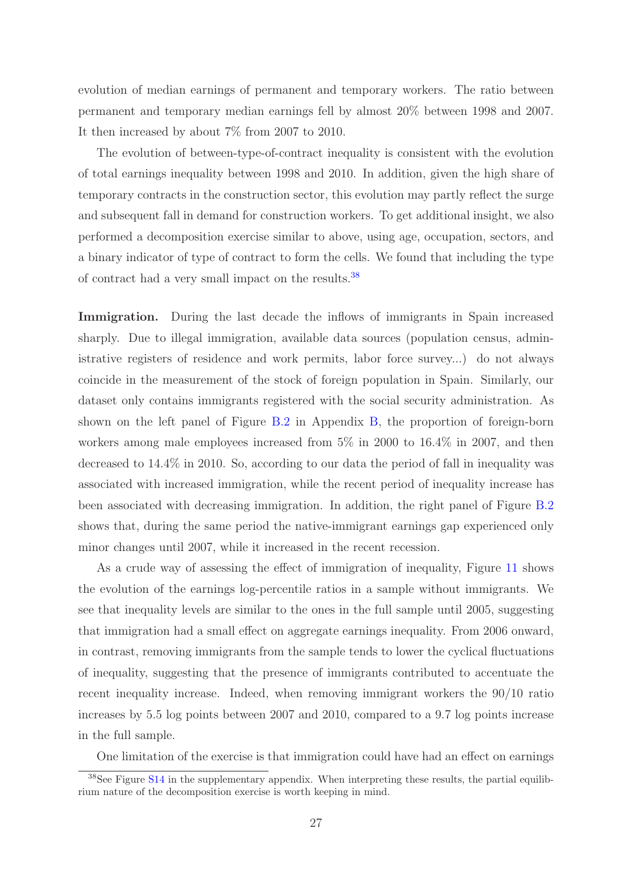evolution of median earnings of permanent and temporary workers. The ratio between permanent and temporary median earnings fell by almost 20% between 1998 and 2007. It then increased by about 7% from 2007 to 2010.

The evolution of between-type-of-contract inequality is consistent with the evolution of total earnings inequality between 1998 and 2010. In addition, given the high share of temporary contracts in the construction sector, this evolution may partly reflect the surge and subsequent fall in demand for construction workers. To get additional insight, we also performed a decomposition exercise similar to above, using age, occupation, sectors, and a binary indicator of type of contract to form the cells. We found that including the type of contract had a very small impact on the results.[38](#page-27-0)

Immigration. During the last decade the inflows of immigrants in Spain increased sharply. Due to illegal immigration, available data sources (population census, administrative registers of residence and work permits, labor force survey...) do not always coincide in the measurement of the stock of foreign population in Spain. Similarly, our dataset only contains immigrants registered with the social security administration. As shown on the left panel of Figure [B.2](#page-43-1) in Appendix [B,](#page-40-0) the proportion of foreign-born workers among male employees increased from 5% in 2000 to 16.4% in 2007, and then decreased to 14.4% in 2010. So, according to our data the period of fall in inequality was associated with increased immigration, while the recent period of inequality increase has been associated with decreasing immigration. In addition, the right panel of Figure [B.2](#page-43-1) shows that, during the same period the native-immigrant earnings gap experienced only minor changes until 2007, while it increased in the recent recession.

As a crude way of assessing the effect of immigration of inequality, Figure [11](#page-28-0) shows the evolution of the earnings log-percentile ratios in a sample without immigrants. We see that inequality levels are similar to the ones in the full sample until 2005, suggesting that immigration had a small effect on aggregate earnings inequality. From 2006 onward, in contrast, removing immigrants from the sample tends to lower the cyclical fluctuations of inequality, suggesting that the presence of immigrants contributed to accentuate the recent inequality increase. Indeed, when removing immigrant workers the 90/10 ratio increases by 5.5 log points between 2007 and 2010, compared to a 9.7 log points increase in the full sample.

One limitation of the exercise is that immigration could have had an effect on earnings

<span id="page-27-0"></span> $38$ See Figure [S14](#page-58-0) in the supplementary appendix. When interpreting these results, the partial equilibrium nature of the decomposition exercise is worth keeping in mind.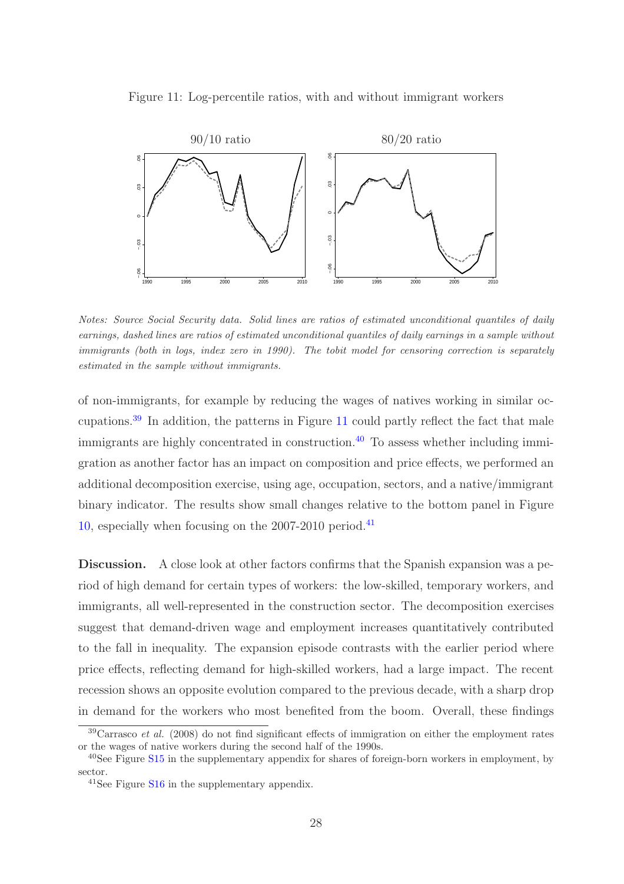

<span id="page-28-0"></span>

Notes: Source Social Security data. Solid lines are ratios of estimated unconditional quantiles of daily earnings, dashed lines are ratios of estimated unconditional quantiles of daily earnings in a sample without immigrants (both in logs, index zero in 1990). The tobit model for censoring correction is separately estimated in the sample without immigrants.

of non-immigrants, for example by reducing the wages of natives working in similar occupations.[39](#page-28-1) In addition, the patterns in Figure [11](#page-28-0) could partly reflect the fact that male immigrants are highly concentrated in construction.<sup>[40](#page-28-2)</sup> To assess whether including immigration as another factor has an impact on composition and price effects, we performed an additional decomposition exercise, using age, occupation, sectors, and a native/immigrant binary indicator. The results show small changes relative to the bottom panel in Figure [10,](#page-23-0) especially when focusing on the  $2007-2010$  period.<sup>[41](#page-28-3)</sup>

Discussion. A close look at other factors confirms that the Spanish expansion was a period of high demand for certain types of workers: the low-skilled, temporary workers, and immigrants, all well-represented in the construction sector. The decomposition exercises suggest that demand-driven wage and employment increases quantitatively contributed to the fall in inequality. The expansion episode contrasts with the earlier period where price effects, reflecting demand for high-skilled workers, had a large impact. The recent recession shows an opposite evolution compared to the previous decade, with a sharp drop in demand for the workers who most benefited from the boom. Overall, these findings

<span id="page-28-1"></span> $39$ Carrasco *et al.* (2008) do not find significant effects of immigration on either the employment rates or the wages of native workers during the second half of the 1990s.

<sup>40</sup>See Figure [S15](#page-58-1) in the supplementary appendix for shares of foreign-born workers in employment, by sector.

<span id="page-28-3"></span><span id="page-28-2"></span><sup>41</sup>See Figure [S16](#page-59-0) in the supplementary appendix.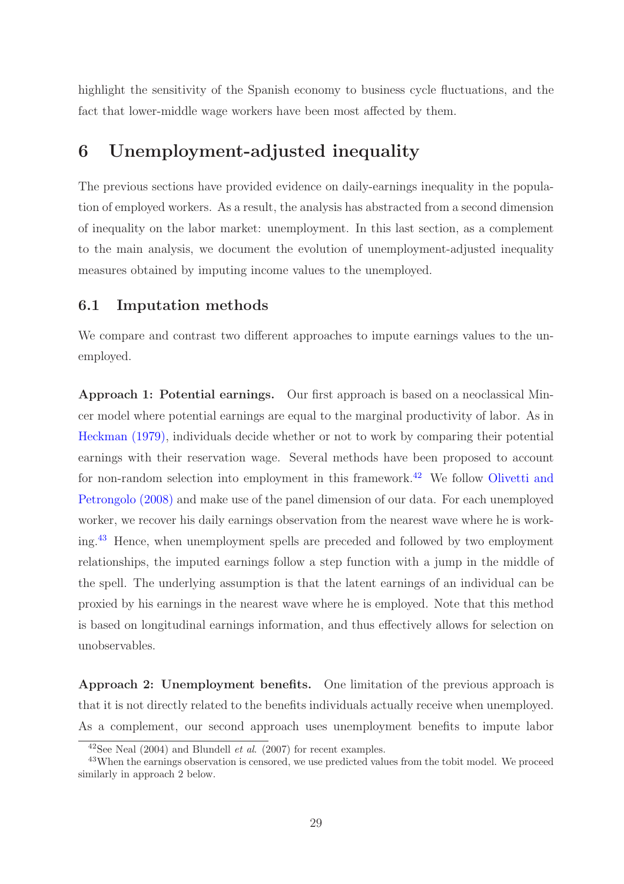highlight the sensitivity of the Spanish economy to business cycle fluctuations, and the fact that lower-middle wage workers have been most affected by them.

## <span id="page-29-0"></span>6 Unemployment-adjusted inequality

The previous sections have provided evidence on daily-earnings inequality in the population of employed workers. As a result, the analysis has abstracted from a second dimension of inequality on the labor market: unemployment. In this last section, as a complement to the main analysis, we document the evolution of unemployment-adjusted inequality measures obtained by imputing income values to the unemployed.

#### 6.1 Imputation methods

We compare and contrast two different approaches to impute earnings values to the unemployed.

Approach 1: Potential earnings. Our first approach is based on a neoclassical Mincer model where potential earnings are equal to the marginal productivity of labor. As in [Heckman \(1979\),](#page-34-7) individuals decide whether or not to work by comparing their potential earnings with their reservation wage. Several methods have been proposed to account for non-random selection into employment in this framework.<sup>[42](#page-29-1)</sup> We follow Olivetti and Petrongolo (2008) and make use of the panel dimension of our data. For each unemployed worker, we recover his daily earnings observation from the nearest wave where he is working.[43](#page-29-2) Hence, when unemployment spells are preceded and followed by two employment relationships, the imputed earnings follow a step function with a jump in the middle of the spell. The underlying assumption is that the latent earnings of an individual can be proxied by his earnings in the nearest wave where he is employed. Note that this method is based on longitudinal earnings information, and thus effectively allows for selection on unobservables.

Approach 2: Unemployment benefits. One limitation of the previous approach is that it is not directly related to the benefits individuals actually receive when unemployed. As a complement, our second approach uses unemployment benefits to impute labor

<span id="page-29-1"></span><sup>&</sup>lt;sup>42</sup>See Neal (2004) and Blundell *et al.* (2007) for recent examples.

<span id="page-29-2"></span><sup>&</sup>lt;sup>43</sup>When the earnings observation is censored, we use predicted values from the tobit model. We proceed similarly in approach 2 below.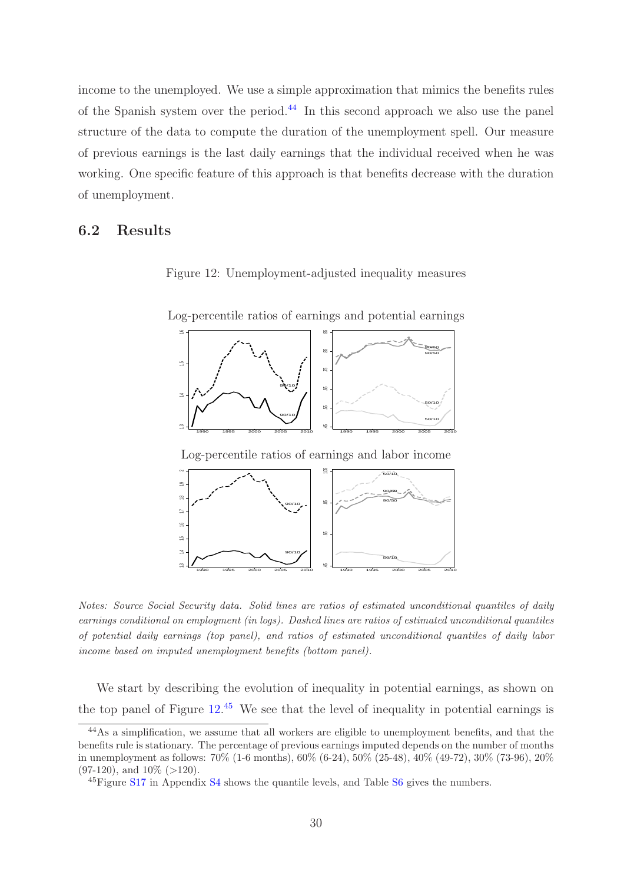income to the unemployed. We use a simple approximation that mimics the benefits rules of the Spanish system over the period.<sup>[44](#page-30-0)</sup> In this second approach we also use the panel structure of the data to compute the duration of the unemployment spell. Our measure of previous earnings is the last daily earnings that the individual received when he was working. One specific feature of this approach is that benefits decrease with the duration of unemployment.

### 6.2 Results

<span id="page-30-1"></span>Figure 12: Unemployment-adjusted inequality measures

Log-percentile ratios of earnings and potential earnings





Notes: Source Social Security data. Solid lines are ratios of estimated unconditional quantiles of daily earnings conditional on employment (in logs). Dashed lines are ratios of estimated unconditional quantiles of potential daily earnings (top panel), and ratios of estimated unconditional quantiles of daily labor income based on imputed unemployment benefits (bottom panel).

We start by describing the evolution of inequality in potential earnings, as shown on the top panel of Figure  $12^{45}$  $12^{45}$  $12^{45}$  We see that the level of inequality in potential earnings is

<span id="page-30-0"></span> $\frac{44}{48}$ s a simplification, we assume that all workers are eligible to unemployment benefits, and that the benefits rule is stationary. The percentage of previous earnings imputed depends on the number of months in unemployment as follows: 70% (1-6 months), 60% (6-24), 50% (25-48), 40% (49-72), 30% (73-96), 20%  $(97-120)$ , and  $10\%$  (>120).

<span id="page-30-2"></span><sup>45</sup>Figure [S17](#page-59-1) in Appendix [S4](#page-47-0) shows the quantile levels, and Table [S6](#page-51-1) gives the numbers.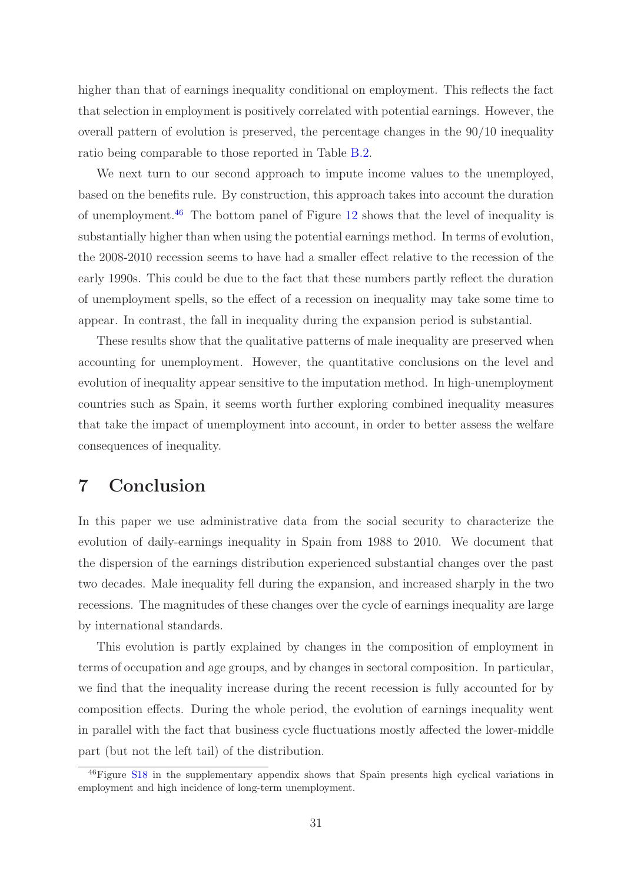higher than that of earnings inequality conditional on employment. This reflects the fact that selection in employment is positively correlated with potential earnings. However, the overall pattern of evolution is preserved, the percentage changes in the 90/10 inequality ratio being comparable to those reported in Table [B.2.](#page-41-0)

We next turn to our second approach to impute income values to the unemployed, based on the benefits rule. By construction, this approach takes into account the duration of unemployment.<sup>[46](#page-31-1)</sup> The bottom panel of Figure [12](#page-30-1) shows that the level of inequality is substantially higher than when using the potential earnings method. In terms of evolution, the 2008-2010 recession seems to have had a smaller effect relative to the recession of the early 1990s. This could be due to the fact that these numbers partly reflect the duration of unemployment spells, so the effect of a recession on inequality may take some time to appear. In contrast, the fall in inequality during the expansion period is substantial.

These results show that the qualitative patterns of male inequality are preserved when accounting for unemployment. However, the quantitative conclusions on the level and evolution of inequality appear sensitive to the imputation method. In high-unemployment countries such as Spain, it seems worth further exploring combined inequality measures that take the impact of unemployment into account, in order to better assess the welfare consequences of inequality.

## <span id="page-31-0"></span>7 Conclusion

In this paper we use administrative data from the social security to characterize the evolution of daily-earnings inequality in Spain from 1988 to 2010. We document that the dispersion of the earnings distribution experienced substantial changes over the past two decades. Male inequality fell during the expansion, and increased sharply in the two recessions. The magnitudes of these changes over the cycle of earnings inequality are large by international standards.

This evolution is partly explained by changes in the composition of employment in terms of occupation and age groups, and by changes in sectoral composition. In particular, we find that the inequality increase during the recent recession is fully accounted for by composition effects. During the whole period, the evolution of earnings inequality went in parallel with the fact that business cycle fluctuations mostly affected the lower-middle part (but not the left tail) of the distribution.

<span id="page-31-1"></span><sup>&</sup>lt;sup>46</sup>Figure [S18](#page-60-0) in the supplementary appendix shows that Spain presents high cyclical variations in employment and high incidence of long-term unemployment.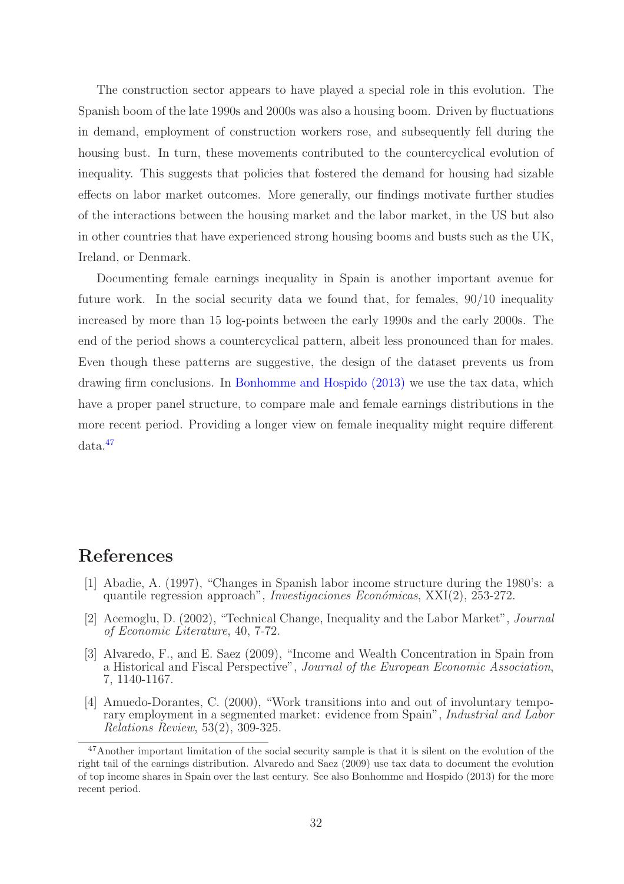The construction sector appears to have played a special role in this evolution. The Spanish boom of the late 1990s and 2000s was also a housing boom. Driven by fluctuations in demand, employment of construction workers rose, and subsequently fell during the housing bust. In turn, these movements contributed to the countercyclical evolution of inequality. This suggests that policies that fostered the demand for housing had sizable effects on labor market outcomes. More generally, our findings motivate further studies of the interactions between the housing market and the labor market, in the US but also in other countries that have experienced strong housing booms and busts such as the UK, Ireland, or Denmark.

Documenting female earnings inequality in Spain is another important avenue for future work. In the social security data we found that, for females, 90/10 inequality increased by more than 15 log-points between the early 1990s and the early 2000s. The end of the period shows a countercyclical pattern, albeit less pronounced than for males. Even though these patterns are suggestive, the design of the dataset prevents us from drawing firm conclusions. In [Bonhomme and Hospido \(2013\)](#page-33-4) we use the tax data, which have a proper panel structure, to compare male and female earnings distributions in the more recent period. Providing a longer view on female inequality might require different data.[47](#page-32-0)

## References

- [1] Abadie, A. (1997), "Changes in Spanish labor income structure during the 1980's: a quantile regression approach", *Investigaciones Econ´omicas*, XXI(2), 253-272.
- [2] Acemoglu, D. (2002), "Technical Change, Inequality and the Labor Market", *Journal of Economic Literature*, 40, 7-72.
- [3] Alvaredo, F., and E. Saez (2009), "Income and Wealth Concentration in Spain from a Historical and Fiscal Perspective", *Journal of the European Economic Association*, 7, 1140-1167.
- [4] Amuedo-Dorantes, C. (2000), "Work transitions into and out of involuntary temporary employment in a segmented market: evidence from Spain", *Industrial and Labor Relations Review*, 53(2), 309-325.

<span id="page-32-0"></span><sup>47</sup>Another important limitation of the social security sample is that it is silent on the evolution of the right tail of the earnings distribution. Alvaredo and Saez (2009) use tax data to document the evolution of top income shares in Spain over the last century. See also Bonhomme and Hospido (2013) for the more recent period.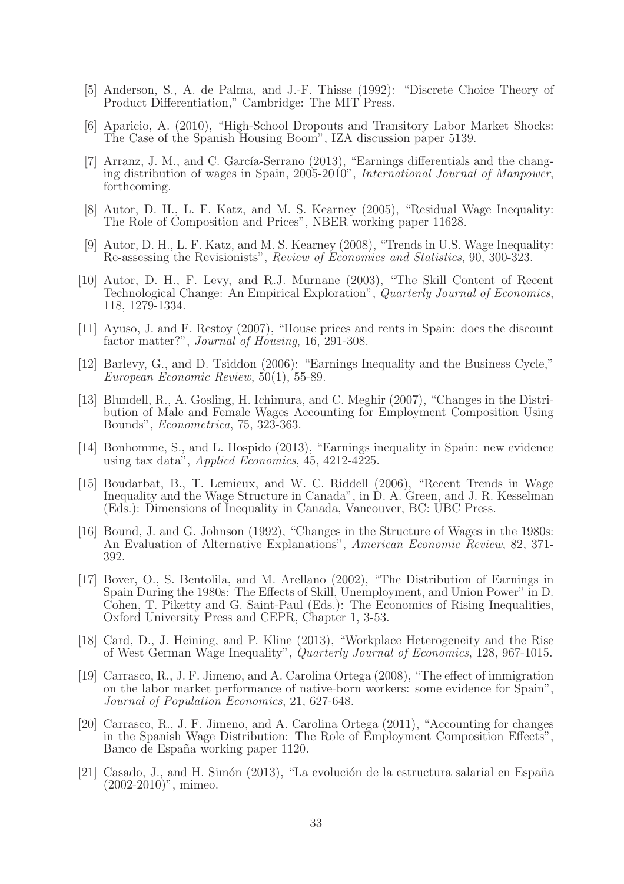- <span id="page-33-5"></span>[5] Anderson, S., A. de Palma, and J.-F. Thisse (1992): "Discrete Choice Theory of Product Differentiation," Cambridge: The MIT Press.
- [6] Aparicio, A. (2010), "High-School Dropouts and Transitory Labor Market Shocks: The Case of the Spanish Housing Boom", IZA discussion paper 5139.
- [7] Arranz, J. M., and C. García-Serrano  $(2013)$ , "Earnings differentials and the changing distribution of wages in Spain, 2005-2010", *International Journal of Manpower*, forthcoming.
- <span id="page-33-1"></span>[8] Autor, D. H., L. F. Katz, and M. S. Kearney (2005), "Residual Wage Inequality: The Role of Composition and Prices", NBER working paper 11628.
- <span id="page-33-0"></span>[9] Autor, D. H., L. F. Katz, and M. S. Kearney (2008), "Trends in U.S. Wage Inequality: Re-assessing the Revisionists", *Review of Economics and Statistics*, 90, 300-323.
- <span id="page-33-2"></span>[10] Autor, D. H., F. Levy, and R.J. Murnane (2003), "The Skill Content of Recent Technological Change: An Empirical Exploration", *Quarterly Journal of Economics*, 118, 1279-1334.
- [11] Ayuso, J. and F. Restoy (2007), "House prices and rents in Spain: does the discount factor matter?", *Journal of Housing*, 16, 291-308.
- [12] Barlevy, G., and D. Tsiddon (2006): "Earnings Inequality and the Business Cycle," *European Economic Review*, 50(1), 55-89.
- [13] Blundell, R., A. Gosling, H. Ichimura, and C. Meghir (2007), "Changes in the Distribution of Male and Female Wages Accounting for Employment Composition Using Bounds", *Econometrica*, 75, 323-363.
- <span id="page-33-4"></span>[14] Bonhomme, S., and L. Hospido (2013), "Earnings inequality in Spain: new evidence using tax data", *Applied Economics*, 45, 4212-4225.
- [15] Boudarbat, B., T. Lemieux, and W. C. Riddell (2006), "Recent Trends in Wage Inequality and the Wage Structure in Canada", in D. A. Green, and J. R. Kesselman (Eds.): Dimensions of Inequality in Canada, Vancouver, BC: UBC Press.
- [16] Bound, J. and G. Johnson (1992), "Changes in the Structure of Wages in the 1980s: An Evaluation of Alternative Explanations", *American Economic Review*, 82, 371- 392.
- [17] Bover, O., S. Bentolila, and M. Arellano (2002), "The Distribution of Earnings in Spain During the 1980s: The Effects of Skill, Unemployment, and Union Power" in D. Cohen, T. Piketty and G. Saint-Paul (Eds.): The Economics of Rising Inequalities, Oxford University Press and CEPR, Chapter 1, 3-53.
- [18] Card, D., J. Heining, and P. Kline (2013), "Workplace Heterogeneity and the Rise of West German Wage Inequality", *Quarterly Journal of Economics*, 128, 967-1015.
- [19] Carrasco, R., J. F. Jimeno, and A. Carolina Ortega (2008), "The effect of immigration on the labor market performance of native-born workers: some evidence for Spain", *Journal of Population Economics*, 21, 627-648.
- <span id="page-33-3"></span>[20] Carrasco, R., J. F. Jimeno, and A. Carolina Ortega (2011), "Accounting for changes in the Spanish Wage Distribution: The Role of Employment Composition Effects", Banco de España working paper 1120.
- [21] Casado, J., and H. Simón (2013), "La evolución de la estructura salarial en España (2002-2010)", mimeo.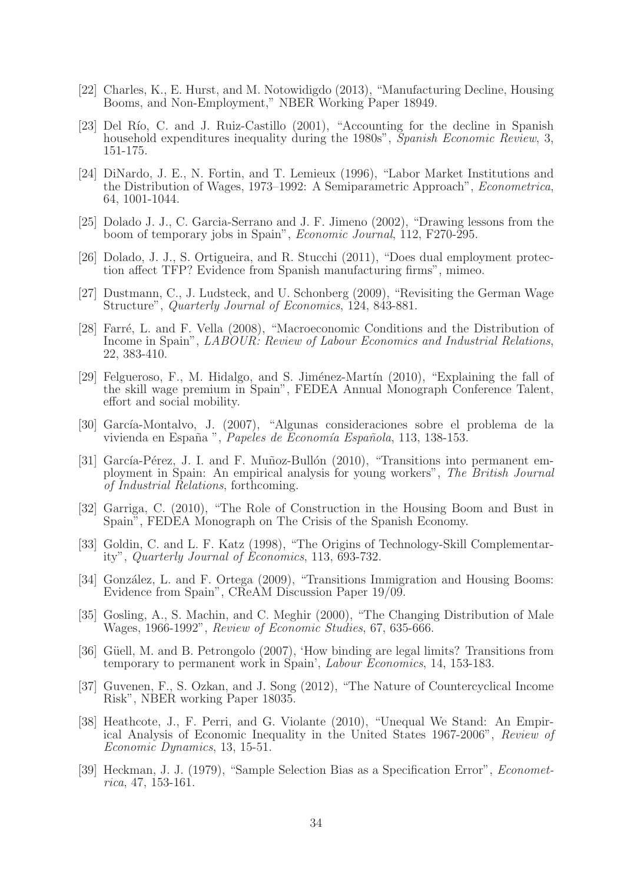- [22] Charles, K., E. Hurst, and M. Notowidigdo (2013), "Manufacturing Decline, Housing Booms, and Non-Employment," NBER Working Paper 18949.
- [23] Del Río, C. and J. Ruiz-Castillo (2001), "Accounting for the decline in Spanish household expenditures inequality during the 1980s", *Spanish Economic Review*, 3, 151-175.
- <span id="page-34-5"></span>[24] DiNardo, J. E., N. Fortin, and T. Lemieux (1996), "Labor Market Institutions and the Distribution of Wages, 1973–1992: A Semiparametric Approach", *Econometrica*, 64, 1001-1044.
- <span id="page-34-0"></span>[25] Dolado J. J., C. Garcia-Serrano and J. F. Jimeno (2002), "Drawing lessons from the boom of temporary jobs in Spain", *Economic Journal*, 112, F270-295.
- <span id="page-34-6"></span>[26] Dolado, J. J., S. Ortigueira, and R. Stucchi (2011), "Does dual employment protection affect TFP? Evidence from Spanish manufacturing firms", mimeo.
- [27] Dustmann, C., J. Ludsteck, and U. Schonberg (2009), "Revisiting the German Wage Structure", *Quarterly Journal of Economics*, 124, 843-881.
- [28] Farré, L. and F. Vella (2008), "Macroeconomic Conditions and the Distribution of Income in Spain", *LABOUR: Review of Labour Economics and Industrial Relations*, 22, 383-410.
- <span id="page-34-4"></span>[29] Felgueroso, F., M. Hidalgo, and S. Jiménez-Martín (2010), "Explaining the fall of the skill wage premium in Spain", FEDEA Annual Monograph Conference Talent, effort and social mobility.
- [30] García-Montalvo, J. (2007), "Algunas consideraciones sobre el problema de la vivienda en Espa˜na ", *Papeles de Econom´ıa Espa˜nola*, 113, 138-153.
- [31] García-Pérez, J. I. and F. Muñoz-Bullón (2010), "Transitions into permanent employment in Spain: An empirical analysis for young workers", *The British Journal of Industrial Relations*, forthcoming.
- [32] Garriga, C. (2010), "The Role of Construction in the Housing Boom and Bust in Spain", FEDEA Monograph on The Crisis of the Spanish Economy.
- <span id="page-34-1"></span>[33] Goldin, C. and L. F. Katz (1998), "The Origins of Technology-Skill Complementarity", *Quarterly Journal of Economics*, 113, 693-732.
- [34] González, L. and F. Ortega (2009), "Transitions Immigration and Housing Booms: Evidence from Spain", CReAM Discussion Paper 19/09.
- [35] Gosling, A., S. Machin, and C. Meghir (2000), "The Changing Distribution of Male Wages, 1966-1992", *Review of Economic Studies*, 67, 635-666.
- [36] Güell, M. and B. Petrongolo (2007), 'How binding are legal limits? Transitions from temporary to permanent work in Spain', *Labour Economics*, 14, 153-183.
- <span id="page-34-3"></span>[37] Guvenen, F., S. Ozkan, and J. Song (2012), "The Nature of Countercyclical Income Risk", NBER working Paper 18035.
- <span id="page-34-2"></span>[38] Heathcote, J., F. Perri, and G. Violante (2010), "Unequal We Stand: An Empirical Analysis of Economic Inequality in the United States 1967-2006", *Review of Economic Dynamics*, 13, 15-51.
- <span id="page-34-7"></span>[39] Heckman, J. J. (1979), "Sample Selection Bias as a Specification Error", *Econometrica*, 47, 153-161.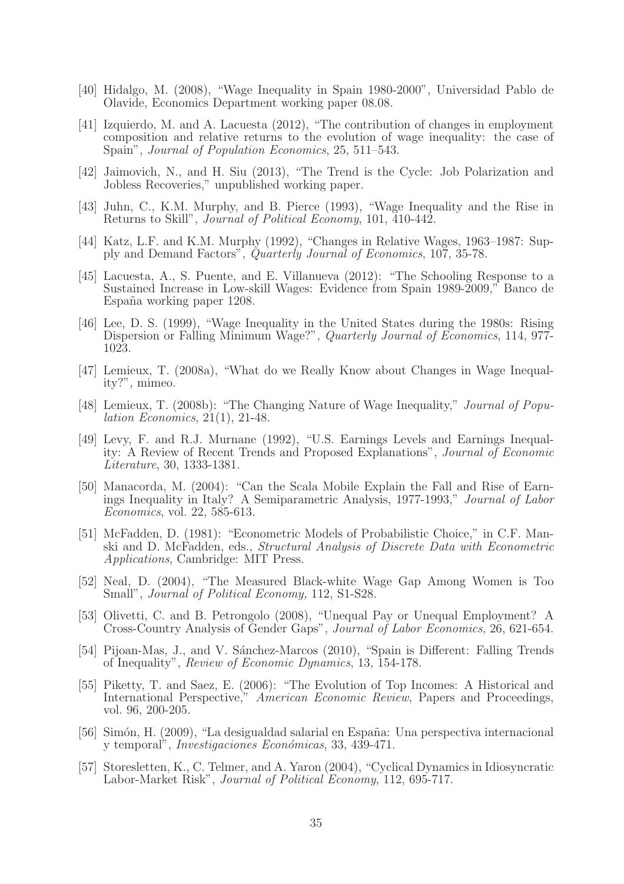- [40] Hidalgo, M. (2008), "Wage Inequality in Spain 1980-2000", Universidad Pablo de Olavide, Economics Department working paper 08.08.
- <span id="page-35-3"></span>[41] Izquierdo, M. and A. Lacuesta (2012), "The contribution of changes in employment composition and relative returns to the evolution of wage inequality: the case of Spain", *Journal of Population Economics*, 25, 511–543.
- <span id="page-35-2"></span>[42] Jaimovich, N., and H. Siu (2013), "The Trend is the Cycle: Job Polarization and Jobless Recoveries," unpublished working paper.
- [43] Juhn, C., K.M. Murphy, and B. Pierce (1993), "Wage Inequality and the Rise in Returns to Skill", *Journal of Political Economy*, 101, 410-442.
- [44] Katz, L.F. and K.M. Murphy (1992), "Changes in Relative Wages, 1963–1987: Supply and Demand Factors", *Quarterly Journal of Economics*, 107, 35-78.
- [45] Lacuesta, A., S. Puente, and E. Villanueva (2012): "The Schooling Response to a Sustained Increase in Low-skill Wages: Evidence from Spain 1989-2009," Banco de España working paper 1208.
- <span id="page-35-5"></span>[46] Lee, D. S. (1999), "Wage Inequality in the United States during the 1980s: Rising Dispersion or Falling Minimum Wage?", *Quarterly Journal of Economics*, 114, 977- 1023.
- [47] Lemieux, T. (2008a), "What do we Really Know about Changes in Wage Inequality?", mimeo.
- <span id="page-35-0"></span>[48] Lemieux, T. (2008b): "The Changing Nature of Wage Inequality," *Journal of Population Economics*, 21(1), 21-48.
- [49] Levy, F. and R.J. Murnane (1992), "U.S. Earnings Levels and Earnings Inequality: A Review of Recent Trends and Proposed Explanations", *Journal of Economic Literature*, 30, 1333-1381.
- [50] Manacorda, M. (2004): "Can the Scala Mobile Explain the Fall and Rise of Earnings Inequality in Italy? A Semiparametric Analysis, 1977-1993," *Journal of Labor Economics*, vol. 22, 585-613.
- [51] McFadden, D. (1981): "Econometric Models of Probabilistic Choice," in C.F. Manski and D. McFadden, eds., *Structural Analysis of Discrete Data with Econometric Applications*, Cambridge: MIT Press.
- [52] Neal, D. (2004), "The Measured Black-white Wage Gap Among Women is Too Small", *Journal of Political Economy,* 112, S1-S28.
- [53] Olivetti, C. and B. Petrongolo (2008), "Unequal Pay or Unequal Employment? A Cross-Country Analysis of Gender Gaps", *Journal of Labor Economics*, 26, 621-654.
- <span id="page-35-4"></span>[54] Pijoan-Mas, J., and V. Sánchez-Marcos (2010), "Spain is Different: Falling Trends of Inequality", *Review of Economic Dynamics*, 13, 154-178.
- [55] Piketty, T. and Saez, E. (2006): "The Evolution of Top Incomes: A Historical and International Perspective," *American Economic Review*, Papers and Proceedings, vol. 96, 200-205.
- [56] Simón, H. (2009), "La desigualdad salarial en España: Una perspectiva internacional y temporal", *Investigaciones Econ´omicas*, 33, 439-471.
- <span id="page-35-1"></span>[57] Storesletten, K., C. Telmer, and A. Yaron (2004), "Cyclical Dynamics in Idiosyncratic Labor-Market Risk", *Journal of Political Economy*, 112, 695-717.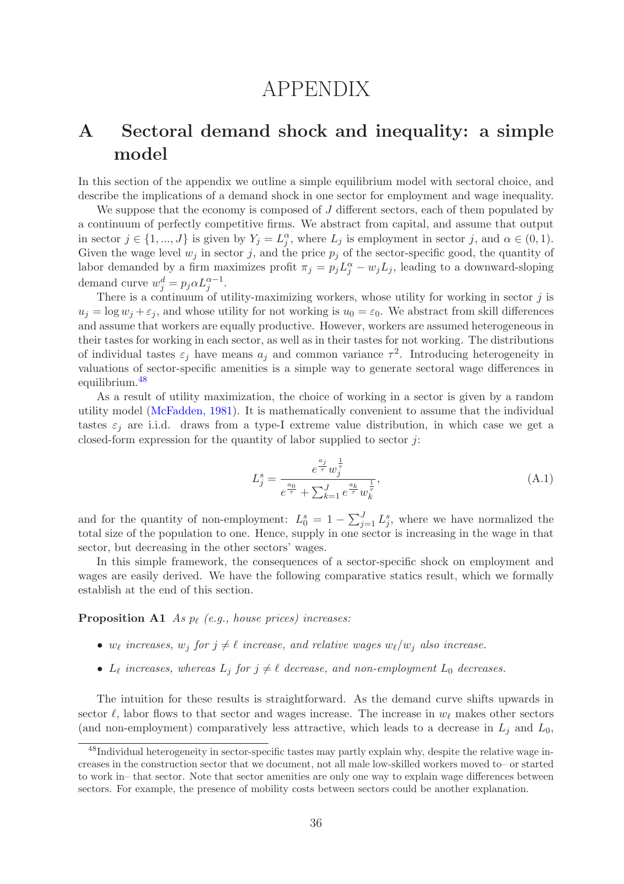# APPENDIX

## <span id="page-36-0"></span>A Sectoral demand shock and inequality: a simple model

In this section of the appendix we outline a simple equilibrium model with sectoral choice, and describe the implications of a demand shock in one sector for employment and wage inequality.

We suppose that the economy is composed of J different sectors, each of them populated by a continuum of perfectly competitive firms. We abstract from capital, and assume that output in sector  $j \in \{1, ..., J\}$  is given by  $Y_j = L_j^{\alpha}$ , where  $L_j$  is employment in sector j, and  $\alpha \in (0, 1)$ . Given the wage level  $w_j$  in sector j, and the price  $p_j$  of the sector-specific good, the quantity of labor demanded by a firm maximizes profit  $\pi_j = p_j L_j^{\alpha} - w_j L_j$ , leading to a downward-sloping demand curve  $w_j^d = p_j \alpha L_j^{\alpha - 1}$ .

There is a continuum of utility-maximizing workers, whose utility for working in sector  $j$  is  $u_j = \log w_j + \varepsilon_j$ , and whose utility for not working is  $u_0 = \varepsilon_0$ . We abstract from skill differences and assume that workers are equally productive. However, workers are assumed heterogeneous in their tastes for working in each sector, as well as in their tastes for not working. The distributions of individual tastes  $\varepsilon_j$  have means  $a_j$  and common variance  $\tau^2$ . Introducing heterogeneity in valuations of sector-specific amenities is a simple way to generate sectoral wage differences in equilibrium.[48](#page-36-1)

As a result of utility maximization, the choice of working in a sector is given by a random utility model [\(McFadden, 1981\)](#page-61-1). It is mathematically convenient to assume that the individual tastes  $\varepsilon_i$  are i.i.d. draws from a type-I extreme value distribution, in which case we get a closed-form expression for the quantity of labor supplied to sector  $j$ :

<span id="page-36-3"></span>
$$
L_j^s = \frac{e^{\frac{a_j}{\tau}} w_j^{\frac{1}{\tau}}}{e^{\frac{a_0}{\tau}} + \sum_{k=1}^J e^{\frac{a_k}{\tau}} w_k^{\frac{1}{\tau}}},\tag{A.1}
$$

and for the quantity of non-employment:  $L_0^s = 1 - \sum_{j=1}^J L_j^s$ , where we have normalized the total size of the population to one. Hence, supply in one sector is increasing in the wage in that sector, but decreasing in the other sectors' wages.

In this simple framework, the consequences of a sector-specific shock on employment and wages are easily derived. We have the following comparative statics result, which we formally establish at the end of this section.

<span id="page-36-2"></span>**Proposition A1** As  $p_\ell$  (e.g., house prices) increases:

- $w_{\ell}$  increases,  $w_j$  for  $j \neq \ell$  increase, and relative wages  $w_{\ell}/w_j$  also increase.
- $L_{\ell}$  increases, whereas  $L_j$  for  $j \neq \ell$  decrease, and non-employment  $L_0$  decreases.

The intuition for these results is straightforward. As the demand curve shifts upwards in sector  $\ell$ , labor flows to that sector and wages increase. The increase in  $w_{\ell}$  makes other sectors (and non-employment) comparatively less attractive, which leads to a decrease in  $L_j$  and  $L_0$ ,

<span id="page-36-1"></span><sup>48</sup>Individual heterogeneity in sector-specific tastes may partly explain why, despite the relative wage increases in the construction sector that we document, not all male low-skilled workers moved to– or started to work in– that sector. Note that sector amenities are only one way to explain wage differences between sectors. For example, the presence of mobility costs between sectors could be another explanation.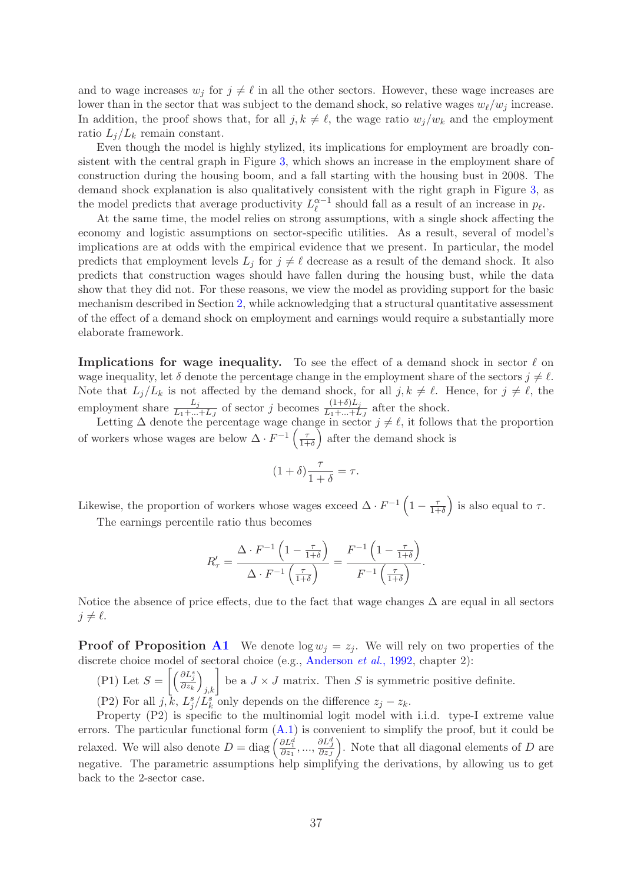and to wage increases  $w_j$  for  $j \neq \ell$  in all the other sectors. However, these wage increases are lower than in the sector that was subject to the demand shock, so relative wages  $w_{\ell}/w_i$  increase. In addition, the proof shows that, for all  $j, k \neq \ell$ , the wage ratio  $w_j/w_k$  and the employment ratio  $L_i/L_k$  remain constant.

Even though the model is highly stylized, its implications for employment are broadly consistent with the central graph in Figure [3,](#page-7-0) which shows an increase in the employment share of construction during the housing boom, and a fall starting with the housing bust in 2008. The demand shock explanation is also qualitatively consistent with the right graph in Figure [3,](#page-7-0) as the model predicts that average productivity  $L_{\ell}^{\alpha-1}$  should fall as a result of an increase in  $p_{\ell}$ .

At the same time, the model relies on strong assumptions, with a single shock affecting the economy and logistic assumptions on sector-specific utilities. As a result, several of model's implications are at odds with the empirical evidence that we present. In particular, the model predicts that employment levels  $L_j$  for  $j \neq \ell$  decrease as a result of the demand shock. It also predicts that construction wages should have fallen during the housing bust, while the data show that they did not. For these reasons, we view the model as providing support for the basic mechanism described in Section [2,](#page-6-0) while acknowledging that a structural quantitative assessment of the effect of a demand shock on employment and earnings would require a substantially more elaborate framework.

**Implications for wage inequality.** To see the effect of a demand shock in sector  $\ell$  on wage inequality, let  $\delta$  denote the percentage change in the employment share of the sectors  $i \neq \ell$ . Note that  $L_j/L_k$  is not affected by the demand shock, for all  $j, k \neq \ell$ . Hence, for  $j \neq \ell$ , the employment share  $\frac{L_j}{L_1 + ... + L_J}$  of sector j becomes  $\frac{(1+\delta)L_j}{L_1 + ... + L_J}$  after the shock.

Letting  $\Delta$  denote the percentage wage change in sector  $j \neq \ell$ , it follows that the proportion of workers whose wages are below  $\Delta \cdot F^{-1} \left( \frac{\tau}{1+\tau} \right)$  $1+\delta$  $\big)$  after the demand shock is

$$
(1+\delta)\frac{\tau}{1+\delta} = \tau.
$$

Likewise, the proportion of workers whose wages exceed  $\Delta \cdot F^{-1} \left(1 - \frac{\tau}{1 + \tau}\right)$  $1+\delta$ ) is also equal to  $\tau$ . The earnings percentile ratio thus becomes

$$
R'_{\tau} = \frac{\Delta \cdot F^{-1} \left(1 - \frac{\tau}{1 + \delta}\right)}{\Delta \cdot F^{-1} \left(\frac{\tau}{1 + \delta}\right)} = \frac{F^{-1} \left(1 - \frac{\tau}{1 + \delta}\right)}{F^{-1} \left(\frac{\tau}{1 + \delta}\right)}.
$$

Notice the absence of price effects, due to the fact that wage changes  $\Delta$  are equal in all sectors  $i \neq \ell$ .

**Proof of Proposition [A1](#page-36-2)** We denote  $\log w_i = z_i$ . We will rely on two properties of the discrete choice model of sectoral choice (e.g., [Anderson](#page-33-5) *et al.*, 1992, chapter 2):

(P1) Let  $S = \left[\left(\frac{\partial L_j^s}{\partial z_k}\right)\right]$  $\left[\int_{j,k}\right]$  be a  $J \times J$  matrix. Then S is symmetric positive definite. (P2) For all  $j, \overline{k}, L^s_j/L^s_k$  only depends on the difference  $z_j - z_k$ .

Property (P2) is specific to the multinomial logit model with i.i.d. type-I extreme value errors. The particular functional form  $(A.1)$  is convenient to simplify the proof, but it could be relaxed. We will also denote  $D = \text{diag}\left(\frac{\partial L_1^d}{\partial z_1}, \dots, \frac{\partial L_J^d}{\partial z_J}\right)$ ). Note that all diagonal elements of  $D$  are negative. The parametric assumptions help simplifying the derivations, by allowing us to get back to the 2-sector case.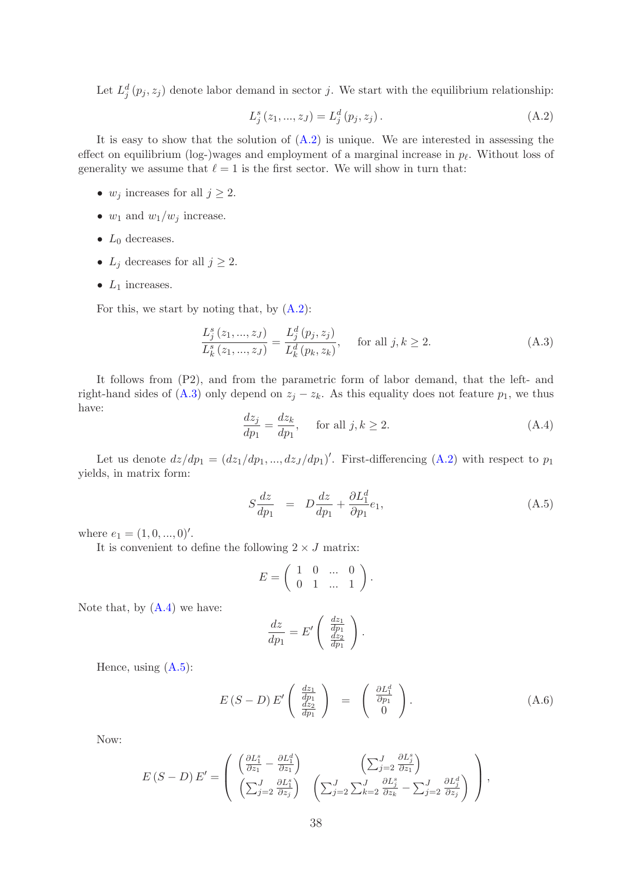Let  $L_j^d(p_j, z_j)$  denote labor demand in sector j. We start with the equilibrium relationship:

<span id="page-38-0"></span>
$$
L_j^s(z_1, ..., z_J) = L_j^d(p_j, z_j).
$$
\n(A.2)

It is easy to show that the solution of  $(A.2)$  is unique. We are interested in assessing the effect on equilibrium (log-)wages and employment of a marginal increase in  $p_{\ell}$ . Without loss of generality we assume that  $\ell = 1$  is the first sector. We will show in turn that:

- $w_j$  increases for all  $j \geq 2$ .
- $w_1$  and  $w_1/w_j$  increase.
- $L_0$  decreases.
- $L_j$  decreases for all  $j \geq 2$ .
- $L_1$  increases.

For this, we start by noting that, by [\(A.2\)](#page-38-0):

<span id="page-38-1"></span>
$$
\frac{L_j^s(z_1, ..., z_J)}{L_k^s(z_1, ..., z_J)} = \frac{L_j^d(p_j, z_j)}{L_k^d(p_k, z_k)}, \quad \text{for all } j, k \ge 2.
$$
\n(A.3)

<span id="page-38-2"></span>It follows from (P2), and from the parametric form of labor demand, that the left- and right-hand sides of  $(A.3)$  only depend on  $z_j - z_k$ . As this equality does not feature  $p_1$ , we thus have:

$$
\frac{dz_j}{dp_1} = \frac{dz_k}{dp_1}, \quad \text{for all } j, k \ge 2.
$$
\n(A.4)

Let us denote  $dz/dp_1 = (dz_1/dp_1, ..., dz_J/dp_1)'$ . First-differencing [\(A.2\)](#page-38-0) with respect to  $p_1$ yields, in matrix form:

<span id="page-38-3"></span>
$$
S\frac{dz}{dp_1} = D\frac{dz}{dp_1} + \frac{\partial L_1^d}{\partial p_1}e_1,
$$
\n(A.5)

where  $e_1 = (1, 0, ..., 0)$ '.

It is convenient to define the following  $2\times J$  matrix:

$$
E = \left( \begin{array}{cccc} 1 & 0 & \dots & 0 \\ 0 & 1 & \dots & 1 \end{array} \right).
$$

Note that, by  $(A.4)$  we have:

$$
\frac{dz}{dp_1} = E' \left( \frac{\frac{dz_1}{dp_1}}{\frac{dz_2}{dp_1}} \right).
$$

Hence, using  $(A.5)$ :

$$
E(S - D) E' \begin{pmatrix} \frac{dz_1}{dp_1} \\ \frac{dz_2}{dp_1} \end{pmatrix} = \begin{pmatrix} \frac{\partial L_1^d}{\partial p_1} \\ 0 \end{pmatrix}.
$$
 (A.6)

Now:

$$
E(S - D) E' = \begin{pmatrix} \left(\frac{\partial L_1^s}{\partial z_1} - \frac{\partial L_1^d}{\partial z_1}\right) & \left(\sum_{j=2}^J \frac{\partial L_j^s}{\partial z_1}\right) \\ \left(\sum_{j=2}^J \frac{\partial L_1^s}{\partial z_j}\right) & \left(\sum_{j=2}^J \sum_{k=2}^J \frac{\partial L_j^s}{\partial z_k} - \sum_{j=2}^J \frac{\partial L_j^d}{\partial z_j}\right) \end{pmatrix},
$$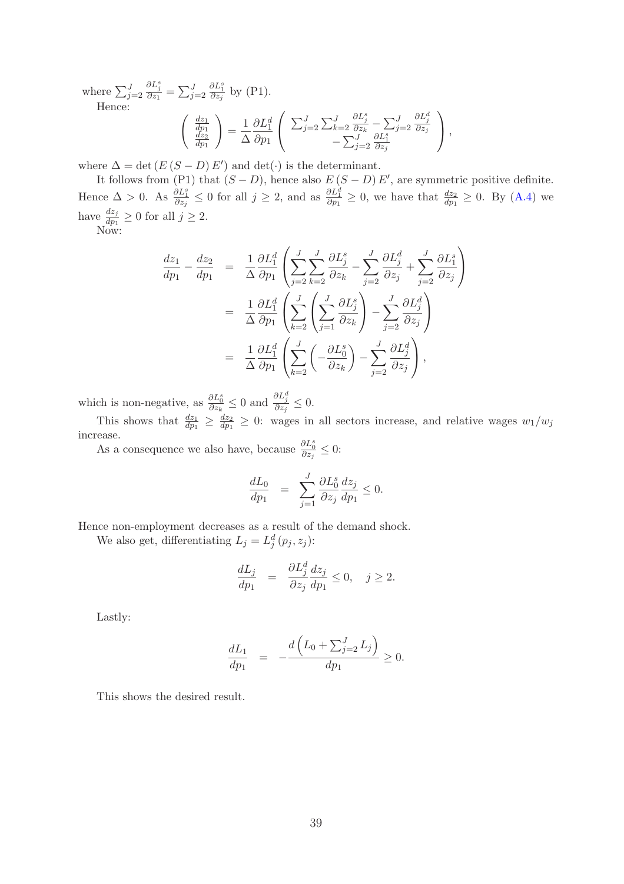where  $\sum_{j=2}^{J}$  $\frac{\partial L_j^s}{\partial z_1} = \sum_{j=2}^J$  $\frac{\partial L_1^s}{\partial z_j}$  by (P1). Hence:

$$
\begin{pmatrix}\n\frac{dz_1}{dp_1} \\
\frac{dz_2}{dp_1}\n\end{pmatrix} = \frac{1}{\Delta} \frac{\partial L_1^d}{\partial p_1} \begin{pmatrix}\n\sum_{j=2}^J \sum_{k=2}^J \frac{\partial L_j^s}{\partial z_k} - \sum_{j=2}^J \frac{\partial L_j^s}{\partial z_j} \\
-\sum_{j=2}^J \frac{\partial L_1^s}{\partial z_j}\n\end{pmatrix},
$$

where  $\Delta = \det (E(S - D) E')$  and  $\det(\cdot)$  is the determinant.

It follows from (P1) that  $(S - D)$ , hence also  $E(S - D)E'$ , are symmetric positive definite. Hence  $\Delta > 0$ . As  $\frac{\partial L_1^s}{\partial z_j} \leq 0$  for all  $j \geq 2$ , and as  $\frac{\partial L_1^d}{\partial p_1} \geq 0$ , we have that  $\frac{dz_2}{dp_1} \geq 0$ . By [\(A.4\)](#page-38-2) we have  $\frac{dz_j}{dp_1} \ge 0$  for all  $j \ge 2$ .

Now:

$$
\frac{dz_1}{dp_1} - \frac{dz_2}{dp_1} = \frac{1}{\Delta} \frac{\partial L_1^d}{\partial p_1} \left( \sum_{j=2}^J \sum_{k=2}^J \frac{\partial L_j^s}{\partial z_k} - \sum_{j=2}^J \frac{\partial L_j^d}{\partial z_j} + \sum_{j=2}^J \frac{\partial L_1^s}{\partial z_j} \right)
$$
  
\n
$$
= \frac{1}{\Delta} \frac{\partial L_1^d}{\partial p_1} \left( \sum_{k=2}^J \left( \sum_{j=1}^J \frac{\partial L_j^s}{\partial z_k} \right) - \sum_{j=2}^J \frac{\partial L_j^d}{\partial z_j} \right)
$$
  
\n
$$
= \frac{1}{\Delta} \frac{\partial L_1^d}{\partial p_1} \left( \sum_{k=2}^J \left( -\frac{\partial L_0^s}{\partial z_k} \right) - \sum_{j=2}^J \frac{\partial L_j^d}{\partial z_j} \right),
$$

which is non-negative, as  $\frac{\partial L_0^s}{\partial z_k} \leq 0$  and  $\frac{\partial L_j^d}{\partial z_j} \leq 0$ .

This shows that  $\frac{dz_1}{dp_1} \geq \frac{dz_2}{dp_1}$  $\frac{dz_2}{dp_1} \geq 0$ : wages in all sectors increase, and relative wages  $w_1/w_j$ increase.

As a consequence we also have, because  $\frac{\partial L_0^s}{\partial z_j} \leq 0$ :

$$
\frac{dL_0}{dp_1} = \sum_{j=1}^J \frac{\partial L_0^s}{\partial z_j} \frac{dz_j}{dp_1} \le 0.
$$

Hence non-employment decreases as a result of the demand shock. We also get, differentiating  $L_j = L_j^d(p_j, z_j)$ :

$$
\frac{dL_j}{dp_1} = \frac{\partial L_j^d}{\partial z_j} \frac{dz_j}{dp_1} \le 0, \quad j \ge 2.
$$

Lastly:

$$
\frac{dL_1}{dp_1} = -\frac{d\left(L_0 + \sum_{j=2}^J L_j\right)}{dp_1} \ge 0.
$$

This shows the desired result.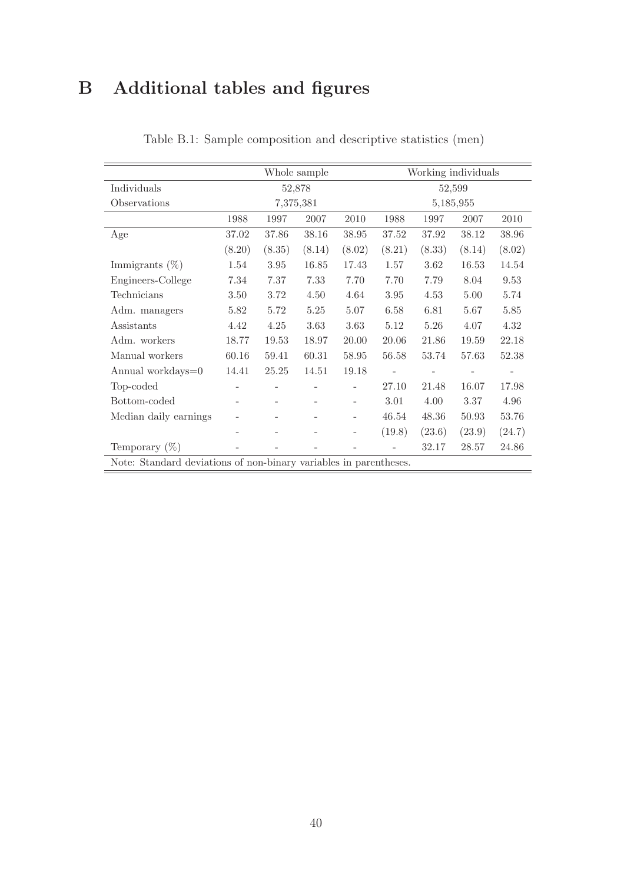# <span id="page-40-0"></span>B Additional tables and figures

|                                                                   |        |        | Whole sample |        | Working individuals |        |           |        |
|-------------------------------------------------------------------|--------|--------|--------------|--------|---------------------|--------|-----------|--------|
| Individuals                                                       |        |        | 52,878       |        | 52,599              |        |           |        |
| Observations                                                      |        |        | 7,375,381    |        |                     |        | 5,185,955 |        |
|                                                                   | 1988   | 1997   | 2007         | 2010   | 1988                | 1997   | 2007      | 2010   |
| Age                                                               | 37.02  | 37.86  | 38.16        | 38.95  | 37.52               | 37.92  | 38.12     | 38.96  |
|                                                                   | (8.20) | (8.35) | (8.14)       | (8.02) | (8.21)              | (8.33) | (8.14)    | (8.02) |
| Immigrants $(\%)$                                                 | 1.54   | 3.95   | 16.85        | 17.43  | 1.57                | 3.62   | 16.53     | 14.54  |
| Engineers-College                                                 | 7.34   | 7.37   | 7.33         | 7.70   | 7.70                | 7.79   | 8.04      | 9.53   |
| Technicians                                                       | 3.50   | 3.72   | 4.50         | 4.64   | 3.95                | 4.53   | 5.00      | 5.74   |
| Adm. managers                                                     | 5.82   | 5.72   | $5.25\,$     | 5.07   | 6.58                | 6.81   | 5.67      | 5.85   |
| Assistants                                                        | 4.42   | 4.25   | 3.63         | 3.63   | 5.12                | 5.26   | 4.07      | 4.32   |
| Adm. workers                                                      | 18.77  | 19.53  | 18.97        | 20.00  | 20.06               | 21.86  | 19.59     | 22.18  |
| Manual workers                                                    | 60.16  | 59.41  | 60.31        | 58.95  | 56.58               | 53.74  | 57.63     | 52.38  |
| Annual workdays=0                                                 | 14.41  | 25.25  | 14.51        | 19.18  |                     |        |           |        |
| Top-coded                                                         |        |        |              |        | 27.10               | 21.48  | 16.07     | 17.98  |
| Bottom-coded                                                      | ۳      |        |              |        | 3.01                | 4.00   | 3.37      | 4.96   |
| Median daily earnings                                             |        |        |              |        | 46.54               | 48.36  | 50.93     | 53.76  |
|                                                                   |        |        |              |        | (19.8)              | (23.6) | (23.9)    | (24.7) |
| Temporary $(\%)$                                                  |        |        |              |        |                     | 32.17  | 28.57     | 24.86  |
| Note: Standard deviations of non-binary variables in parentheses. |        |        |              |        |                     |        |           |        |

Table B.1: Sample composition and descriptive statistics (men)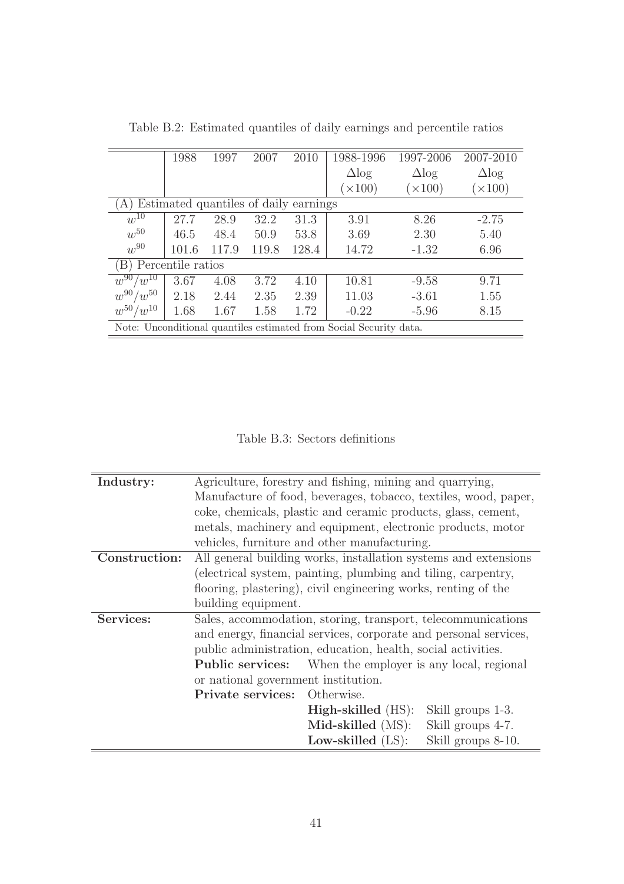|                                             | 1988  | 1997  | 2007  | 2010  | 1988-1996                                                          | 1997-2006    | 2007-2010    |  |  |  |  |
|---------------------------------------------|-------|-------|-------|-------|--------------------------------------------------------------------|--------------|--------------|--|--|--|--|
|                                             |       |       |       |       | $\Delta$ log                                                       | $\Delta$ log | $\Delta$ log |  |  |  |  |
|                                             |       |       |       |       | $(\times 100)$                                                     | (x100)       | $\times 100$ |  |  |  |  |
| Estimated quantiles of daily earnings<br>A) |       |       |       |       |                                                                    |              |              |  |  |  |  |
| $w^{10}$                                    | 27.7  | 28.9  | 32.2  | 31.3  | 3.91                                                               | 8.26         | $-2.75$      |  |  |  |  |
| $w^{50}$                                    | 46.5  | 48.4  | 50.9  | 53.8  | 3.69                                                               | 2.30         | 5.40         |  |  |  |  |
| $w^{90}$                                    | 101.6 | 117.9 | 119.8 | 128.4 | 14.72                                                              | $-1.32$      | 6.96         |  |  |  |  |
| (B) Percentile ratios                       |       |       |       |       |                                                                    |              |              |  |  |  |  |
| $w^{90}/\overline{w^{10}}$                  | 3.67  | 4.08  | 3.72  | 4.10  | 10.81                                                              | $-9.58$      | 9.71         |  |  |  |  |
| $w^{90}/w^{50}$                             | 2.18  | 2.44  | 2.35  | 2.39  | 11.03                                                              | $-3.61$      | 1.55         |  |  |  |  |
| $w^{50}/w^{10}$                             | 1.68  | 1.67  | 1.58  | 1.72  | $-0.22$                                                            | $-5.96$      | 8.15         |  |  |  |  |
|                                             |       |       |       |       | Note: Unconditional quantiles estimated from Social Security data. |              |              |  |  |  |  |

<span id="page-41-0"></span>Table B.2: Estimated quantiles of daily earnings and percentile ratios

<span id="page-41-1"></span>Table B.3: Sectors definitions

| Industry:     |                                                                 | Agriculture, forestry and fishing, mining and quarrying,         |                    |  |  |  |  |  |
|---------------|-----------------------------------------------------------------|------------------------------------------------------------------|--------------------|--|--|--|--|--|
|               | Manufacture of food, beverages, tobacco, textiles, wood, paper, |                                                                  |                    |  |  |  |  |  |
|               |                                                                 | coke, chemicals, plastic and ceramic products, glass, cement,    |                    |  |  |  |  |  |
|               |                                                                 | metals, machinery and equipment, electronic products, motor      |                    |  |  |  |  |  |
|               |                                                                 | vehicles, furniture and other manufacturing.                     |                    |  |  |  |  |  |
| Construction: |                                                                 | All general building works, installation systems and extensions  |                    |  |  |  |  |  |
|               |                                                                 | (electrical system, painting, plumbing and tiling, carpentry,    |                    |  |  |  |  |  |
|               |                                                                 | flooring, plastering), civil engineering works, renting of the   |                    |  |  |  |  |  |
|               | building equipment.                                             |                                                                  |                    |  |  |  |  |  |
| Services:     |                                                                 | Sales, accommodation, storing, transport, telecommunications     |                    |  |  |  |  |  |
|               |                                                                 | and energy, financial services, corporate and personal services, |                    |  |  |  |  |  |
|               |                                                                 | public administration, education, health, social activities.     |                    |  |  |  |  |  |
|               |                                                                 | <b>Public services:</b> When the employer is any local, regional |                    |  |  |  |  |  |
|               | or national government institution.                             |                                                                  |                    |  |  |  |  |  |
|               | <b>Private services:</b> Otherwise.                             |                                                                  |                    |  |  |  |  |  |
|               |                                                                 | <b>High-skilled</b> (HS):                                        | Skill groups 1-3.  |  |  |  |  |  |
|               |                                                                 | Mid-skilled (MS):                                                | Skill groups 4-7.  |  |  |  |  |  |
|               |                                                                 | Low-skilled $(LS)$ :                                             | Skill groups 8-10. |  |  |  |  |  |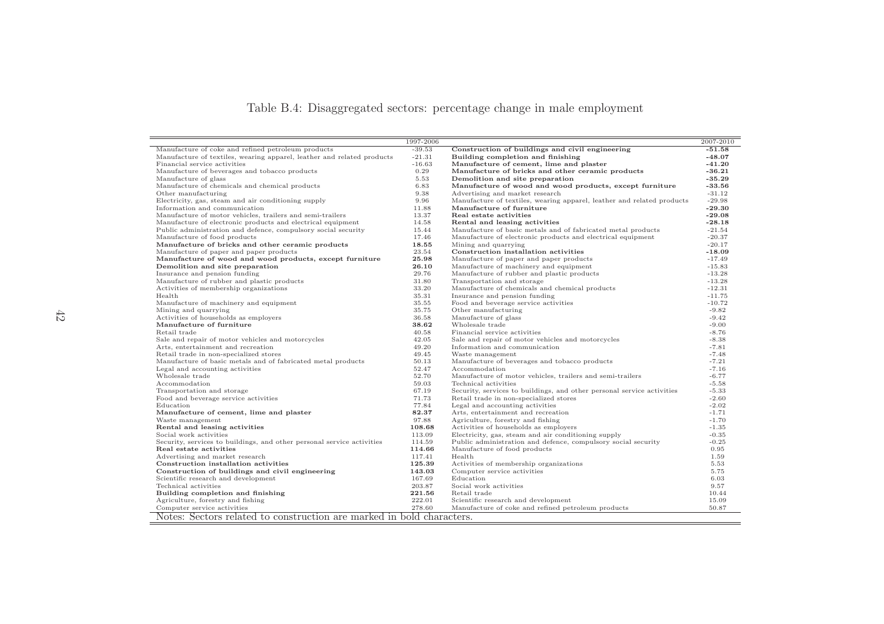## <span id="page-42-0"></span>Table B.4: Disaggregated sectors: percentage change in male employment

|                                                                        | 1997-2006 |                                                                        | 2007-2010 |
|------------------------------------------------------------------------|-----------|------------------------------------------------------------------------|-----------|
| Manufacture of coke and refined petroleum products                     | $-39.53$  | Construction of buildings and civil engineering                        | $-51.58$  |
| Manufacture of textiles, wearing apparel, leather and related products | $-21.31$  | Building completion and finishing                                      | $-48.07$  |
| Financial service activities                                           | $-16.63$  | Manufacture of cement, lime and plaster                                | $-41.20$  |
| Manufacture of beverages and tobacco products                          | 0.29      | Manufacture of bricks and other ceramic products                       | $-36.21$  |
| Manufacture of glass                                                   | 5.53      | Demolition and site preparation                                        | $-35.29$  |
| Manufacture of chemicals and chemical products                         | 6.83      | Manufacture of wood and wood products, except furniture                | $-33.56$  |
| Other manufacturing                                                    | 9.38      | Advertising and market research                                        | $-31.12$  |
| Electricity, gas, steam and air conditioning supply                    | 9.96      | Manufacture of textiles, wearing apparel, leather and related products | $-29.98$  |
| Information and communication                                          | 11.88     | Manufacture of furniture                                               | $-29.30$  |
| Manufacture of motor vehicles, trailers and semi-trailers              | 13.37     | Real estate activities                                                 | $-29.08$  |
| Manufacture of electronic products and electrical equipment            | 14.58     | Rental and leasing activities                                          | $-28.18$  |
| Public administration and defence, compulsory social security          | 15.44     | Manufacture of basic metals and of fabricated metal products           | $-21.54$  |
| Manufacture of food products                                           | 17.46     | Manufacture of electronic products and electrical equipment            | $-20.37$  |
| Manufacture of bricks and other ceramic products                       | 18.55     | Mining and quarrying                                                   | $-20.17$  |
| Manufacture of paper and paper products                                | 23.54     | Construction installation activities                                   | $-18.09$  |
| Manufacture of wood and wood products, except furniture                | 25.98     | Manufacture of paper and paper products                                | $-17.49$  |
| Demolition and site preparation                                        | 26.10     | Manufacture of machinery and equipment                                 | $-15.83$  |
| Insurance and pension funding                                          | 29.76     | Manufacture of rubber and plastic products                             | $-13.28$  |
| Manufacture of rubber and plastic products                             | 31.80     | Transportation and storage                                             | $-13.28$  |
| Activities of membership organizations                                 | 33.20     | Manufacture of chemicals and chemical products                         | $-12.31$  |
| Health                                                                 | 35.31     | Insurance and pension funding                                          | $-11.75$  |
| Manufacture of machinery and equipment                                 | 35.55     | Food and beverage service activities                                   | $-10.72$  |
| Mining and quarrying                                                   | 35.75     | Other manufacturing                                                    | $-9.82$   |
| Activities of households as employers                                  | 36.58     | Manufacture of glass                                                   | $-9.42$   |
| Manufacture of furniture                                               | 38.62     | Wholesale trade                                                        | $-9.00$   |
| Retail trade                                                           | 40.58     | Financial service activities                                           | $-8.76$   |
| Sale and repair of motor vehicles and motorcycles                      | 42.05     | Sale and repair of motor vehicles and motorcycles                      | $-8.38$   |
| Arts, entertainment and recreation                                     | 49.20     | Information and communication                                          | $-7.81$   |
| Retail trade in non-specialized stores                                 | 49.45     | Waste management                                                       | $-7.48$   |
| Manufacture of basic metals and of fabricated metal products           | 50.13     | Manufacture of beverages and tobacco products                          | $-7.21$   |
| Legal and accounting activities                                        | 52.47     | Accommodation                                                          | $-7.16$   |
| Wholesale trade                                                        | 52.70     | Manufacture of motor vehicles, trailers and semi-trailers              | $-6.77$   |
| Accommodation                                                          | 59.03     | Technical activities                                                   | $-5.58$   |
| Transportation and storage                                             | 67.19     | Security, services to buildings, and other personal service activities | $-5.33$   |
| Food and beverage service activities                                   | 71.73     | Retail trade in non-specialized stores                                 | $-2.60$   |
| Education                                                              | 77.84     | Legal and accounting activities                                        | $-2.02$   |
| Manufacture of cement, lime and plaster                                | 82.37     | Arts, entertainment and recreation                                     | $-1.71$   |
| Waste management                                                       | 97.88     | Agriculture, forestry and fishing                                      | $-1.70$   |
| Rental and leasing activities                                          | 108.68    | Activities of households as employers                                  | $-1.35$   |
| Social work activities                                                 | 113.09    | Electricity, gas, steam and air conditioning supply                    | $-0.35$   |
| Security, services to buildings, and other personal service activities | 114.59    | Public administration and defence, compulsory social security          | $-0.25$   |
| Real estate activities                                                 | 114.66    | Manufacture of food products                                           | 0.95      |
| Advertising and market research                                        | 117.41    | Health                                                                 | 1.59      |
| Construction installation activities                                   | 125.39    | Activities of membership organizations                                 | 5.53      |
| Construction of buildings and civil engineering                        | 143.03    | Computer service activities                                            | 5.75      |
| Scientific research and development                                    | 167.69    | Education                                                              | 6.03      |
| Technical activities                                                   | 203.87    | Social work activities                                                 | 9.57      |
| Building completion and finishing                                      | 221.56    | Retail trade                                                           | 10.44     |
| Agriculture, forestry and fishing                                      | 222.01    | Scientific research and development                                    | 15.09     |
| Computer service activities                                            | 278.60    | Manufacture of coke and refined petroleum products                     | 50.87     |
| Notes: Sectors related to construction are marked in bold characters.  |           |                                                                        |           |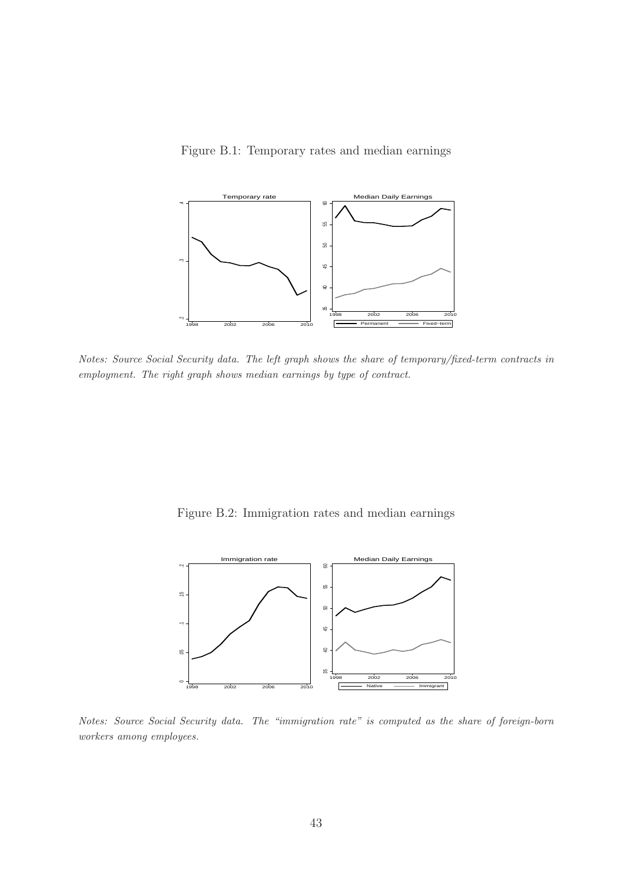<span id="page-43-0"></span>



Notes: Source Social Security data. The left graph shows the share of temporary/fixed-term contracts in employment. The right graph shows median earnings by type of contract.

<span id="page-43-1"></span>Figure B.2: Immigration rates and median earnings



Notes: Source Social Security data. The "immigration rate" is computed as the share of foreign-born workers among employees.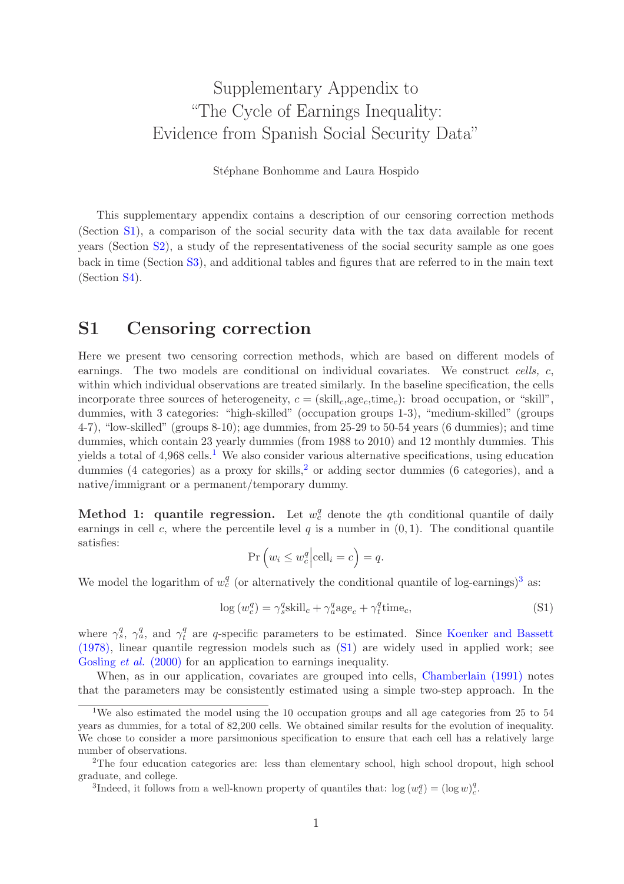# Supplementary Appendix to "The Cycle of Earnings Inequality: Evidence from Spanish Social Security Data"

Stéphane Bonhomme and Laura Hospido

This supplementary appendix contains a description of our censoring correction methods (Section [S1\)](#page-44-0), a comparison of the social security data with the tax data available for recent years (Section [S2\)](#page-46-0), a study of the representativeness of the social security sample as one goes back in time (Section [S3\)](#page-46-1), and additional tables and figures that are referred to in the main text (Section [S4\)](#page-47-0).

## <span id="page-44-0"></span>S1 Censoring correction

Here we present two censoring correction methods, which are based on different models of earnings. The two models are conditional on individual covariates. We construct cells, c, within which individual observations are treated similarly. In the baseline specification, the cells incorporate three sources of heterogeneity,  $c = (skill_c, age_c, time_c)$ : broad occupation, or "skill", dummies, with 3 categories: "high-skilled" (occupation groups 1-3), "medium-skilled" (groups 4-7), "low-skilled" (groups 8-10); age dummies, from 25-29 to 50-54 years (6 dummies); and time dummies, which contain 23 yearly dummies (from 1988 to 2010) and 12 monthly dummies. This yields a total of  $4.968$  cells.<sup>[1](#page-44-1)</sup> We also consider various alternative specifications, using education dummies (4 categories) as a proxy for skills,<sup>[2](#page-44-2)</sup> or adding sector dummies (6 categories), and a native/immigrant or a permanent/temporary dummy.

Method 1: quantile regression. Let  $w_c^q$  denote the qth conditional quantile of daily earnings in cell c, where the percentile level q is a number in  $(0, 1)$ . The conditional quantile satisfies:

<span id="page-44-4"></span>
$$
\Pr\left(w_i \le w_c^q \middle| \text{cell}_i = c\right) = q.
$$

We model the logarithm of  $w_c^q$  (or alternatively the conditional quantile of log-earnings)<sup>[3](#page-44-3)</sup> as:

$$
\log(w_c^q) = \gamma_s^q \text{skill}_c + \gamma_a^q \text{age}_c + \gamma_t^q \text{time}_c,\tag{S1}
$$

where  $\gamma_s^q$ ,  $\gamma_a^q$ , and  $\gamma_t^q$  $t<sub>t</sub><sup>q</sup>$  are q-specific parameters to be estimated. Since Koenker and Bassett (1978), linear quantile regression models such as [\(S1\)](#page-44-4) are widely used in applied work; see [Gosling](#page-61-2) *et al.* (2000) for an application to earnings inequality.

When, as in our application, covariates are grouped into cells, [Chamberlain \(1991\)](#page-61-3) notes that the parameters may be consistently estimated using a simple two-step approach. In the

<span id="page-44-1"></span><sup>1</sup>We also estimated the model using the 10 occupation groups and all age categories from 25 to 54 years as dummies, for a total of 82,200 cells. We obtained similar results for the evolution of inequality. We chose to consider a more parsimonious specification to ensure that each cell has a relatively large number of observations.

<sup>2</sup>The four education categories are: less than elementary school, high school dropout, high school graduate, and college.

<span id="page-44-3"></span><span id="page-44-2"></span><sup>&</sup>lt;sup>3</sup>Indeed, it follows from a well-known property of quantiles that:  $\log(w_c^q) = (\log w_c^q)$ .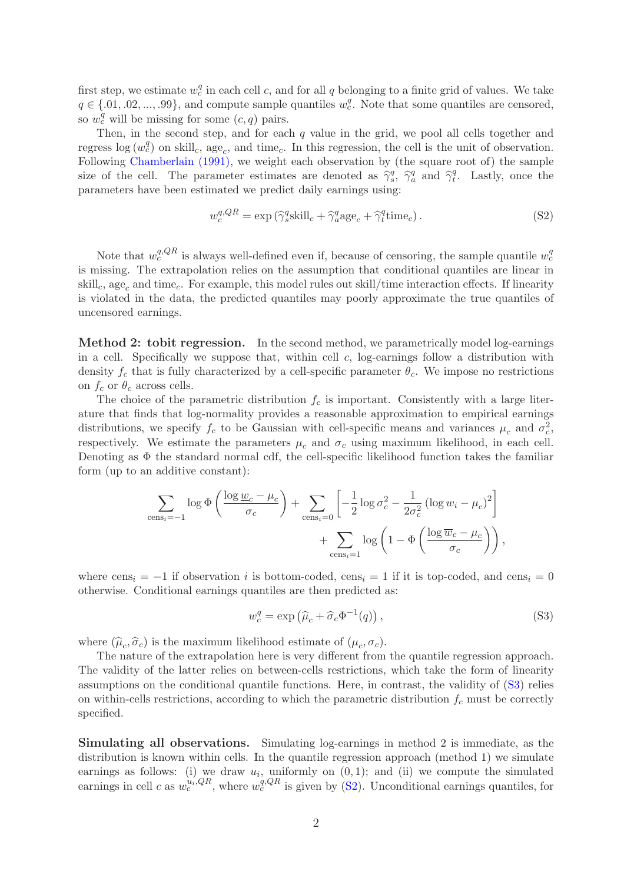first step, we estimate  $w_c^q$  in each cell c, and for all q belonging to a finite grid of values. We take  $q \in \{.01, .02, ..., .99\}$ , and compute sample quantiles  $w_c^q$ . Note that some quantiles are censored, so  $w_c^q$  will be missing for some  $(c, q)$  pairs.

Then, in the second step, and for each  $q$  value in the grid, we pool all cells together and regress  $\log(w_c^q)$  on skill<sub>c</sub>, age<sub>c</sub>, and time<sub>c</sub>. In this regression, the cell is the unit of observation. Following [Chamberlain \(1991\),](#page-61-3) we weight each observation by (the square root of) the sample size of the cell. The parameter estimates are denoted as  $\hat{\gamma}_s^q$ ,  $\hat{\gamma}_a^q$  and  $\hat{\gamma}_t^q$  $_t^q$ . Lastly, once the parameters have been estimated we predict daily earnings using:

<span id="page-45-1"></span>
$$
w_c^{q,QR} = \exp\left(\hat{\gamma}_s^q \text{skill}_c + \hat{\gamma}_a^q \text{age}_c + \hat{\gamma}_t^q \text{time}_c\right). \tag{S2}
$$

Note that  $w_c^{q,QR}$  is always well-defined even if, because of censoring, the sample quantile  $w_c^q$ is missing. The extrapolation relies on the assumption that conditional quantiles are linear in skill<sub>c</sub>, age<sub>c</sub> and time<sub>c</sub>. For example, this model rules out skill/time interaction effects. If linearity is violated in the data, the predicted quantiles may poorly approximate the true quantiles of uncensored earnings.

Method 2: tobit regression. In the second method, we parametrically model log-earnings in a cell. Specifically we suppose that, within cell  $c$ , log-earnings follow a distribution with density  $f_c$  that is fully characterized by a cell-specific parameter  $\theta_c$ . We impose no restrictions on  $f_c$  or  $\theta_c$  across cells.

The choice of the parametric distribution  $f_c$  is important. Consistently with a large literature that finds that log-normality provides a reasonable approximation to empirical earnings distributions, we specify  $f_c$  to be Gaussian with cell-specific means and variances  $\mu_c$  and  $\sigma_c^2$ , respectively. We estimate the parameters  $\mu_c$  and  $\sigma_c$  using maximum likelihood, in each cell. Denoting as  $\Phi$  the standard normal cdf, the cell-specific likelihood function takes the familiar form (up to an additive constant):

$$
\sum_{\text{cens}_i=-1} \log \Phi\left(\frac{\log \underline{w}_c - \mu_c}{\sigma_c}\right) + \sum_{\text{cens}_i=0} \left[-\frac{1}{2} \log \sigma_c^2 - \frac{1}{2\sigma_c^2} \left(\log w_i - \mu_c\right)^2\right] + \sum_{\text{cens}_i=1} \log \left(1 - \Phi\left(\frac{\log \overline{w}_c - \mu_c}{\sigma_c}\right)\right),
$$

where  $cons_i = -1$  if observation i is bottom-coded, cens<sub>i</sub> = 1 if it is top-coded, and cens<sub>i</sub> = 0 otherwise. Conditional earnings quantiles are then predicted as:

<span id="page-45-0"></span>
$$
w_c^q = \exp\left(\hat{\mu}_c + \hat{\sigma}_c \Phi^{-1}(q)\right),\tag{S3}
$$

where  $(\hat{\mu}_c, \hat{\sigma}_c)$  is the maximum likelihood estimate of  $(\mu_c, \sigma_c)$ .

The nature of the extrapolation here is very different from the quantile regression approach. The validity of the latter relies on between-cells restrictions, which take the form of linearity assumptions on the conditional quantile functions. Here, in contrast, the validity of [\(S3\)](#page-45-0) relies on within-cells restrictions, according to which the parametric distribution  $f_c$  must be correctly specified.

Simulating all observations. Simulating log-earnings in method 2 is immediate, as the distribution is known within cells. In the quantile regression approach (method 1) we simulate earnings as follows: (i) we draw  $u_i$ , uniformly on  $(0, 1)$ ; and (ii) we compute the simulated earnings in cell c as  $w_c^{u_i,QR}$ , where  $w_c^{q,QR}$  is given by [\(S2\)](#page-45-1). Unconditional earnings quantiles, for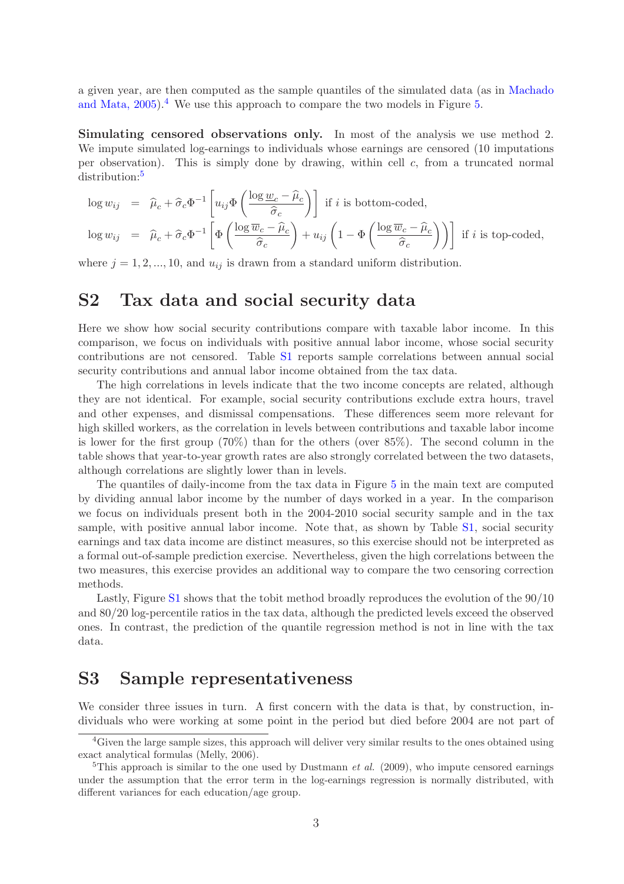a given year, are then computed as the sample quantiles of the simulated data (as in Machado and Mata,  $2005$ .<sup>[4](#page-46-2)</sup> We use this approach to compare the two models in Figure [5.](#page-12-0)

Simulating censored observations only. In most of the analysis we use method 2. We impute simulated log-earnings to individuals whose earnings are censored (10 imputations per observation). This is simply done by drawing, within cell c, from a truncated normal distribution:[5](#page-46-3)

$$
\log w_{ij} = \hat{\mu}_c + \hat{\sigma}_c \Phi^{-1} \left[ u_{ij} \Phi \left( \frac{\log w_c - \hat{\mu}_c}{\hat{\sigma}_c} \right) \right] \text{ if } i \text{ is bottom-coded,}
$$
\n
$$
\log w_{ij} = \hat{\mu}_c + \hat{\sigma}_c \Phi^{-1} \left[ \Phi \left( \frac{\log \overline{w}_c - \hat{\mu}_c}{\hat{\sigma}_c} \right) + u_{ij} \left( 1 - \Phi \left( \frac{\log \overline{w}_c - \hat{\mu}_c}{\hat{\sigma}_c} \right) \right) \right] \text{ if } i \text{ is top-coded,}
$$

<span id="page-46-0"></span>where  $j = 1, 2, ..., 10$ , and  $u_{ij}$  is drawn from a standard uniform distribution.

## S2 Tax data and social security data

Here we show how social security contributions compare with taxable labor income. In this comparison, we focus on individuals with positive annual labor income, whose social security contributions are not censored. Table [S1](#page-47-1) reports sample correlations between annual social security contributions and annual labor income obtained from the tax data.

The high correlations in levels indicate that the two income concepts are related, although they are not identical. For example, social security contributions exclude extra hours, travel and other expenses, and dismissal compensations. These differences seem more relevant for high skilled workers, as the correlation in levels between contributions and taxable labor income is lower for the first group (70%) than for the others (over 85%). The second column in the table shows that year-to-year growth rates are also strongly correlated between the two datasets, although correlations are slightly lower than in levels.

The quantiles of daily-income from the tax data in Figure [5](#page-12-0) in the main text are computed by dividing annual labor income by the number of days worked in a year. In the comparison we focus on individuals present both in the 2004-2010 social security sample and in the tax sample, with positive annual labor income. Note that, as shown by Table [S1,](#page-47-1) social security earnings and tax data income are distinct measures, so this exercise should not be interpreted as a formal out-of-sample prediction exercise. Nevertheless, given the high correlations between the two measures, this exercise provides an additional way to compare the two censoring correction methods.

Lastly, Figure [S1](#page-51-0) shows that the tobit method broadly reproduces the evolution of the 90/10 and 80/20 log-percentile ratios in the tax data, although the predicted levels exceed the observed ones. In contrast, the prediction of the quantile regression method is not in line with the tax data.

## <span id="page-46-1"></span>S3 Sample representativeness

We consider three issues in turn. A first concern with the data is that, by construction, individuals who were working at some point in the period but died before 2004 are not part of

<span id="page-46-2"></span><sup>&</sup>lt;sup>4</sup>Given the large sample sizes, this approach will deliver very similar results to the ones obtained using exact analytical formulas (Melly, 2006).

<span id="page-46-3"></span><sup>&</sup>lt;sup>5</sup>This approach is similar to the one used by Dustmann *et al.* (2009), who impute censored earnings under the assumption that the error term in the log-earnings regression is normally distributed, with different variances for each education/age group.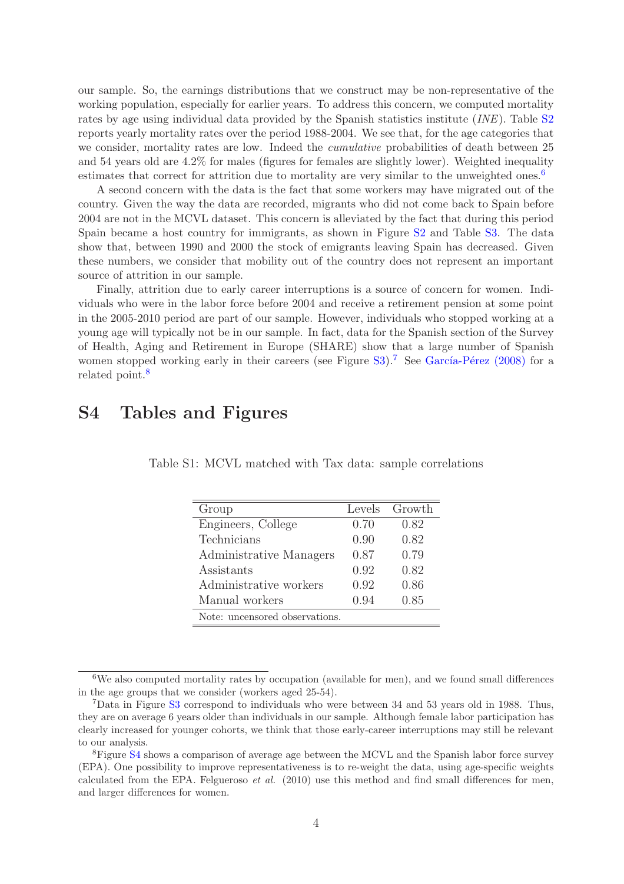our sample. So, the earnings distributions that we construct may be non-representative of the working population, especially for earlier years. To address this concern, we computed mortality rates by age using individual data provided by the Spanish statistics institute *(INE)*. Table [S2](#page-48-0) reports yearly mortality rates over the period 1988-2004. We see that, for the age categories that we consider, mortality rates are low. Indeed the cumulative probabilities of death between 25 and 54 years old are 4.2% for males (figures for females are slightly lower). Weighted inequality estimates that correct for attrition due to mortality are very similar to the unweighted ones.<sup>[6](#page-47-2)</sup>

A second concern with the data is the fact that some workers may have migrated out of the country. Given the way the data are recorded, migrants who did not come back to Spain before 2004 are not in the MCVL dataset. This concern is alleviated by the fact that during this period Spain became a host country for immigrants, as shown in Figure [S2](#page-52-0) and Table [S3.](#page-48-1) The data show that, between 1990 and 2000 the stock of emigrants leaving Spain has decreased. Given these numbers, we consider that mobility out of the country does not represent an important source of attrition in our sample.

Finally, attrition due to early career interruptions is a source of concern for women. Individuals who were in the labor force before 2004 and receive a retirement pension at some point in the 2005-2010 period are part of our sample. However, individuals who stopped working at a young age will typically not be in our sample. In fact, data for the Spanish section of the Survey of Health, Aging and Retirement in Europe (SHARE) show that a large number of Spanish women stopped working early in their careers (see Figure  $S3$ ).<sup>[7](#page-47-3)</sup> See García-Pérez (2008) for a related point.<sup>[8](#page-47-4)</sup>

## <span id="page-47-0"></span>S4 Tables and Figures

<span id="page-47-1"></span>

| Group                          | Levels | Growth |
|--------------------------------|--------|--------|
| Engineers, College             | 0.70   | 0.82   |
| Technicians                    | 0.90   | 0.82   |
| Administrative Managers        | 0.87   | 0.79   |
| Assistants                     | 0.92   | 0.82   |
| Administrative workers         | 0.92   | 0.86   |
| Manual workers                 | 0.94   | 0.85   |
| Note: uncensored observations. |        |        |

Table S1: MCVL matched with Tax data: sample correlations

<span id="page-47-2"></span><sup>&</sup>lt;sup>6</sup>We also computed mortality rates by occupation (available for men), and we found small differences in the age groups that we consider (workers aged 25-54).

<span id="page-47-3"></span><sup>7</sup>Data in Figure [S3](#page-52-1) correspond to individuals who were between 34 and 53 years old in 1988. Thus, they are on average 6 years older than individuals in our sample. Although female labor participation has clearly increased for younger cohorts, we think that those early-career interruptions may still be relevant to our analysis.

<span id="page-47-4"></span><sup>&</sup>lt;sup>8</sup>Figure [S4](#page-53-1) shows a comparison of average age between the MCVL and the Spanish labor force survey (EPA). One possibility to improve representativeness is to re-weight the data, using age-specific weights calculated from the EPA. Felgueroso  $et \ al.$  (2010) use this method and find small differences for men, and larger differences for women.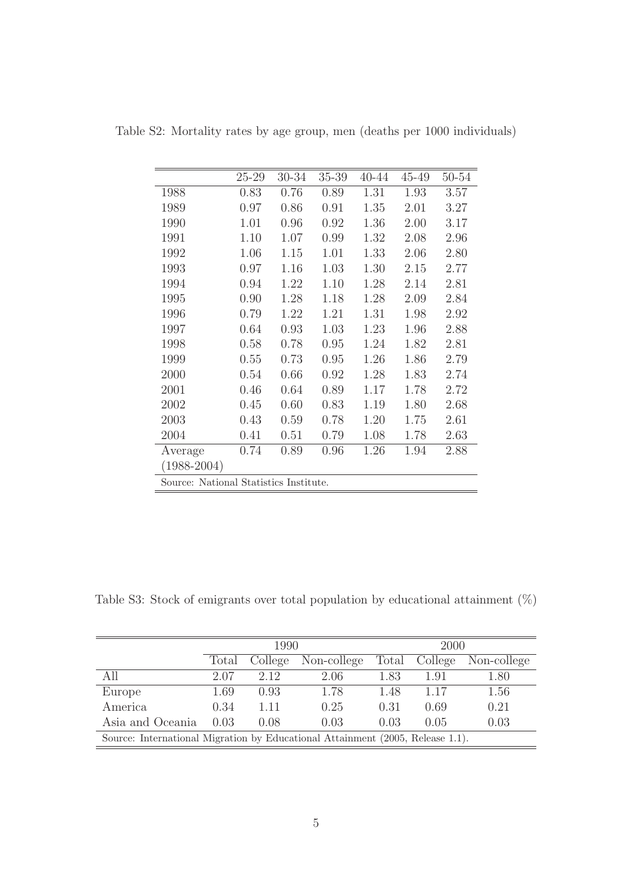<span id="page-48-0"></span>

|                 | 25-29                                  | 30-34 | 35-39 | 40-44 | 45-49 | 50-54 |  |  |  |  |  |
|-----------------|----------------------------------------|-------|-------|-------|-------|-------|--|--|--|--|--|
| 1988            | 0.83                                   | 0.76  | 0.89  | 1.31  | 1.93  | 3.57  |  |  |  |  |  |
| 1989            | 0.97                                   | 0.86  | 0.91  | 1.35  | 2.01  | 3.27  |  |  |  |  |  |
| 1990            | 1.01                                   | 0.96  | 0.92  | 1.36  | 2.00  | 3.17  |  |  |  |  |  |
| 1991            | 1.10                                   | 1.07  | 0.99  | 1.32  | 2.08  | 2.96  |  |  |  |  |  |
| 1992            | 1.06                                   | 1.15  | 1.01  | 1.33  | 2.06  | 2.80  |  |  |  |  |  |
| 1993            | 0.97                                   | 1.16  | 1.03  | 1.30  | 2.15  | 2.77  |  |  |  |  |  |
| 1994            | 0.94                                   | 1.22  | 1.10  | 1.28  | 2.14  | 2.81  |  |  |  |  |  |
| 1995            | 0.90                                   | 1.28  | 1.18  | 1.28  | 2.09  | 2.84  |  |  |  |  |  |
| 1996            | 0.79                                   | 1.22  | 1.21  | 1.31  | 1.98  | 2.92  |  |  |  |  |  |
| 1997            | 0.64                                   | 0.93  | 1.03  | 1.23  | 1.96  | 2.88  |  |  |  |  |  |
| 1998            | 0.58                                   | 0.78  | 0.95  | 1.24  | 1.82  | 2.81  |  |  |  |  |  |
| 1999            | 0.55                                   | 0.73  | 0.95  | 1.26  | 1.86  | 2.79  |  |  |  |  |  |
| 2000            | 0.54                                   | 0.66  | 0.92  | 1.28  | 1.83  | 2.74  |  |  |  |  |  |
| 2001            | 0.46                                   | 0.64  | 0.89  | 1.17  | 1.78  | 2.72  |  |  |  |  |  |
| 2002            | 0.45                                   | 0.60  | 0.83  | 1.19  | 1.80  | 2.68  |  |  |  |  |  |
| 2003            | 0.43                                   | 0.59  | 0.78  | 1.20  | 1.75  | 2.61  |  |  |  |  |  |
| 2004            | 0.41                                   | 0.51  | 0.79  | 1.08  | 1.78  | 2.63  |  |  |  |  |  |
| Average         | 0.74                                   | 0.89  | 0.96  | 1.26  | 1.94  | 2.88  |  |  |  |  |  |
| $(1988 - 2004)$ |                                        |       |       |       |       |       |  |  |  |  |  |
|                 | Source: National Statistics Institute. |       |       |       |       |       |  |  |  |  |  |

Table S2: Mortality rates by age group, men (deaths per 1000 individuals)

<span id="page-48-1"></span>Table S3: Stock of emigrants over total population by educational attainment  $(\%)$ 

|                                                                                |                                 | 1990 |      | 2000  |         |             |  |  |
|--------------------------------------------------------------------------------|---------------------------------|------|------|-------|---------|-------------|--|--|
|                                                                                | Non-college<br>College<br>Total |      |      | Total | College | Non-college |  |  |
| All                                                                            | 2.07                            | 2.12 | 2.06 | 1.83  | 1.91    | 1.80        |  |  |
| Europe                                                                         | 1.69                            | 0.93 | 1.78 | 1.48  | 1.17    | 1.56        |  |  |
| America                                                                        | 0.34                            | 1.11 | 0.25 | 0.31  | 0.69    | 0.21        |  |  |
| Asia and Oceania<br>0.03<br>0.03<br>0.03<br>0.08<br>0.05                       |                                 |      |      |       |         |             |  |  |
| Source: International Migration by Educational Attainment (2005, Release 1.1). |                                 |      |      |       |         |             |  |  |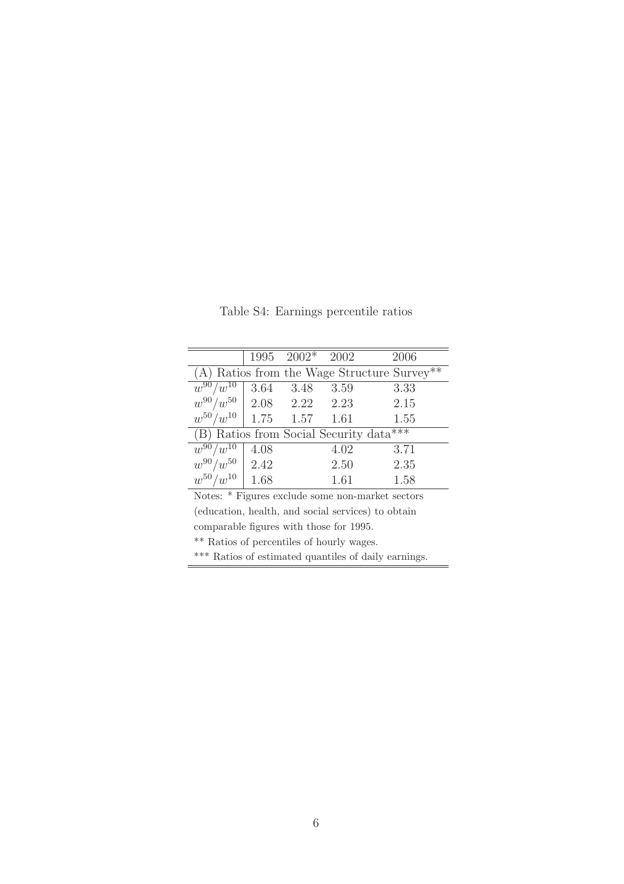|                                                    |                                           | $1995 \quad 2002*$ | 2002 | 2006                                                      |  |  |  |  |  |
|----------------------------------------------------|-------------------------------------------|--------------------|------|-----------------------------------------------------------|--|--|--|--|--|
|                                                    |                                           |                    |      | $(A)$ Ratios from the Wage Structure Survey <sup>**</sup> |  |  |  |  |  |
| $w^{90}/w^{10}$                                    | 3.64                                      | 3.48               | 3.59 | 3.33                                                      |  |  |  |  |  |
| $w^{90}/w^{50}$                                    | 2.08                                      | 2.22               | 2.23 | 2.15                                                      |  |  |  |  |  |
| $w^{50}/w^{10}$                                    |                                           | $1.75 \t 1.57$     | 1.61 | 1.55                                                      |  |  |  |  |  |
| (B) Ratios from Social Security data***            |                                           |                    |      |                                                           |  |  |  |  |  |
| $w^{90}/w^{10}$                                    | 4.08                                      |                    | 4.02 | 3.71                                                      |  |  |  |  |  |
| $w^{90}/w^{50}$                                    | $\sqrt{2.42}$                             |                    | 2.50 | 2.35                                                      |  |  |  |  |  |
| $w^{50}/w^{10}$                                    | 1.68                                      |                    | 1.61 | 1.58                                                      |  |  |  |  |  |
| Notes: * Figures exclude some non-market sectors   |                                           |                    |      |                                                           |  |  |  |  |  |
| (education, health, and social services) to obtain |                                           |                    |      |                                                           |  |  |  |  |  |
| comparable figures with those for 1995.            |                                           |                    |      |                                                           |  |  |  |  |  |
|                                                    | ** Ratios of percentiles of hourly wages. |                    |      |                                                           |  |  |  |  |  |

<span id="page-49-0"></span>Table S4: Earnings percentile ratios

\*\*\* Ratios of estimated quantiles of daily earnings.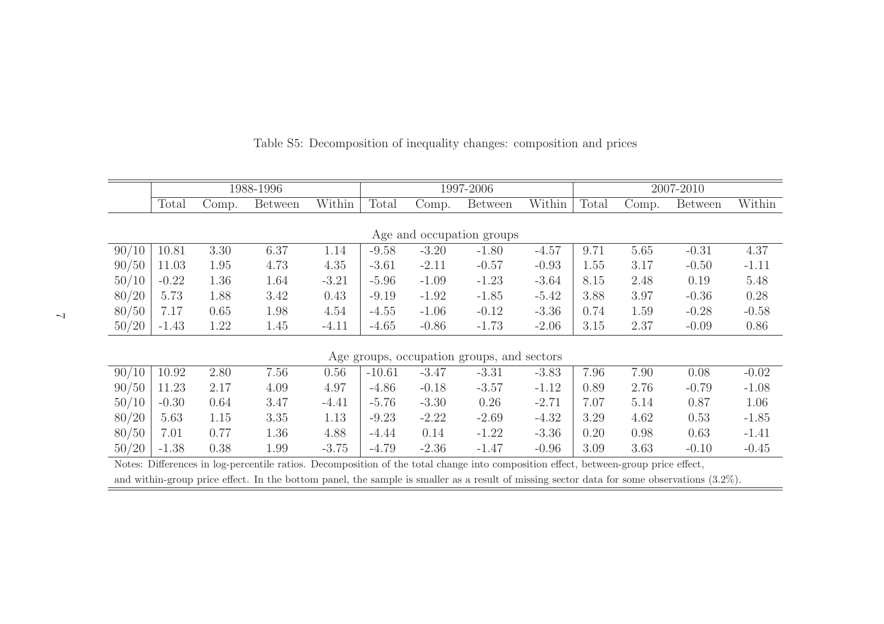|       | 1988-1996 |       |                |         |          | 1997-2006 |                                                                                                                                     |         |       | 2007-2010 |                |         |  |
|-------|-----------|-------|----------------|---------|----------|-----------|-------------------------------------------------------------------------------------------------------------------------------------|---------|-------|-----------|----------------|---------|--|
|       | Total     | Comp. | <b>Between</b> | Within  | Total    | Comp.     | <b>Between</b>                                                                                                                      | Within  | Total | Comp.     | <b>Between</b> | Within  |  |
|       |           |       |                |         |          |           |                                                                                                                                     |         |       |           |                |         |  |
|       |           |       |                |         |          |           | Age and occupation groups                                                                                                           |         |       |           |                |         |  |
| 90/10 | 10.81     | 3.30  | 6.37           | 1.14    | $-9.58$  | $-3.20$   | $-1.80$                                                                                                                             | $-4.57$ | 9.71  | 5.65      | $-0.31$        | 4.37    |  |
| 90/50 | 11.03     | 1.95  | 4.73           | 4.35    | $-3.61$  | $-2.11$   | $-0.57$                                                                                                                             | $-0.93$ | 1.55  | 3.17      | $-0.50$        | $-1.11$ |  |
| 50/10 | $-0.22$   | 1.36  | 1.64           | $-3.21$ | $-5.96$  | $-1.09$   | $-1.23$                                                                                                                             | $-3.64$ | 8.15  | 2.48      | 0.19           | 5.48    |  |
| 80/20 | 5.73      | 1.88  | 3.42           | 0.43    | $-9.19$  | $-1.92$   | $-1.85$                                                                                                                             | $-5.42$ | 3.88  | 3.97      | $-0.36$        | 0.28    |  |
| 80/50 | 7.17      | 0.65  | 1.98           | 4.54    | $-4.55$  | $-1.06$   | $-0.12$                                                                                                                             | $-3.36$ | 0.74  | 1.59      | $-0.28$        | $-0.58$ |  |
| 50/20 | $-1.43$   | 1.22  | 1.45           | $-4.11$ | $-4.65$  | $-0.86$   | $-1.73$                                                                                                                             | $-2.06$ | 3.15  | 2.37      | $-0.09$        | 0.86    |  |
|       |           |       |                |         |          |           |                                                                                                                                     |         |       |           |                |         |  |
|       |           |       |                |         |          |           | Age groups, occupation groups, and sectors                                                                                          |         |       |           |                |         |  |
| 90/10 | 10.92     | 2.80  | 7.56           | 0.56    | $-10.61$ | $-3.47$   | $-3.31$                                                                                                                             | $-3.83$ | 7.96  | 7.90      | 0.08           | $-0.02$ |  |
| 90/50 | 11.23     | 2.17  | 4.09           | 4.97    | $-4.86$  | $-0.18$   | $-3.57$                                                                                                                             | $-1.12$ | 0.89  | 2.76      | $-0.79$        | $-1.08$ |  |
| 50/10 | $-0.30$   | 0.64  | 3.47           | $-4.41$ | $-5.76$  | $-3.30$   | 0.26                                                                                                                                | $-2.71$ | 7.07  | 5.14      | 0.87           | 1.06    |  |
| 80/20 | 5.63      | 1.15  | 3.35           | 1.13    | $-9.23$  | $-2.22$   | $-2.69$                                                                                                                             | $-4.32$ | 3.29  | 4.62      | 0.53           | $-1.85$ |  |
| 80/50 | 7.01      | 0.77  | 1.36           | 4.88    | $-4.44$  | 0.14      | $-1.22$                                                                                                                             | $-3.36$ | 0.20  | 0.98      | 0.63           | $-1.41$ |  |
| 50/20 | $-1.38$   | 0.38  | 1.99           | $-3.75$ | $-4.79$  | $-2.36$   | $-1.47$                                                                                                                             | $-0.96$ | 3.09  | 3.63      | $-0.10$        | $-0.45$ |  |
|       |           |       |                |         |          |           | Notes: Differences in log-percentile ratios. Decomposition of the total change into composition effect, between-group price effect, |         |       |           |                |         |  |

and within-group price effect. In the bottom panel, the sample is smaller as <sup>a</sup> result of missing sector data for some observations (3.2%).

<span id="page-50-0"></span>Table S5: Decomposition of inequality changes: composition and prices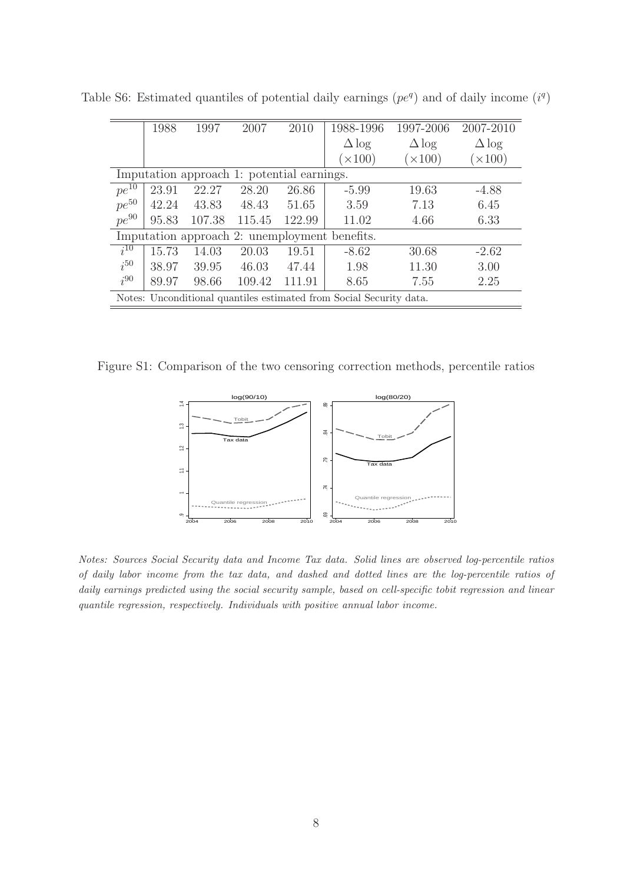<span id="page-51-1"></span>

|                                            | 1988  | 1997   | 2007   | 2010   | 1988-1996                                                           | 1997-2006    | 2007-2010    |  |  |  |
|--------------------------------------------|-------|--------|--------|--------|---------------------------------------------------------------------|--------------|--------------|--|--|--|
|                                            |       |        |        |        | $\Delta$ log                                                        | $\Delta$ log | $\Delta$ log |  |  |  |
|                                            |       |        |        |        | (x100)                                                              | $\times 100$ | $\times 100$ |  |  |  |
| Imputation approach 1: potential earnings. |       |        |        |        |                                                                     |              |              |  |  |  |
| $pe^{10}$                                  | 23.91 | 22.27  | 28.20  | 26.86  | $-5.99$                                                             | 19.63        | $-4.88$      |  |  |  |
| $pe^{50}$                                  | 42.24 | 43.83  | 48.43  | 51.65  | 3.59                                                                | 7.13         | 6.45         |  |  |  |
| $pe^{90}$                                  | 95.83 | 107.38 | 115.45 | 122.99 | 11.02                                                               | 4.66         | 6.33         |  |  |  |
|                                            |       |        |        |        | Imputation approach 2: unemployment benefits.                       |              |              |  |  |  |
| $i^{10}$                                   | 15.73 | 14.03  | 20.03  | 19.51  | $-8.62$                                                             | 30.68        | $-2.62$      |  |  |  |
| $i^{50}$                                   | 38.97 | 39.95  | 46.03  | 47.44  | 1.98                                                                | 11.30        | 3.00         |  |  |  |
| $i^{90}$                                   | 89.97 | 98.66  | 109.42 | 111.91 | 8.65                                                                | 7.55         | 2.25         |  |  |  |
|                                            |       |        |        |        | Notes: Unconditional quantiles estimated from Social Security data. |              |              |  |  |  |

Table S6: Estimated quantiles of potential daily earnings  $(pe<sup>q</sup>)$  and of daily income  $(i<sup>q</sup>)$ 

Figure S1: Comparison of the two censoring correction methods, percentile ratios

<span id="page-51-0"></span>

Notes: Sources Social Security data and Income Tax data. Solid lines are observed log-percentile ratios of daily labor income from the tax data, and dashed and dotted lines are the log-percentile ratios of daily earnings predicted using the social security sample, based on cell-specific tobit regression and linear quantile regression, respectively. Individuals with positive annual labor income.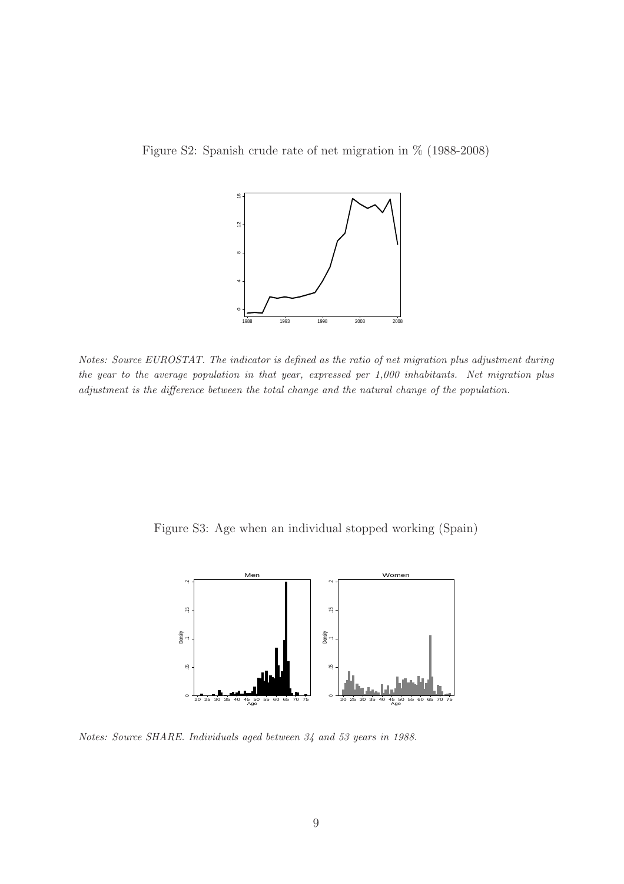Figure S2: Spanish crude rate of net migration in % (1988-2008)

<span id="page-52-0"></span>

Notes: Source EUROSTAT. The indicator is defined as the ratio of net migration plus adjustment during the year to the average population in that year, expressed per 1,000 inhabitants. Net migration plus adjustment is the difference between the total change and the natural change of the population.

Figure S3: Age when an individual stopped working (Spain)

<span id="page-52-1"></span>

Notes: Source SHARE. Individuals aged between 34 and 53 years in 1988.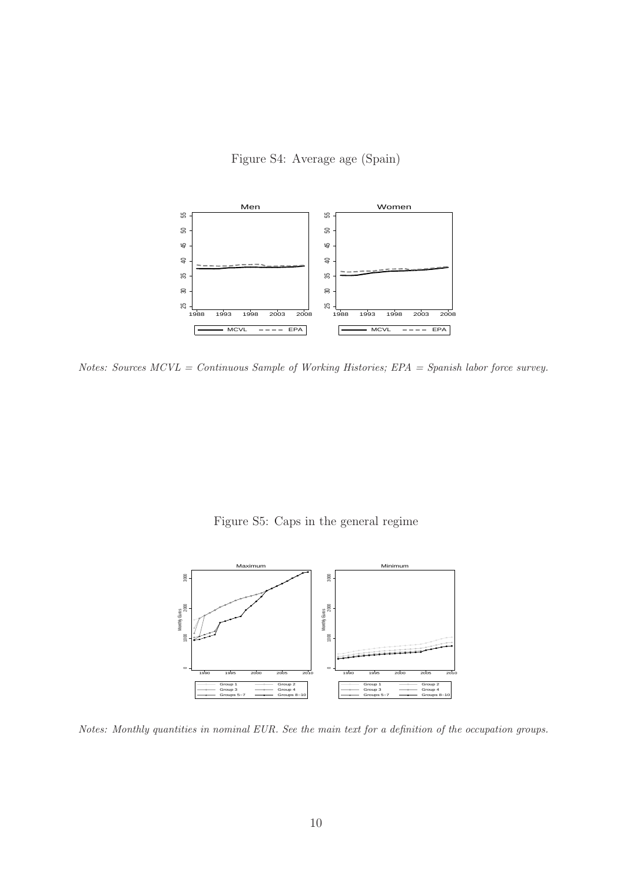<span id="page-53-1"></span>Figure S4: Average age (Spain)



Notes: Sources  $MCVL = Continuous$  Sample of Working Histories;  $EPA = Spanish$  labor force survey.

<span id="page-53-0"></span>Figure S5: Caps in the general regime



Notes: Monthly quantities in nominal EUR. See the main text for a definition of the occupation groups.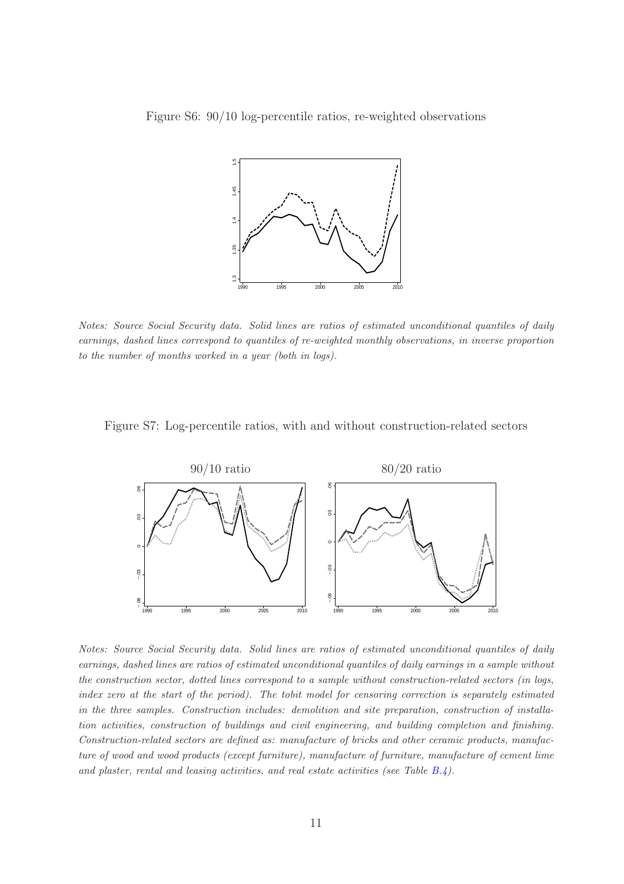Figure S6: 90/10 log-percentile ratios, re-weighted observations

<span id="page-54-0"></span>

Notes: Source Social Security data. Solid lines are ratios of estimated unconditional quantiles of daily earnings, dashed lines correspond to quantiles of re-weighted monthly observations, in inverse proportion to the number of months worked in a year (both in logs).

#### Figure S7: Log-percentile ratios, with and without construction-related sectors

<span id="page-54-1"></span>

Notes: Source Social Security data. Solid lines are ratios of estimated unconditional quantiles of daily earnings, dashed lines are ratios of estimated unconditional quantiles of daily earnings in a sample without the construction sector, dotted lines correspond to a sample without construction-related sectors (in logs, index zero at the start of the period). The tobit model for censoring correction is separately estimated in the three samples. Construction includes: demolition and site preparation, construction of installation activities, construction of buildings and civil engineering, and building completion and finishing. Construction-related sectors are defined as: manufacture of bricks and other ceramic products, manufacture of wood and wood products (except furniture), manufacture of furniture, manufacture of cement lime and plaster, rental and leasing activities, and real estate activities (see Table  $B.4$ ).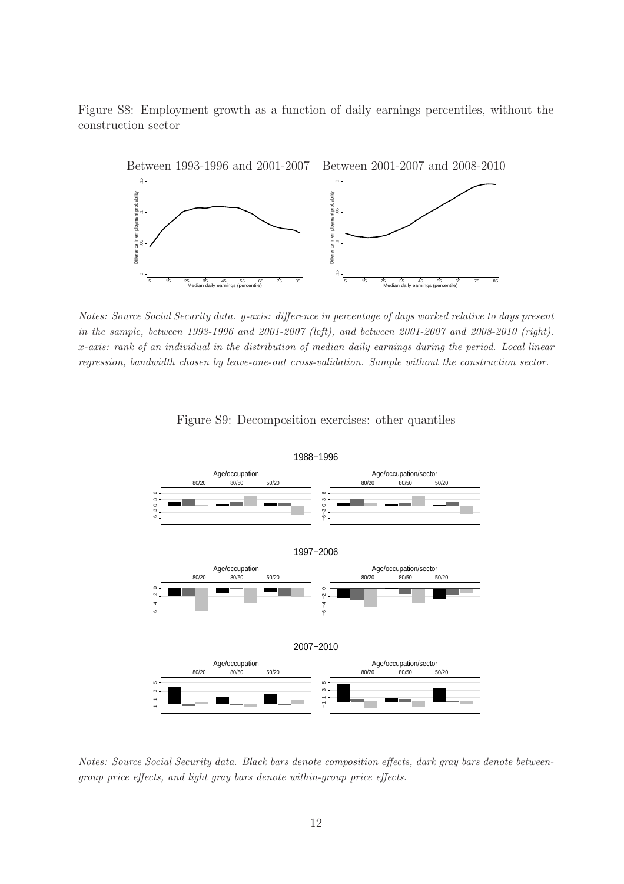Figure S8: Employment growth as a function of daily earnings percentiles, without the construction sector

<span id="page-55-0"></span>

Notes: Source Social Security data. y-axis: difference in percentage of days worked relative to days present in the sample, between 1993-1996 and 2001-2007 (left), and between 2001-2007 and 2008-2010 (right). x-axis: rank of an individual in the distribution of median daily earnings during the period. Local linear regression, bandwidth chosen by leave-one-out cross-validation. Sample without the construction sector.



<span id="page-55-1"></span>Figure S9: Decomposition exercises: other quantiles

Notes: Source Social Security data. Black bars denote composition effects, dark gray bars denote betweengroup price effects, and light gray bars denote within-group price effects.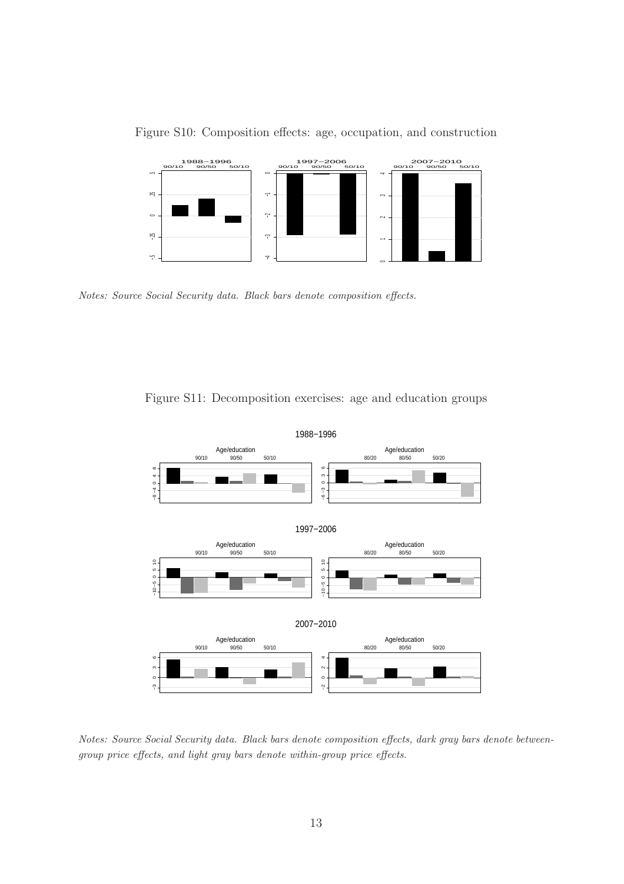

<span id="page-56-0"></span>Figure S10: Composition effects: age, occupation, and construction

Notes: Source Social Security data. Black bars denote composition effects.



<span id="page-56-1"></span>Figure S11: Decomposition exercises: age and education groups

Notes: Source Social Security data. Black bars denote composition effects, dark gray bars denote betweengroup price effects, and light gray bars denote within-group price effects.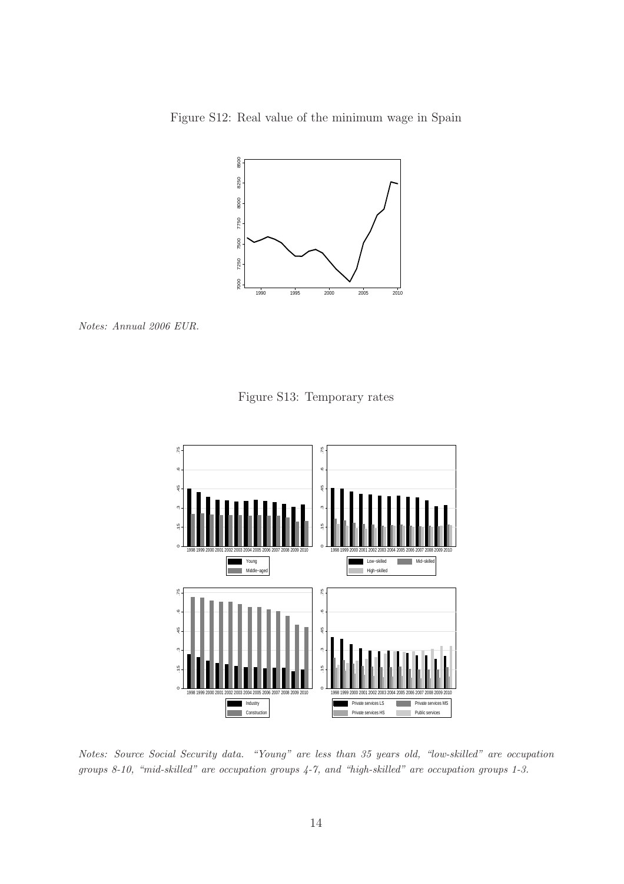Figure S12: Real value of the minimum wage in Spain

<span id="page-57-0"></span>

Notes: Annual 2006 EUR.

<span id="page-57-1"></span>Figure S13: Temporary rates



Notes: Source Social Security data. "Young" are less than 35 years old, "low-skilled" are occupation groups 8-10, "mid-skilled" are occupation groups 4-7, and "high-skilled" are occupation groups 1-3.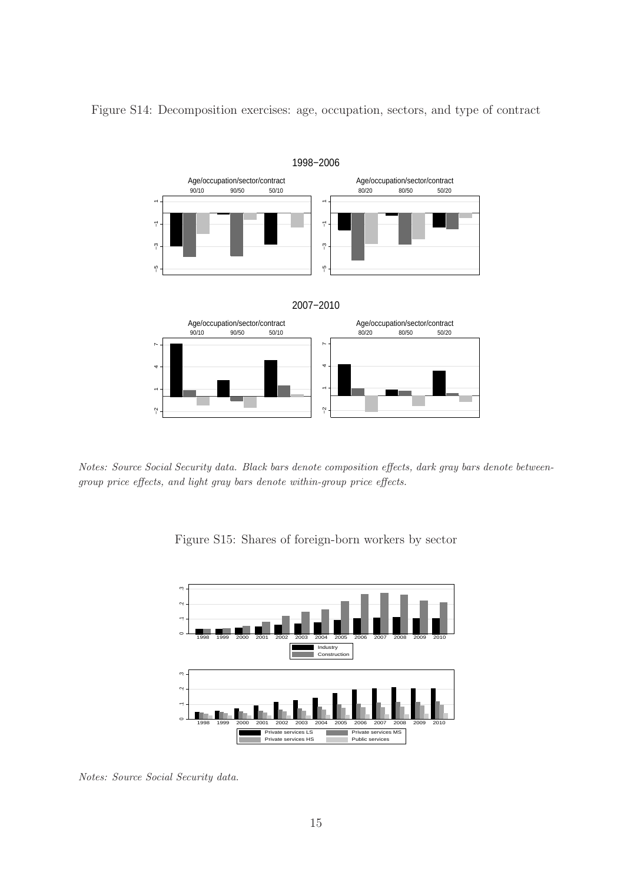<span id="page-58-0"></span>

Figure S14: Decomposition exercises: age, occupation, sectors, and type of contract

Notes: Source Social Security data. Black bars denote composition effects, dark gray bars denote betweengroup price effects, and light gray bars denote within-group price effects.

<span id="page-58-1"></span>Figure S15: Shares of foreign-born workers by sector



Notes: Source Social Security data.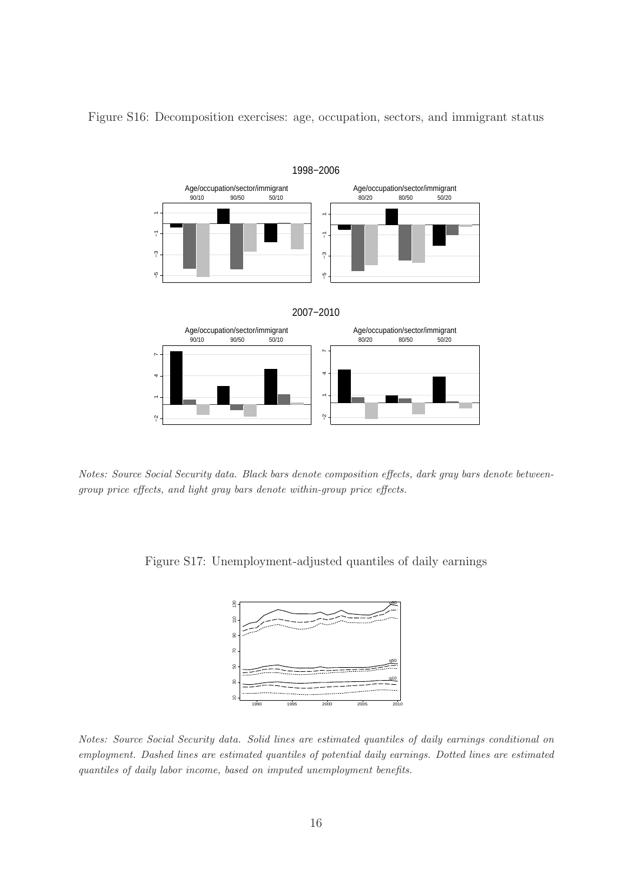<span id="page-59-0"></span>

Figure S16: Decomposition exercises: age, occupation, sectors, and immigrant status

Notes: Source Social Security data. Black bars denote composition effects, dark gray bars denote betweengroup price effects, and light gray bars denote within-group price effects.

Figure S17: Unemployment-adjusted quantiles of daily earnings

<span id="page-59-1"></span>

Notes: Source Social Security data. Solid lines are estimated quantiles of daily earnings conditional on employment. Dashed lines are estimated quantiles of potential daily earnings. Dotted lines are estimated quantiles of daily labor income, based on imputed unemployment benefits.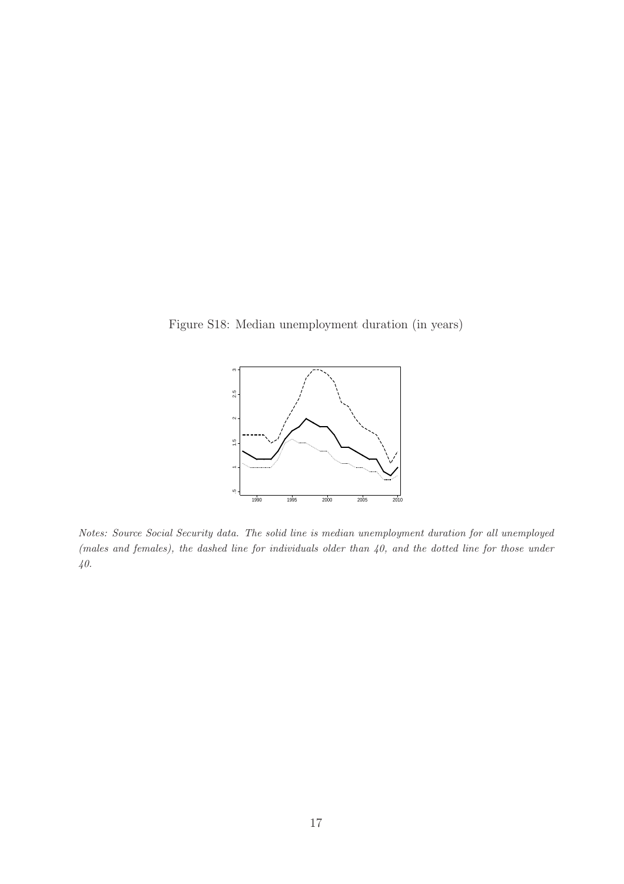Figure S18: Median unemployment duration (in years)

<span id="page-60-0"></span>

Notes: Source Social Security data. The solid line is median unemployment duration for all unemployed (males and females), the dashed line for individuals older than 40, and the dotted line for those under 40.